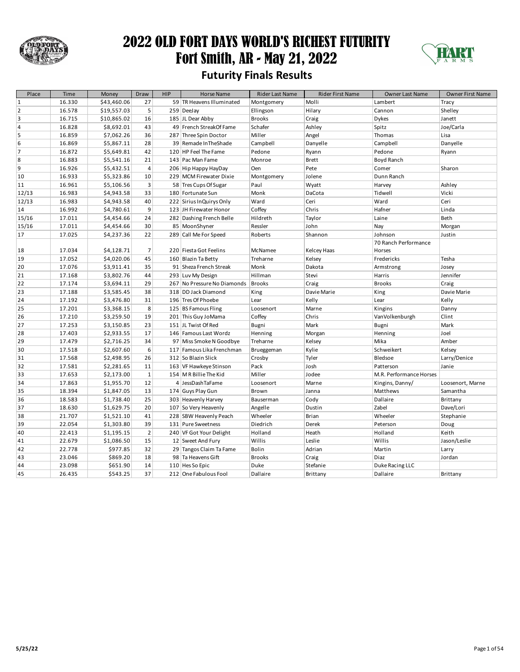

### 2022 OLD FORT DAYS WORLD'S RICHEST FUTURITY Fort Smith, AR - May 21, 2022 **Futurity Finals Results**



| Place          | Time   | Money       | Draw           | <b>HIP</b> | <b>Horse Name</b>           | Rider Last Name | <b>Rider First Name</b> | <b>Owner Last Name</b>  | <b>Owner First Name</b> |
|----------------|--------|-------------|----------------|------------|-----------------------------|-----------------|-------------------------|-------------------------|-------------------------|
| $\mathbf 1$    | 16.330 | \$43,460.06 | 27             |            | 59 TR Heavens Illuminated   | Montgomery      | Molli                   | Lambert                 | Tracy                   |
| $\overline{2}$ | 16.578 | \$19,557.03 | 5              |            | 259 DeeJay                  | Ellingson       | Hilary                  | Cannon                  | Shelley                 |
| 3              | 16.715 | \$10,865.02 | 16             |            | 185 JL Dear Abby            | <b>Brooks</b>   | Craig                   | <b>Dykes</b>            | Janett                  |
| 4              | 16.828 | \$8,692.01  | 43             |            | 49 French StreakOf Fame     | Schafer         | Ashley                  | Spitz                   | Joe/Carla               |
| 5              | 16.859 | \$7,062.26  | 36             |            | 287 Three Spin Doctor       | Miller          | Angel                   | Thomas                  | Lisa                    |
| 6              | 16.869 | \$5,867.11  | 28             |            | 39 Remade In The Shade      | Campbell        | Danyelle                | Campbell                | Danyelle                |
| 7              | 16.872 | \$5,649.81  | 42             |            | 120 HP Feel The Fame        | Pedone          | Ryann                   | Pedone                  | Ryann                   |
| 8              | 16.883 | \$5,541.16  | 21             |            | 143 Pac Man Fame            | Monroe          | <b>Brett</b>            | Boyd Ranch              |                         |
| 9              | 16.926 | \$5,432.51  | $\overline{4}$ |            | 206 Hip Happy HayDay        | Oen             | Pete                    | Comer                   | Sharon                  |
| 10             | 16.933 | \$5,323.86  | 10             |            | 229 MCM Firewater Dixie     | Montgomery      | Jolene                  | Dunn Ranch              |                         |
| 11             | 16.961 | \$5,106.56  | 3              |            | 58 Tres Cups Of Sugar       | Paul            | Wyatt                   | Harvey                  | Ashley                  |
| 12/13          | 16.983 | \$4,943.58  | 33             |            | 180 Fortunate Sun           | Monk            | DaCota                  | Tidwell                 | Vicki                   |
| 12/13          | 16.983 | \$4,943.58  | 40             |            | 222 Sirius In Quirys Only   | Ward            | Ceri                    | Ward                    | Ceri                    |
| 14             | 16.992 | \$4,780.61  | 9              |            | 123 JH Firewater Honor      | Coffey          | Chris                   | Hafner                  | Linda                   |
| 15/16          | 17.011 | \$4,454.66  | 24             |            | 282 Dashing French Belle    | Hildreth        | Taylor                  | Laine                   | Beth                    |
| 15/16          | 17.011 | \$4,454.66  | 30             |            | 85 MoonShyner               | Ressler         | John                    | Nay                     | Morgan                  |
| 17             | 17.025 | \$4,237.36  | 22             |            | 289 Call Me For Speed       | Roberts         | Shannon                 | Johnson                 | Justin                  |
|                |        |             |                |            |                             |                 |                         | 70 Ranch Performance    |                         |
| 18             | 17.034 | \$4,128.71  | $\overline{7}$ |            | 220 Fiesta Got Feelins      | McNamee         | Kelcey Haas             | Horses                  |                         |
| 19             | 17.052 | \$4,020.06  | 45             |            | 160 Blazin Ta Betty         | Treharne        | Kelsey                  | Fredericks              | Tesha                   |
| 20             | 17.076 | \$3,911.41  | 35             |            | 91 Sheza French Streak      | Monk            | Dakota                  | Armstrong               | Josey                   |
| 21             | 17.168 | \$3,802.76  | 44             |            | 293 Luv My Design           | Hillman         | Stevi                   | Harris                  | Jennifer                |
| 22             | 17.174 | \$3,694.11  | 29             |            | 267 No Pressure No Diamonds | <b>Brooks</b>   | Craig                   | <b>Brooks</b>           | Craig                   |
| 23             | 17.188 | \$3,585.45  | 38             |            | 318 DD Jack Diamond         | King            | Davie Marie             | King                    | Davie Marie             |
| 24             | 17.192 | \$3,476.80  | 31             |            | 196 Tres Of Phoebe          | Lear            | Kelly                   | Lear                    | Kelly                   |
| 25             | 17.201 | \$3,368.15  | 8              |            | 125 BS Famous Fling         | Loosenort       | Marne                   | Kingins                 | Danny                   |
| 26             | 17.210 | \$3,259.50  | 19             |            | 201 This Guy JoMama         | Coffey          | Chris                   | VanVolkenburgh          | Clint                   |
| 27             | 17.253 | \$3,150.85  | 23             |            | 151 JL Twist Of Red         | Bugni           | Mark                    | Bugni                   | Mark                    |
| 28             | 17.403 | \$2,933.55  | 17             |            | 146 Famous Last Wordz       | Henning         | Morgan                  | Henning                 | Joel                    |
| 29             | 17.479 | \$2,716.25  | 34             |            | 97 Miss Smoke N Goodbye     | Treharne        | Kelsey                  | Mika                    | Amber                   |
| 30             | 17.518 | \$2,607.60  | 6              |            | 117 Famous Lika Frenchman   | Brueggeman      | Kylie                   | Schweikert              | Kelsey                  |
| 31             | 17.568 | \$2,498.95  | 26             |            | 312 So Blazin Slick         | Crosby          | Tyler                   | Bledsoe                 | Larry/Denice            |
| 32             | 17.581 | \$2,281.65  | 11             |            | 163 VF Hawkeye Stinson      | Pack            | Josh                    | Patterson               | Janie                   |
| 33             | 17.653 | \$2,173.00  | $\mathbf{1}$   |            | 154 M R Billie The Kid      | Miller          | Jodee                   | M.R. Performance Horses |                         |
| 34             | 17.863 | \$1,955.70  | 12             |            | 4 JessDashTaFame            | Loosenort       | Marne                   | Kingins, Danny/         | Loosenort, Marne        |
| 35             | 18.394 | \$1,847.05  | 13             |            | 174 Guys Play Gun           | Brown           | Janna                   | Matthews                | Samantha                |
| 36             | 18.583 | \$1,738.40  | 25             |            | 303 Heavenly Harvey         | Bauserman       | Cody                    | Dallaire                | Brittany                |
| 37             | 18.630 | \$1,629.75  | 20             |            | 107 So Very Heavenly        | Angelle         | Dustin                  | Zabel                   | Dave/Lori               |
| 38             | 21.707 | \$1,521.10  | 41             |            | 228 SBW Heavenly Peach      | Wheeler         | <b>Brian</b>            | Wheeler                 | Stephanie               |
| 39             | 22.054 | \$1,303.80  | 39             |            | 131 Pure Sweetness          | Diedrich        | Derek                   | Peterson                | Doug                    |
| 40             | 22.413 | \$1,195.15  | $\overline{2}$ |            | 240 VF Got Your Delight     | Holland         | Heath                   | Holland                 | Keith                   |
| 41             | 22.679 | \$1,086.50  | 15             |            | 12 Sweet And Fury           | Willis          | Leslie                  | Willis                  | Jason/Leslie            |
| 42             | 22.778 | \$977.85    | 32             |            | 29 Tangos Claim Ta Fame     | Bolin           | Adrian                  | Martin                  | Larry                   |
| 43             | 23.046 | \$869.20    | 18             |            | 98 Ta Heavens Gift          | <b>Brooks</b>   | Craig                   | Diaz                    | Jordan                  |
| 44             | 23.098 | \$651.90    | 14             |            | 110 Hes So Epic             | Duke            | Stefanie                | Duke Racing LLC         |                         |
| 45             | 26.435 | \$543.25    | 37             |            | 212 One Fabulous Fool       | Dallaire        | Brittany                | Dallaire                | Brittany                |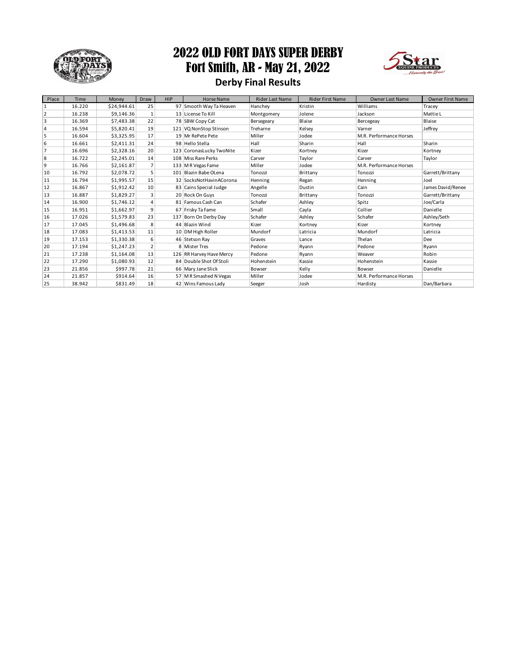

### 2022 OLD FORT DAYS SUPER DERBY Fort Smith, AR - May 21, 2022



### **Derby Final Results**

| Place          | Time   | Money       | Draw           | <b>HIP</b> | <b>Horse Name</b>        | <b>Rider Last Name</b> | <b>Rider First Name</b> | <b>Owner Last Name</b>  | <b>Owner First Name</b> |
|----------------|--------|-------------|----------------|------------|--------------------------|------------------------|-------------------------|-------------------------|-------------------------|
| $\mathbf{1}$   | 16.220 | \$24,944.61 | 25             |            | 97 Smooth Way Ta Heaven  | Hanchey                | Kristin                 | Williams                | Tracey                  |
| $\overline{2}$ | 16.238 | \$9,146.36  | 1              |            | 13 License To Kill       | Montgomery             | Jolene                  | Jackson                 | Mattie L                |
| 3              | 16.369 | \$7,483.38  | 22             |            | 78 SBW Copy Cat          | Bersegeary             | Blaise                  | Bercegeay               | Blaise                  |
| $\overline{4}$ | 16.594 | \$5,820.41  | 19             |            | 121 VQ NonStop Stinson   | Treharne               | Kelsev                  | Varner                  | Jeffrev                 |
| 5              | 16.604 | \$3,325.95  | 17             |            | 19 Mr RePete Pete        | Miller                 | Jodee                   | M.R. Performance Horses |                         |
| 6              | 16.661 | \$2,411.31  | 24             |            | 98 Hello Stella          | Hall                   | Sharin                  | Hall                    | Sharin                  |
| $\overline{7}$ | 16.696 | \$2,328.16  | 20             |            | 123 CoronasLucky TwoNite | Kizer                  | Kortney                 | Kizer                   | Kortnev                 |
| 8              | 16.722 | \$2,245.01  | 14             |            | 108 Miss Rare Perks      | Carver                 | Taylor                  | Carver                  | Taylor                  |
| 9              | 16.766 | \$2,161.87  | $\overline{7}$ |            | 133 M R Vegas Fame       | Miller                 | Jodee                   | M.R. Performance Horses |                         |
| 10             | 16.792 | \$2.078.72  | 5              |            | 101 Blazin Babe OLena    | Tonozzi                | Brittany                | Tonozzi                 | Garrett/Brittany        |
| 11             | 16.794 | \$1,995.57  | 15             |            | 32 SocksNotHavinACorona  | Henning                | Regan                   | Henning                 | Joel                    |
| 12             | 16.867 | \$1,912.42  | 10             |            | 83 Cains Special Judge   | Angelle                | Dustin                  | Cain                    | James David/Renee       |
| 13             | 16.887 | \$1,829.27  | 3              |            | 20 Rock On Guys          | Tonozzi                | Brittany                | Tonozzi                 | Garrett/Brittany        |
| 14             | 16.900 | \$1,746.12  | $\overline{4}$ |            | 81 Famous Cash Can       | Schafer                | Ashley                  | Spitz                   | Joe/Carla               |
| 15             | 16.951 | \$1,662.97  | 9              |            | 67 Frisky Ta Fame        | Small                  | Cayla                   | Collier                 | Danielle                |
| 16             | 17.026 | \$1,579.83  | 23             |            | 137 Born On Derby Day    | Schafer                | Ashley                  | Schafer                 | Ashley/Seth             |
| 17             | 17.045 | \$1,496.68  | 8              |            | 44 Blazin Wind           | Kizer                  | Kortney                 | Kizer                   | Kortney                 |
| 18             | 17.083 | \$1,413.53  | 11             |            | 10 DM High Roller        | Mundorf                | Latricia                | Mundorf                 | Latricia                |
| 19             | 17.153 | \$1,330.38  | 6              |            | 46 Stetson Ray           | Graves                 | Lance                   | Thelan                  | Dee                     |
| 20             | 17.194 | \$1.247.23  | $\overline{2}$ |            | 8 Mister Tres            | Pedone                 | Rvann                   | Pedone                  | Ryann                   |
| 21             | 17.238 | \$1,164.08  | 13             |            | 126 RR Harvey Have Mercy | Pedone                 | Ryann                   | Weaver                  | Robin                   |
| 22             | 17.290 | \$1,080.93  | 12             |            | 84 Double Shot Of Stoli  | Hohenstein             | Kassie                  | Hohenstein              | Kassie                  |
| 23             | 21.856 | \$997.78    | 21             |            | 66 Mary Jane Slick       | Bowser                 | Kelly                   | Bowser                  | Danielle                |
| 24             | 21.857 | \$914.64    | 16             |            | 57 M R Smashed N Vegas   | Miller                 | Jodee                   | M.R. Performance Horses |                         |
| 25             | 38.942 | \$831.49    | 18             |            | 42 Wins Famous Lady      | Seeger                 | Josh                    | Hardisty                | Dan/Barbara             |
|                |        |             |                |            |                          |                        |                         |                         |                         |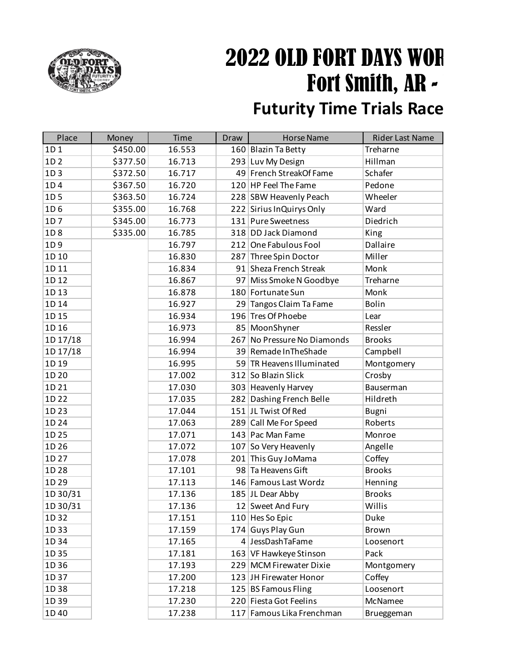

## 2022 OLD FORT DAYS WOR Fort Smith, AR -**Futurity Time Trials Race**

### Place Money Time Draw Horse Name Rider Last Name 1D 1 \$450.00 16.553 160 Blazin Ta Betty Treharne 1D 2  $\vert$  \$377.50 16.713 293 Luv My Design Hillman 1D 3 5372.50 16.717 49 French StreakOf Fame Schafer 1D 4 \$367.50 16.720 120 HP Feel The Fame Pedone 1D 5 5363.50 16.724 228 SBW Heavenly Peach Wheeler 1D 6 \$355.00 16.768 222 Sirius InQuirys Only Ward 1D 7 \$345.00 16.773 131 Pure Sweetness Diedrich 1D 8 \$335.00 16.785 318 DD Jack Diamond King 1D 9 16.797 212 One Fabulous Fool Dallaire 1D 10 16.830 287 Three Spin Doctor Miller 1D 11 16.834 91 Sheza French Streak Monk 1D 12 16.867 97 Miss Smoke N Goodbye Treharne 1D 13 16.878 180 Fortunate Sun Monk 1D 14 | 16.927 | 29 Tangos Claim Ta Fame | Bolin 1D 15 16.934 196 Tres Of Phoebe Lear 1D 16 16.973 85 MoonShyner Ressler 1D 17/18 16.994 267 No Pressure No Diamonds Brooks 1D 17/18 16.994 39 Remade InTheShade Campbell 1D 19 16.995 59 TR Heavens Illuminated Montgomery 1D 20 17.002 312 So Blazin Slick Crosby 1D 21 17.030 303 Heavenly Harvey Bauserman 1D 22 17.035 282 Dashing French Belle Hildreth 1D 23 | 17.044 | 151 JL Twist Of Red Bugni 1D 24 17.063 289 Call Me For Speed Roberts 1D 25 17.071 143 Pac Man Fame Monroe 1D 26 | 17.072 | 107 So Very Heavenly Angelle 1D 27 17.078 201 This Guy JoMama Coffey 1D 28 17.101 98 Ta Heavens Gift Brooks 1D 29 17.113 146 Famous Last Wordz Henning 1D 30/31 17.136 185 JL Dear Abby Brooks  $1D\,30/31$   $17.136$   $12$  Sweet And Fury Willis 1D 32 | 17.151 | 110 | Hes So Epic | Duke 1D 33 17.159 174 Guys Play Gun Brown 1D 34 17.165 4 JessDashTaFame Loosenort 1D 35 | 17.181 | 163 | VF Hawkeye Stinson | Pack 1D 36 17.193 229 MCM Firewater Dixie Montgomery 1D 37 17.200 123 JH Firewater Honor Coffey 1D 38 17.218 125 BS Famous Fling Loosenort 1D 39 17.230 220 Fiesta Got Feelins McNamee 1D 40 17.238 117 Famous Lika Frenchman Brueggeman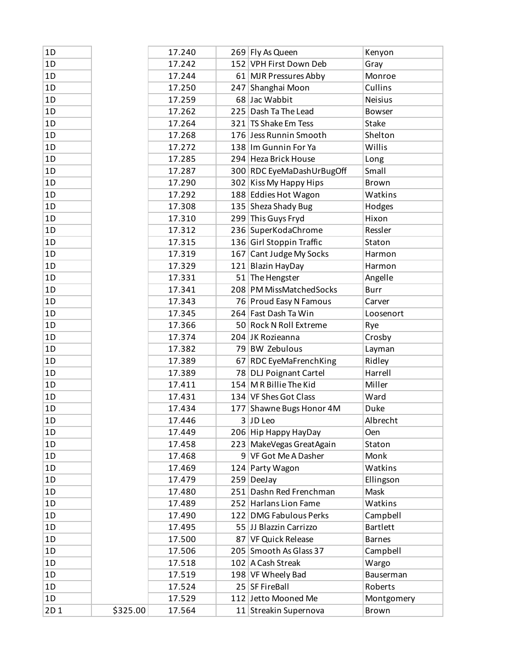| 1D  |          | 17.240 | 269 Fly As Queen          | Kenyon              |
|-----|----------|--------|---------------------------|---------------------|
| 1D  |          | 17.242 | 152 VPH First Down Deb    | Gray                |
| 1D  |          | 17.244 | 61 MJR Pressures Abby     | Monroe              |
| 1D  |          | 17.250 | 247 Shanghai Moon         | Cullins             |
| 1D  |          | 17.259 | 68 Jac Wabbit             | Neisius             |
| 1D  |          | 17.262 | 225 Dash Ta The Lead      | <b>Bowser</b>       |
| 1D  |          | 17.264 | 321 TS Shake Em Tess      | Stake               |
| 1D  |          | 17.268 | 176 Jess Runnin Smooth    | Shelton             |
| 1D  |          | 17.272 | 138 Im Gunnin For Ya      | Willis              |
| 1D  |          | 17.285 | 294 Heza Brick House      | Long                |
| 1D  |          | 17.287 | 300 RDC EyeMaDashUrBugOff | Small               |
| 1D  |          | 17.290 | 302 Kiss My Happy Hips    | Brown               |
| 1D  |          | 17.292 | 188 Eddies Hot Wagon      | Watkins             |
| 1D  |          | 17.308 | 135 Sheza Shady Bug       | Hodges              |
| 1D  |          | 17.310 | 299 This Guys Fryd        | Hixon               |
| 1D  |          | 17.312 | 236 SuperKodaChrome       | Ressler             |
| 1D  |          | 17.315 | 136 Girl Stoppin Traffic  | Staton              |
| 1D  |          | 17.319 | 167 Cant Judge My Socks   | Harmon              |
| 1D  |          | 17.329 | 121 Blazin HayDay         | Harmon              |
| 1D  |          | 17.331 | 51 The Hengster           | Angelle             |
| 1D  |          | 17.341 | 208 PM MissMatchedSocks   | <b>Burr</b>         |
| 1D  |          | 17.343 | 76 Proud Easy N Famous    | Carver              |
| 1D  |          | 17.345 | 264 Fast Dash Ta Win      | Loosenort           |
| 1D  |          | 17.366 | 50 Rock N Roll Extreme    | Rye                 |
| 1D  |          | 17.374 | 204 JK Rozieanna          | Crosby              |
| 1D  |          | 17.382 | 79 BW Zebulous            | Layman              |
| 1D  |          | 17.389 | 67 RDC EyeMaFrenchKing    | Ridley              |
| 1D  |          | 17.389 | 78 DLJ Poignant Cartel    | Harrell             |
| 1D  |          | 17.411 | 154 M R Billie The Kid    | Miller              |
| 1D  |          | 17.431 | 134 VF Shes Got Class     | Ward                |
| 1D  |          | 17.434 | 177 Shawne Bugs Honor 4M  | Duke                |
| 1D  |          | 17.446 | 3 JD Leo                  | Albrecht            |
| 1D  |          | 17.449 | 206 Hip Happy HayDay      | Oen                 |
| 1D  |          | 17.458 | 223 MakeVegas GreatAgain  | Staton              |
| 1D  |          | 17.468 | 9 VF Got Me A Dasher      | Monk                |
| 1D  |          | 17.469 | 124 Party Wagon           | Watkins             |
| 1D  |          | 17.479 | $259$ DeeJay              | Ellingson           |
| 1D  |          | 17.480 | 251 Dashn Red Frenchman   | Mask                |
| 1D  |          | 17.489 | 252 Harlans Lion Fame     | Watkins             |
| 1D  |          | 17.490 | 122 DMG Fabulous Perks    | Campbell            |
| 1D  |          | 17.495 | 55 JJ Blazzin Carrizzo    | <b>Bartlett</b>     |
| 1D  |          | 17.500 | 87 VF Quick Release       | <b>Barnes</b>       |
| 1D  |          | 17.506 | 205 Smooth As Glass 37    | Campbell            |
| 1D  |          | 17.518 | 102 A Cash Streak         | Wargo               |
| 1D  |          | 17.519 | 198 VF Wheely Bad         | Bauserman           |
| 1D  |          | 17.524 | 25 SF FireBall            | Roberts             |
| 1D  |          | 17.529 | 112 Jetto Mooned Me       |                     |
| 2D1 | \$325.00 |        |                           | Montgomery<br>Brown |
|     |          | 17.564 | 11 Streakin Supernova     |                     |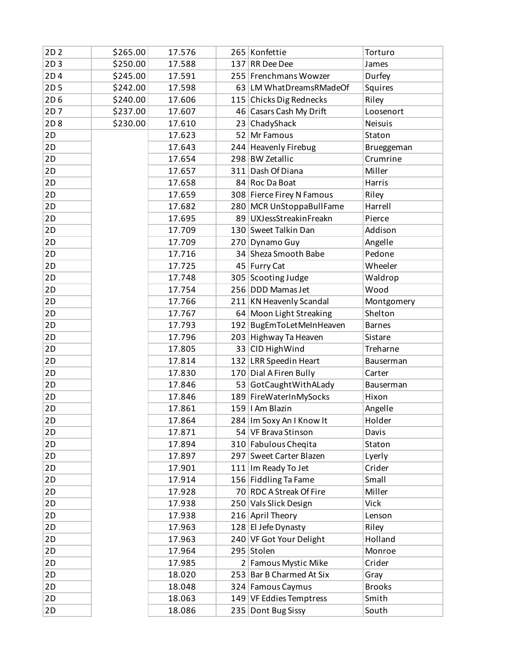| 2D <sub>2</sub> | \$265.00 | 17.576 |     | 265 Konfettie              | Torturo        |
|-----------------|----------|--------|-----|----------------------------|----------------|
| 2D3             | \$250.00 | 17.588 | 137 | RR Dee Dee                 | James          |
| 2D4             | \$245.00 | 17.591 |     | 255 Frenchmans Wowzer      | Durfey         |
| 2D <sub>5</sub> | \$242.00 | 17.598 |     | 63 LM What Dreams RMade Of | Squires        |
| 2D6             | \$240.00 | 17.606 |     | 115 Chicks Dig Rednecks    | Riley          |
| 2D7             | \$237.00 | 17.607 |     | 46 Casars Cash My Drift    | Loosenort      |
| 2D <sub>8</sub> | \$230.00 | 17.610 |     | 23 ChadyShack              | <b>Neisuis</b> |
| 2D              |          | 17.623 |     | 52 Mr Famous               | Staton         |
| 2D              |          | 17.643 |     | 244 Heavenly Firebug       | Brueggeman     |
| 2D              |          | 17.654 |     | 298 BW Zetallic            | Crumrine       |
| 2D              |          | 17.657 | 311 | Dash Of Diana              | Miller         |
| 2D              |          | 17.658 |     | 84 Roc Da Boat             | Harris         |
| 2D              |          | 17.659 |     | 308 Fierce Firey N Famous  | Riley          |
| 2D              |          | 17.682 |     | 280 MCR UnStoppaBullFame   | Harrell        |
| 2D              |          | 17.695 |     | 89 UXJessStreakinFreakn    | Pierce         |
| 2D              |          | 17.709 |     | 130 Sweet Talkin Dan       | Addison        |
| 2D              |          | 17.709 | 270 | Dynamo Guy                 | Angelle        |
| 2D              |          | 17.716 |     | 34 Sheza Smooth Babe       | Pedone         |
| 2D              |          | 17.725 |     | 45 Furry Cat               | Wheeler        |
| 2D              |          | 17.748 |     | 305 Scooting Judge         | Waldrop        |
| 2D              |          | 17.754 |     | 256 DDD Mamas Jet          | Wood           |
| 2D              |          | 17.766 |     | 211 KN Heavenly Scandal    | Montgomery     |
| 2D              |          | 17.767 |     | 64 Moon Light Streaking    | Shelton        |
| 2D              |          | 17.793 |     | 192 BugEmToLetMeInHeaven   | <b>Barnes</b>  |
| 2D              |          | 17.796 |     | 203 Highway Ta Heaven      | Sistare        |
| 2D              |          | 17.805 |     | 33 CID HighWind            | Treharne       |
| 2D              |          | 17.814 |     | 132 LRR Speedin Heart      | Bauserman      |
| 2D              |          | 17.830 |     | 170 Dial A Firen Bully     | Carter         |
| 2D              |          | 17.846 |     | 53 GotCaughtWithALady      | Bauserman      |
| 2D              |          | 17.846 |     | 189 FireWaterInMySocks     | Hixon          |
| 2D              |          | 17.861 |     | 159   I Am Blazin          | Angelle        |
| 2D              |          | 17.864 |     | 284   Im Soxy An I Know It | Holder         |
| 2D              |          | 17.871 |     | 54 VF Brava Stinson        | Davis          |
| 2D              |          | 17.894 |     | 310 Fabulous Cheqita       | Staton         |
| 2D              |          | 17.897 |     | 297 Sweet Carter Blazen    | Lyerly         |
| 2D              |          | 17.901 |     | 111 Im Ready To Jet        | Crider         |
| 2D              |          | 17.914 |     | 156 Fiddling Ta Fame       | Small          |
| 2D              |          | 17.928 |     | 70 RDC A Streak Of Fire    | Miller         |
| 2D              |          | 17.938 |     | 250 Vals Slick Design      | Vick           |
| 2D              |          | 17.938 |     | 216 April Theory           | Lenson         |
| 2D              |          | 17.963 |     | 128 El Jefe Dynasty        | Riley          |
| 2D              |          | 17.963 |     | 240 VF Got Your Delight    | Holland        |
| 2D              |          | 17.964 |     | 295 Stolen                 | Monroe         |
| 2D              |          | 17.985 |     | 2 Famous Mystic Mike       | Crider         |
| 2D              |          | 18.020 |     | 253 Bar B Charmed At Six   | Gray           |
| 2D              |          | 18.048 |     | 324 Famous Caymus          | <b>Brooks</b>  |
| 2D              |          | 18.063 |     | 149 VF Eddies Temptress    | Smith          |
| 2D              |          | 18.086 |     | 235 Dont Bug Sissy         | South          |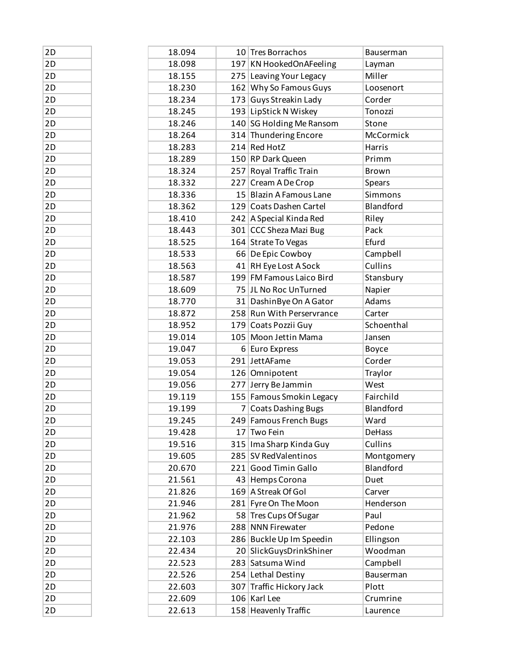| 2D | 18.094 |     | 10 Tres Borrachos         | Bauserman     |
|----|--------|-----|---------------------------|---------------|
| 2D | 18.098 |     | 197 KN HookedOnAFeeling   | Layman        |
| 2D | 18.155 |     | 275 Leaving Your Legacy   | Miller        |
| 2D | 18.230 |     | 162 Why So Famous Guys    | Loosenort     |
| 2D | 18.234 |     | 173 Guys Streakin Lady    | Corder        |
| 2D | 18.245 |     | 193 LipStick N Wiskey     | Tonozzi       |
| 2D | 18.246 |     | 140 SG Holding Me Ransom  | Stone         |
| 2D | 18.264 |     | 314 Thundering Encore     | McCormick     |
| 2D | 18.283 |     | 214 Red HotZ              | Harris        |
| 2D | 18.289 |     | 150 RP Dark Queen         | Primm         |
| 2D | 18.324 |     | 257 Royal Traffic Train   | <b>Brown</b>  |
| 2D | 18.332 |     | 227 Cream A De Crop       | Spears        |
| 2D | 18.336 |     | 15 Blazin A Famous Lane   | Simmons       |
| 2D | 18.362 |     | 129 Coats Dashen Cartel   | Blandford     |
| 2D | 18.410 |     | 242 A Special Kinda Red   | Riley         |
| 2D | 18.443 |     | 301 CCC Sheza Mazi Bug    | Pack          |
| 2D | 18.525 |     | 164 Strate To Vegas       | Efurd         |
| 2D | 18.533 |     | 66 De Epic Cowboy         | Campbell      |
| 2D | 18.563 |     | 41 RH Eye Lost A Sock     | Cullins       |
| 2D | 18.587 |     | 199 FM Famous Laico Bird  | Stansbury     |
| 2D | 18.609 |     | 75 JL No Roc UnTurned     | Napier        |
| 2D | 18.770 |     | 31 Dashin Bye On A Gator  | Adams         |
| 2D | 18.872 |     | 258 Run With Perservrance | Carter        |
| 2D | 18.952 |     | 179 Coats Pozzii Guy      | Schoenthal    |
| 2D | 19.014 |     | 105 Moon Jettin Mama      | Jansen        |
| 2D | 19.047 |     | 6 Euro Express            | Boyce         |
| 2D | 19.053 |     | 291 JettAFame             | Corder        |
| 2D | 19.054 |     | 126 Omnipotent            | Traylor       |
| 2D | 19.056 |     | 277 Jerry Be Jammin       | West          |
| 2D | 19.119 |     | 155 Famous Smokin Legacy  | Fairchild     |
| 2D | 19.199 |     | 7 Coats Dashing Bugs      | Blandford     |
| 2D | 19.245 |     | 249 Famous French Bugs    | Ward          |
| 2D | 19.428 |     | 17 Two Fein               | <b>DeHass</b> |
| 2D | 19.516 | 315 | Ima Sharp Kinda Guy       | Cullins       |
| 2D | 19.605 |     | 285 SV RedValentinos      | Montgomery    |
| 2D | 20.670 |     | 221 Good Timin Gallo      | Blandford     |
| 2D | 21.561 |     | 43 Hemps Corona           | Duet          |
| 2D | 21.826 |     | 169 A Streak Of Gol       | Carver        |
| 2D | 21.946 |     | 281 Fyre On The Moon      | Henderson     |
| 2D | 21.962 |     | 58 Tres Cups Of Sugar     | Paul          |
| 2D | 21.976 |     | 288 NNN Firewater         | Pedone        |
| 2D | 22.103 |     | 286 Buckle Up Im Speedin  | Ellingson     |
| 2D | 22.434 |     | 20 SlickGuysDrinkShiner   | Woodman       |
| 2D | 22.523 |     | 283 Satsuma Wind          | Campbell      |
| 2D | 22.526 |     | 254 Lethal Destiny        | Bauserman     |
| 2D | 22.603 |     | 307 Traffic Hickory Jack  | Plott         |
| 2D | 22.609 |     | 106 Karl Lee              | Crumrine      |
| 2D | 22.613 |     | 158 Heavenly Traffic      | Laurence      |
|    |        |     |                           |               |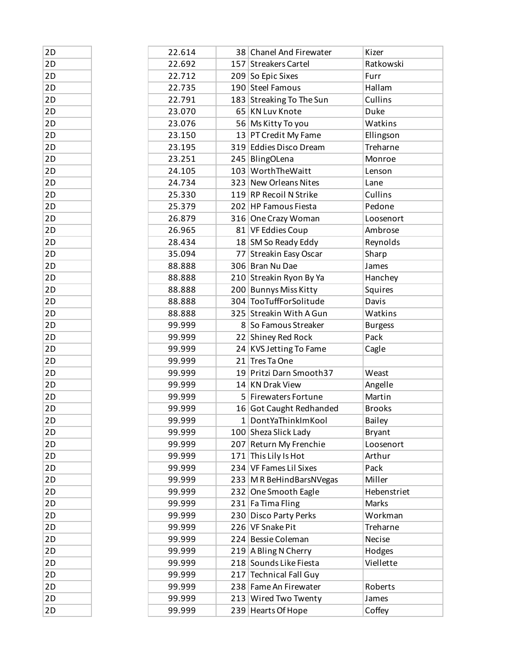| 2D | 22.614 | 38 Chanel And Firewater                  | Kizer          |
|----|--------|------------------------------------------|----------------|
| 2D | 22.692 | 157 Streakers Cartel                     | Ratkowski      |
| 2D | 22.712 | 209 So Epic Sixes                        | Furr           |
| 2D | 22.735 | 190 Steel Famous                         | Hallam         |
| 2D | 22.791 | 183 Streaking To The Sun                 | Cullins        |
| 2D | 23.070 | 65 KN Luv Knote                          | Duke           |
| 2D | 23.076 | 56 Ms Kitty To you                       | Watkins        |
| 2D | 23.150 | 13 PT Credit My Fame                     | Ellingson      |
| 2D | 23.195 | 319 Eddies Disco Dream                   | Treharne       |
| 2D | 23.251 | 245 BlingOLena                           | Monroe         |
| 2D | 24.105 | 103 WorthTheWaitt                        | Lenson         |
| 2D | 24.734 | 323 New Orleans Nites                    | Lane           |
| 2D | 25.330 | 119 RP Recoil N Strike                   | Cullins        |
| 2D | 25.379 | 202 HP Famous Fiesta                     | Pedone         |
| 2D | 26.879 | 316 One Crazy Woman                      | Loosenort      |
| 2D | 26.965 | 81 VF Eddies Coup                        | Ambrose        |
| 2D | 28.434 | 18 SM So Ready Eddy                      | Reynolds       |
| 2D | 35.094 | 77 Streakin Easy Oscar                   | Sharp          |
| 2D | 88.888 | 306 Bran Nu Dae                          | James          |
| 2D | 88.888 | 210 Streakin Ryon By Ya                  | Hanchey        |
| 2D | 88.888 | 200 Bunnys Miss Kitty                    | Squires        |
| 2D | 88.888 | 304 TooTuffForSolitude                   | Davis          |
| 2D | 88.888 | 325 Streakin With A Gun                  | Watkins        |
| 2D | 99.999 | 8 So Famous Streaker                     | <b>Burgess</b> |
| 2D | 99.999 | 22 Shiney Red Rock                       | Pack           |
| 2D | 99.999 |                                          |                |
| 2D |        | 24 KVS Jetting To Fame<br>21 Tres Ta One | Cagle          |
|    | 99.999 | 19 Pritzi Darn Smooth37                  | Weast          |
| 2D | 99.999 | 14 KN Drak View                          |                |
| 2D | 99.999 |                                          | Angelle        |
| 2D | 99.999 | 5 Firewaters Fortune                     | Martin         |
| 2D | 99.999 | 16 Got Caught Redhanded                  | <b>Brooks</b>  |
| 2D | 99.999 | 1 DontYaThinkImKool                      | <b>Bailey</b>  |
| 2D | 99.999 | 100 Sheza Slick Lady                     | <b>Bryant</b>  |
| 2D | 99.999 | 207 Return My Frenchie                   | Loosenort      |
| 2D | 99.999 | 171 This Lily Is Hot                     | Arthur         |
| 2D | 99.999 | 234 VF Fames Lil Sixes                   | Pack           |
| 2D | 99.999 | 233 M R BeHindBarsNVegas                 | Miller         |
| 2D | 99.999 | 232 One Smooth Eagle                     | Hebenstriet    |
| 2D | 99.999 | 231 Fa Tima Fling                        | Marks          |
| 2D | 99.999 | 230 Disco Party Perks                    | Workman        |
| 2D | 99.999 | 226 VF Snake Pit                         | Treharne       |
| 2D | 99.999 | 224 Bessie Coleman                       | Necise         |
| 2D | 99.999 | 219 A Bling N Cherry                     | Hodges         |
| 2D | 99.999 | 218 Sounds Like Fiesta                   | Viellette      |
| 2D | 99.999 | 217 Technical Fall Guy                   |                |
| 2D | 99.999 | 238 Fame An Firewater                    | Roberts        |
| 2D | 99.999 | 213 Wired Two Twenty                     | James          |
| 2D | 99.999 | 239 Hearts Of Hope                       | Coffey         |

| 2D       |
|----------|
| 2D       |
| 2D       |
| 2D       |
| 2D       |
| 2D       |
|          |
| 2D       |
| 2D       |
| 2D       |
| 2D       |
| 2D       |
| 2D       |
| 2D       |
| 2D       |
| 2D       |
| 2D       |
| 2D       |
| 2D       |
| 2D       |
| 2D       |
| 2D       |
| 2D       |
| 2D       |
| 2D       |
| 2D       |
| 2D       |
| 2D       |
| 2D       |
| 2D       |
| 2D       |
| 2D       |
| 2D       |
| 2D       |
| 2D       |
| 2D       |
| 2D       |
| 2D       |
| 2D       |
| 2D       |
| 2D       |
| 2D       |
| 2D       |
| 2D       |
| 2D       |
| 2D       |
| 2D       |
| 2D       |
| ว г<br>١ |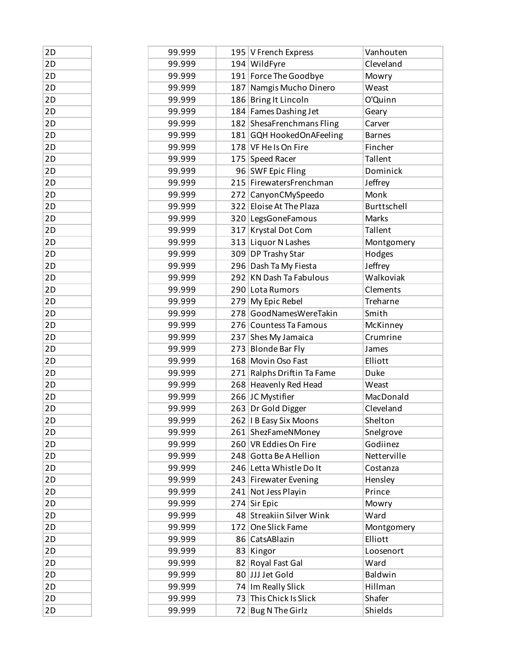| 2D | 99.999 | 195   V French Express                            | Vanhouten     |
|----|--------|---------------------------------------------------|---------------|
| 2D | 99.999 | 194 WildFyre                                      | Cleveland     |
| 2D | 99.999 | 191 Force The Goodbye                             | Mowry         |
| 2D | 99.999 | 187 Namgis Mucho Dinero                           | Weast         |
| 2D | 99.999 | 186 Bring It Lincoln                              | O'Quinn       |
| 2D | 99.999 | 184 Fames Dashing Jet                             | Geary         |
| 2D | 99.999 | 182 ShesaFrenchmans Fling                         | Carver        |
| 2D | 99.999 | 181 GQH HookedOnAFeeling                          | <b>Barnes</b> |
| 2D | 99.999 | 178 VF He Is On Fire                              | Fincher       |
| 2D | 99.999 | 175 Speed Racer                                   | Tallent       |
| 2D | 99.999 | 96 SWF Epic Fling                                 | Dominick      |
| 2D | 99.999 | 215 FirewatersFrenchman                           | Jeffrey       |
| 2D | 99.999 | 272 CanyonCMySpeedo                               | Monk          |
| 2D | 99.999 | 322 Eloise At The Plaza                           | Burttschell   |
| 2D | 99.999 | 320 LegsGoneFamous                                | Marks         |
| 2D | 99.999 | 317 Krystal Dot Com                               | Tallent       |
| 2D | 99.999 | 313 Liquor N Lashes                               | Montgomery    |
| 2D | 99.999 | 309 DP Trashy Star                                | Hodges        |
| 2D | 99.999 | 296 Dash Ta My Fiesta                             | Jeffrey       |
| 2D | 99.999 | 292 KN Dash Ta Fabulous                           | Walkoviak     |
| 2D | 99.999 | 290 Lota Rumors                                   | Clements      |
| 2D | 99.999 | 279 My Epic Rebel                                 | Treharne      |
| 2D | 99.999 | 278 GoodNamesWereTakin                            | Smith         |
| 2D | 99.999 | 276 Countess Ta Famous                            | McKinney      |
| 2D | 99.999 | 237 Shes My Jamaica                               | Crumrine      |
| 2D | 99.999 | 273 Blonde Bar Fly                                | James         |
| 2D | 99.999 | 168 Movin Oso Fast                                | Elliott       |
| 2D | 99.999 | 271 Ralphs Driftin Ta Fame                        | Duke          |
| 2D | 99.999 | 268 Heavenly Red Head                             | Weast         |
| 2D | 99.999 | 266 JC Mystifier                                  | MacDonald     |
| 2D | 99.999 | 263 Dr Gold Digger                                | Cleveland     |
| 2D |        | 262   I B Easy Six Moons                          |               |
|    | 99.999 |                                                   | Shelton       |
| 2D | 99.999 | 261 ShezFameNMoney                                | Snelgrove     |
| 2D | 99.999 | 260 VR Eddies On Fire                             | Godiinez      |
| 2D | 99.999 | 248 Gotta Be A Hellion<br>246 Letta Whistle Do It | Netterville   |
| 2D | 99.999 |                                                   | Costanza      |
| 2D | 99.999 | 243 Firewater Evening                             | Hensley       |
| 2D | 99.999 | 241 Not Jess Playin                               | Prince        |
| 2D | 99.999 | $274$ Sir Epic                                    | Mowry         |
| 2D | 99.999 | 48 Streakiin Silver Wink                          | Ward          |
| 2D | 99.999 | 172 One Slick Fame                                | Montgomery    |
| 2D | 99.999 | 86 CatsABlazin                                    | Elliott       |
| 2D | 99.999 | 83 Kingor                                         | Loosenort     |
| 2D | 99.999 | 82 Royal Fast Gal                                 | Ward          |
| 2D | 99.999 | 80 JJJ Jet Gold                                   | Baldwin       |
| 2D | 99.999 | 74 Im Really Slick                                | Hillman       |
| 2D | 99.999 | 73 This Chick Is Slick                            | Shafer        |
| 2D | 99.999 | 72 Bug N The Girlz                                | Shields       |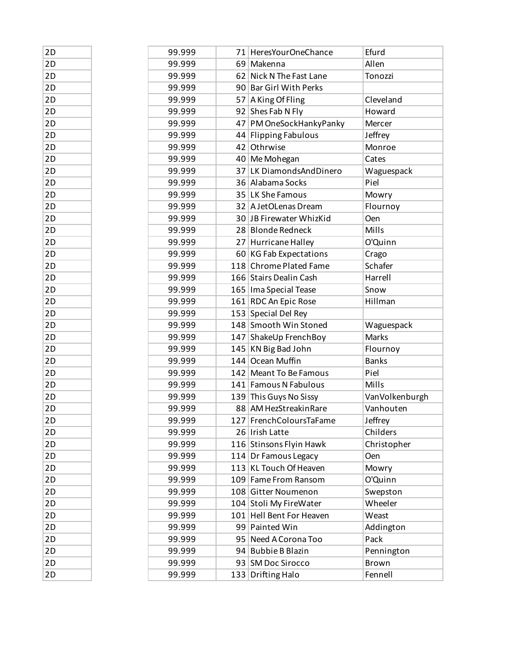| 2D | 99.999 | 71 HeresYourOneChance    | Efurd          |
|----|--------|--------------------------|----------------|
| 2D | 99.999 | 69 Makenna               | Allen          |
| 2D | 99.999 | 62 Nick N The Fast Lane  | Tonozzi        |
| 2D | 99.999 | 90 Bar Girl With Perks   |                |
| 2D | 99.999 | 57 A King Of Fling       | Cleveland      |
| 2D | 99.999 | 92 Shes Fab N Fly        | Howard         |
| 2D | 99.999 | 47 PM OneSockHankyPanky  | Mercer         |
| 2D | 99.999 | 44 Flipping Fabulous     | Jeffrey        |
| 2D | 99.999 | 42 Othrwise              | Monroe         |
| 2D | 99.999 | 40 Me Mohegan            | Cates          |
| 2D | 99.999 | 37 LK DiamondsAndDinero  | Waguespack     |
| 2D | 99.999 | 36 Alabama Socks         | Piel           |
| 2D | 99.999 | 35 LK She Famous         | Mowry          |
| 2D | 99.999 | 32 A JetOLenas Dream     | Flournoy       |
| 2D | 99.999 | 30 JB Firewater WhizKid  | Oen            |
| 2D | 99.999 | 28 Blonde Redneck        | Mills          |
| 2D | 99.999 | 27 Hurricane Halley      | O'Quinn        |
| 2D | 99.999 | 60 KG Fab Expectations   | Crago          |
| 2D | 99.999 | 118 Chrome Plated Fame   | Schafer        |
| 2D | 99.999 | 166 Stairs Dealin Cash   | Harrell        |
| 2D | 99.999 | 165   Ima Special Tease  | Snow           |
| 2D | 99.999 | 161 RDC An Epic Rose     | Hillman        |
| 2D | 99.999 | 153 Special Del Rey      |                |
| 2D | 99.999 | 148 Smooth Win Stoned    | Waguespack     |
| 2D | 99.999 | 147 ShakeUp FrenchBoy    | Marks          |
| 2D | 99.999 | 145 KN Big Bad John      | Flournoy       |
| 2D | 99.999 | 144 Ocean Muffin         | <b>Banks</b>   |
| 2D | 99.999 | 142 Meant To Be Famous   | Piel           |
| 2D | 99.999 | 141 Famous N Fabulous    | Mills          |
| 2D | 99.999 | 139 This Guys No Sissy   | VanVolkenburgh |
| 2D | 99.999 | 88 AM HezStreakinRare    | Vanhouten      |
| 2D | 99.999 | 127 FrenchColoursTaFame  | Jeffrey        |
| 2D | 99.999 | 26 Irish Latte           | Childers       |
| 2D | 99.999 | 116 Stinsons Flyin Hawk  | Christopher    |
| 2D | 99.999 | 114 Dr Famous Legacy     | Oen            |
| 2D | 99.999 | 113 KL Touch Of Heaven   | Mowry          |
| 2D | 99.999 | 109 Fame From Ransom     | O'Quinn        |
| 2D | 99.999 | 108 Gitter Noumenon      | Swepston       |
| 2D | 99.999 | 104 Stoli My FireWater   | Wheeler        |
| 2D | 99.999 | 101 Hell Bent For Heaven | Weast          |
| 2D | 99.999 | 99 Painted Win           | Addington      |
| 2D | 99.999 | 95 Need A Corona Too     | Pack           |
| 2D | 99.999 | 94 Bubbie B Blazin       | Pennington     |
| 2D | 99.999 | 93 SM Doc Sirocco        | <b>Brown</b>   |
| 2D | 99.999 | 133 Drifting Halo        | Fennell        |

| 2D<br>2D<br>2D<br>2D<br>2D<br>2D<br>2D<br>2D<br>2D<br>2D<br>2D<br>2D<br>2D<br>2D<br>2D<br>2D<br>2D<br>2D<br>2D<br>2D<br>2D<br>2D<br>2D<br>2D<br>2D<br>2D<br>2D<br>2D<br>2D<br>2D<br>2D<br>2D<br>2D<br>2D<br>2D<br>2D<br>2D<br>2D<br>2D<br>2D<br>2D<br>2D<br>2D<br>2D |    |
|----------------------------------------------------------------------------------------------------------------------------------------------------------------------------------------------------------------------------------------------------------------------|----|
|                                                                                                                                                                                                                                                                      |    |
|                                                                                                                                                                                                                                                                      |    |
|                                                                                                                                                                                                                                                                      |    |
|                                                                                                                                                                                                                                                                      |    |
|                                                                                                                                                                                                                                                                      |    |
|                                                                                                                                                                                                                                                                      |    |
|                                                                                                                                                                                                                                                                      |    |
|                                                                                                                                                                                                                                                                      |    |
|                                                                                                                                                                                                                                                                      |    |
|                                                                                                                                                                                                                                                                      |    |
|                                                                                                                                                                                                                                                                      |    |
|                                                                                                                                                                                                                                                                      |    |
|                                                                                                                                                                                                                                                                      |    |
|                                                                                                                                                                                                                                                                      |    |
|                                                                                                                                                                                                                                                                      |    |
|                                                                                                                                                                                                                                                                      |    |
|                                                                                                                                                                                                                                                                      |    |
|                                                                                                                                                                                                                                                                      |    |
|                                                                                                                                                                                                                                                                      |    |
|                                                                                                                                                                                                                                                                      |    |
|                                                                                                                                                                                                                                                                      |    |
|                                                                                                                                                                                                                                                                      |    |
|                                                                                                                                                                                                                                                                      |    |
|                                                                                                                                                                                                                                                                      |    |
|                                                                                                                                                                                                                                                                      |    |
|                                                                                                                                                                                                                                                                      |    |
|                                                                                                                                                                                                                                                                      |    |
|                                                                                                                                                                                                                                                                      |    |
|                                                                                                                                                                                                                                                                      |    |
|                                                                                                                                                                                                                                                                      |    |
|                                                                                                                                                                                                                                                                      |    |
|                                                                                                                                                                                                                                                                      |    |
|                                                                                                                                                                                                                                                                      |    |
|                                                                                                                                                                                                                                                                      |    |
|                                                                                                                                                                                                                                                                      |    |
|                                                                                                                                                                                                                                                                      |    |
|                                                                                                                                                                                                                                                                      |    |
|                                                                                                                                                                                                                                                                      |    |
|                                                                                                                                                                                                                                                                      |    |
|                                                                                                                                                                                                                                                                      |    |
|                                                                                                                                                                                                                                                                      |    |
|                                                                                                                                                                                                                                                                      |    |
|                                                                                                                                                                                                                                                                      |    |
|                                                                                                                                                                                                                                                                      |    |
|                                                                                                                                                                                                                                                                      | 2D |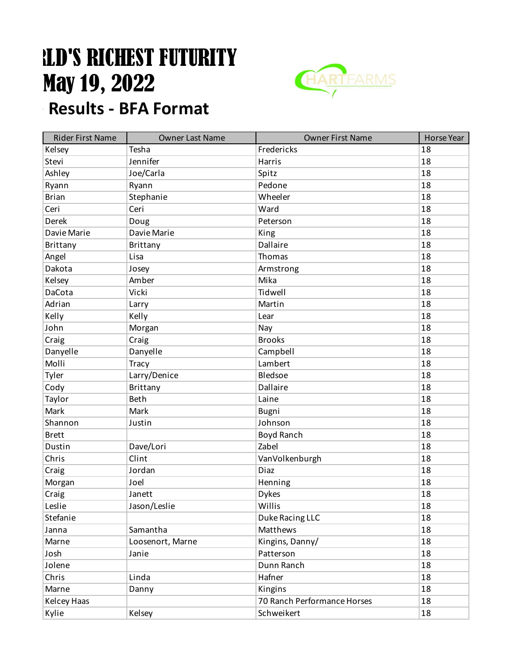## **LD'S RICHEST FUTURITY** May 19, 2022 **Results - BFA Format**



| <b>Rider First Name</b> | <b>Owner Last Name</b> | <b>Owner First Name</b>     | <b>Horse Year</b> |
|-------------------------|------------------------|-----------------------------|-------------------|
| Kelsey                  | Tesha                  | Fredericks                  | 18                |
| Stevi                   | Jennifer               | <b>Harris</b>               | 18                |
| Ashley                  | Joe/Carla              | Spitz                       | 18                |
| Ryann                   | Ryann                  | Pedone                      | 18                |
| <b>Brian</b>            | Stephanie              | Wheeler                     | 18                |
| Ceri                    | Ceri                   | Ward                        | 18                |
| Derek                   | Doug                   | Peterson                    | 18                |
| Davie Marie             | Davie Marie            | King                        | 18                |
| Brittany                | Brittany               | Dallaire                    | 18                |
| Angel                   | Lisa                   | Thomas                      | 18                |
| Dakota                  | Josey                  | Armstrong                   | 18                |
| Kelsey                  | Amber                  | Mika                        | 18                |
| DaCota                  | Vicki                  | Tidwell                     | 18                |
| Adrian                  | Larry                  | Martin                      | 18                |
| Kelly                   | Kelly                  | Lear                        | 18                |
| John                    | Morgan                 | Nay                         | 18                |
| Craig                   | Craig                  | <b>Brooks</b>               | 18                |
| Danyelle                | Danyelle               | Campbell                    | 18                |
| Molli                   | <b>Tracy</b>           | Lambert                     | 18                |
| Tyler                   | Larry/Denice           | Bledsoe                     | 18                |
| Cody                    | <b>Brittany</b>        | Dallaire                    | 18                |
| Taylor                  | Beth                   | Laine                       | 18                |
| Mark                    | Mark                   | Bugni                       | 18                |
| Shannon                 | Justin                 | Johnson                     | 18                |
| <b>Brett</b>            |                        | Boyd Ranch                  | 18                |
| Dustin                  | Dave/Lori              | Zabel                       | 18                |
| Chris                   | Clint                  | VanVolkenburgh              | 18                |
| Craig                   | Jordan                 | Diaz                        | 18                |
| Morgan                  | Joel                   | Henning                     | 18                |
| Craig                   | Janett                 | <b>Dykes</b>                | 18                |
| Leslie                  | Jason/Leslie           | Willis                      | 18                |
| Stefanie                |                        | Duke Racing LLC             | 18                |
| Janna                   | Samantha               | Matthews                    | 18                |
| Marne                   | Loosenort, Marne       | Kingins, Danny/             | 18                |
| Josh                    | Janie                  | Patterson                   | 18                |
| Jolene                  |                        | Dunn Ranch                  | 18                |
| Chris                   | Linda                  | Hafner                      | 18                |
| Marne                   | Danny                  | Kingins                     | 18                |
| Kelcey Haas             |                        | 70 Ranch Performance Horses | 18                |
| Kylie                   | Kelsey                 | Schweikert                  | 18                |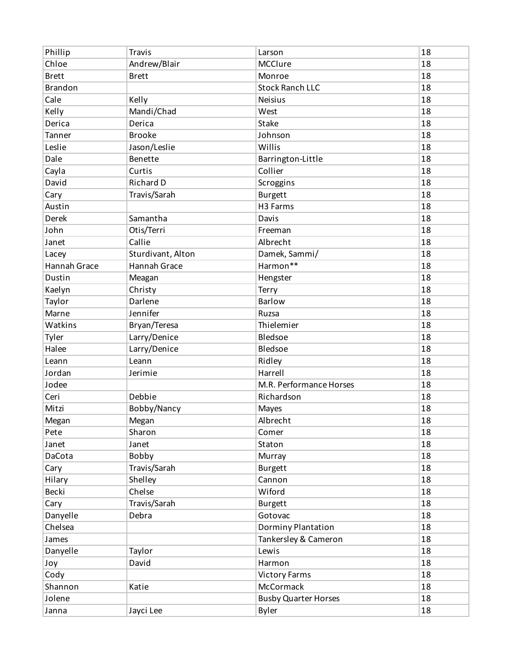| Phillip             | <b>Travis</b>     | Larson                      | 18 |
|---------------------|-------------------|-----------------------------|----|
| Chloe               | Andrew/Blair      | MCClure                     | 18 |
| <b>Brett</b>        | <b>Brett</b>      | Monroe                      | 18 |
| <b>Brandon</b>      |                   | <b>Stock Ranch LLC</b>      | 18 |
| Cale                | Kelly             | Neisius                     | 18 |
| Kelly               | Mandi/Chad        | West                        | 18 |
| Derica              | Derica            | <b>Stake</b>                | 18 |
| Tanner              | <b>Brooke</b>     | Johnson                     | 18 |
| Leslie              | Jason/Leslie      | Willis                      | 18 |
| Dale                | Benette           | Barrington-Little           | 18 |
| Cayla               | Curtis            | Collier                     | 18 |
| David               | Richard D         | Scroggins                   | 18 |
| Cary                | Travis/Sarah      | <b>Burgett</b>              | 18 |
| Austin              |                   | H <sub>3</sub> Farms        | 18 |
| Derek               | Samantha          | Davis                       | 18 |
| John                | Otis/Terri        | Freeman                     | 18 |
| Janet               | Callie            | Albrecht                    | 18 |
| Lacey               | Sturdivant, Alton | Damek, Sammi/               | 18 |
| <b>Hannah Grace</b> | Hannah Grace      | Harmon**                    | 18 |
| Dustin              | Meagan            | Hengster                    | 18 |
| Kaelyn              | Christy           | Terry                       | 18 |
| Taylor              | Darlene           | Barlow                      | 18 |
| Marne               | Jennifer          | Ruzsa                       | 18 |
| Watkins             | Bryan/Teresa      | Thielemier                  | 18 |
| Tyler               | Larry/Denice      | Bledsoe                     | 18 |
| Halee               | Larry/Denice      | Bledsoe                     | 18 |
| Leann               | Leann             | Ridley                      | 18 |
| Jordan              | Jerimie           | Harrell                     | 18 |
| Jodee               |                   | M.R. Performance Horses     | 18 |
| Ceri                | Debbie            | Richardson                  | 18 |
| Mitzi               | Bobby/Nancy       | Mayes                       | 18 |
| Megan               | Megan             | Albrecht                    | 18 |
| Pete                | Sharon            | Comer                       | 18 |
| Janet               | Janet             | Staton                      | 18 |
| DaCota              | Bobby             | Murray                      | 18 |
| Cary                | Travis/Sarah      | <b>Burgett</b>              | 18 |
| Hilary              | Shelley           | Cannon                      | 18 |
| Becki               | Chelse            | Wiford                      | 18 |
| Cary                | Travis/Sarah      | <b>Burgett</b>              | 18 |
| Danyelle            | Debra             | Gotovac                     | 18 |
| Chelsea             |                   | Dorminy Plantation          | 18 |
| James               |                   | Tankersley & Cameron        | 18 |
| Danyelle            | Taylor            | Lewis                       | 18 |
| Joy                 | David             | Harmon                      | 18 |
| Cody                |                   | <b>Victory Farms</b>        | 18 |
| Shannon             | Katie             | McCormack                   | 18 |
| Jolene              |                   | <b>Busby Quarter Horses</b> | 18 |
| Janna               | Jayci Lee         | <b>Byler</b>                | 18 |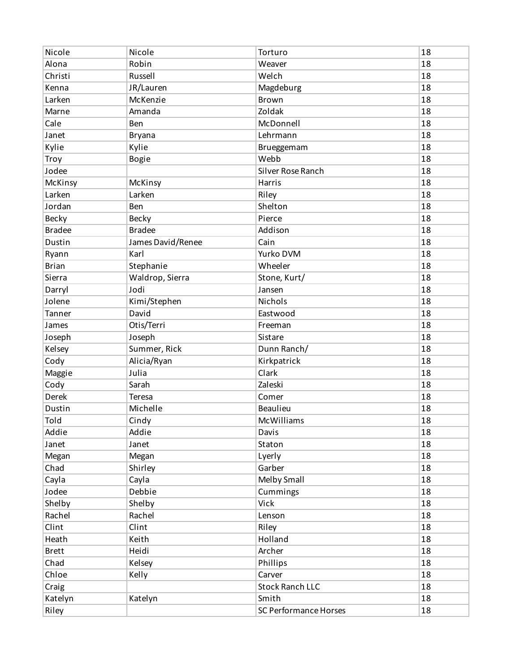| Nicole        | Nicole            | Torturo                | 18 |
|---------------|-------------------|------------------------|----|
| Alona         | Robin             | Weaver                 | 18 |
| Christi       | Russell           | Welch                  | 18 |
| Kenna         | JR/Lauren         | Magdeburg              | 18 |
| Larken        | McKenzie          | Brown                  | 18 |
| Marne         | Amanda            | Zoldak                 | 18 |
| Cale          | Ben               | McDonnell              | 18 |
| Janet         | <b>Bryana</b>     | Lehrmann               | 18 |
| Kylie         | Kylie             | Brueggemam             | 18 |
| Troy          | <b>Bogie</b>      | Webb                   | 18 |
| Jodee         |                   | Silver Rose Ranch      | 18 |
| McKinsy       | McKinsy           | Harris                 | 18 |
| Larken        | Larken            | Riley                  | 18 |
| Jordan        | Ben               | Shelton                | 18 |
| Becky         | <b>Becky</b>      | Pierce                 | 18 |
| <b>Bradee</b> | <b>Bradee</b>     | Addison                | 18 |
| Dustin        | James David/Renee | Cain                   | 18 |
| Ryann         | Karl              | Yurko DVM              | 18 |
| <b>Brian</b>  | Stephanie         | Wheeler                | 18 |
| Sierra        | Waldrop, Sierra   | Stone, Kurt/           | 18 |
| Darryl        | Jodi              | Jansen                 | 18 |
| Jolene        | Kimi/Stephen      | Nichols                | 18 |
| Tanner        | David             | Eastwood               | 18 |
| James         | Otis/Terri        | Freeman                | 18 |
| Joseph        | Joseph            | Sistare                | 18 |
| Kelsey        | Summer, Rick      | Dunn Ranch/            | 18 |
| Cody          | Alicia/Ryan       | Kirkpatrick            | 18 |
| Maggie        | Julia             | Clark                  | 18 |
| Cody          | Sarah             | Zaleski                | 18 |
| Derek         | Teresa            | Comer                  | 18 |
| Dustin        | Michelle          | <b>Beaulieu</b>        | 18 |
| Told          | Cindy             | McWilliams             | 18 |
| Addie         | Addie             | Davis                  | 18 |
| Janet         | Janet             | Staton                 | 18 |
| Megan         | Megan             | Lyerly                 | 18 |
| Chad          | Shirley           | Garber                 | 18 |
| Cayla         | Cayla             | Melby Small            | 18 |
| Jodee         | Debbie            | Cummings               | 18 |
| Shelby        | Shelby            | Vick                   | 18 |
| Rachel        | Rachel            | Lenson                 | 18 |
| Clint         | Clint             | Riley                  | 18 |
| Heath         | Keith             | Holland                | 18 |
| <b>Brett</b>  | Heidi             | Archer                 | 18 |
| Chad          | Kelsey            | Phillips               | 18 |
| Chloe         | Kelly             | Carver                 | 18 |
| Craig         |                   | <b>Stock Ranch LLC</b> | 18 |
| Katelyn       | Katelyn           | Smith                  | 18 |
| Riley         |                   | SC Performance Horses  | 18 |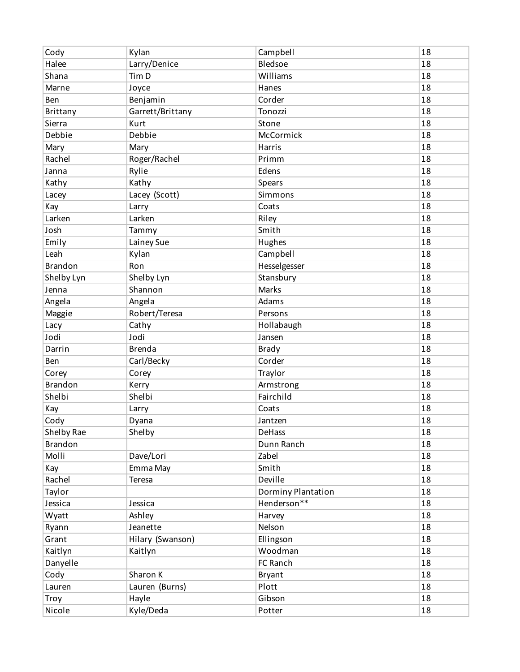| Cody            | Kylan            | Campbell           | 18 |
|-----------------|------------------|--------------------|----|
| Halee           | Larry/Denice     | Bledsoe            | 18 |
| Shana           | Tim D            | Williams           | 18 |
| Marne           | Joyce            | Hanes              | 18 |
| Ben             | Benjamin         | Corder             | 18 |
| <b>Brittany</b> | Garrett/Brittany | Tonozzi            | 18 |
| Sierra          | Kurt             | Stone              | 18 |
| Debbie          | Debbie           | McCormick          | 18 |
| Mary            | Mary             | Harris             | 18 |
| Rachel          | Roger/Rachel     | Primm              | 18 |
| Janna           | Rylie            | Edens              | 18 |
| Kathy           | Kathy            | Spears             | 18 |
| Lacey           | Lacey (Scott)    | Simmons            | 18 |
| Kay             | Larry            | Coats              | 18 |
| Larken          | Larken           | Riley              | 18 |
| Josh            | Tammy            | Smith              | 18 |
| Emily           | Lainey Sue       | Hughes             | 18 |
| Leah            | Kylan            | Campbell           | 18 |
| <b>Brandon</b>  | Ron              | Hesselgesser       | 18 |
| Shelby Lyn      | Shelby Lyn       | Stansbury          | 18 |
| Jenna           | Shannon          | <b>Marks</b>       | 18 |
| Angela          | Angela           | Adams              | 18 |
| Maggie          | Robert/Teresa    | Persons            | 18 |
| Lacy            | Cathy            | Hollabaugh         | 18 |
| Jodi            | Jodi             | Jansen             | 18 |
| Darrin          | <b>Brenda</b>    | <b>Brady</b>       | 18 |
| Ben             | Carl/Becky       | Corder             | 18 |
| Corey           | Corey            | Traylor            | 18 |
| <b>Brandon</b>  | Kerry            | Armstrong          | 18 |
| Shelbi          | Shelbi           | Fairchild          | 18 |
| Kay             | Larry            | Coats              | 18 |
| Cody            | Dyana            | Jantzen            | 18 |
| Shelby Rae      | Shelby           | DeHass             | 18 |
| <b>Brandon</b>  |                  | Dunn Ranch         | 18 |
| Molli           | Dave/Lori        | Zabel              | 18 |
| Kay             | Emma May         | Smith              | 18 |
| Rachel          | Teresa           | Deville            | 18 |
| Taylor          |                  | Dorminy Plantation | 18 |
| Jessica         | Jessica          | Henderson**        | 18 |
| Wyatt           | Ashley           | Harvey             | 18 |
| Ryann           | Jeanette         | Nelson             | 18 |
| Grant           | Hilary (Swanson) | Ellingson          | 18 |
| Kaitlyn         | Kaitlyn          | Woodman            | 18 |
| Danyelle        |                  | FC Ranch           | 18 |
| Cody            | Sharon K         | <b>Bryant</b>      | 18 |
| Lauren          | Lauren (Burns)   | Plott              | 18 |
| Troy            | Hayle            | Gibson             | 18 |
| Nicole          | Kyle/Deda        | Potter             | 18 |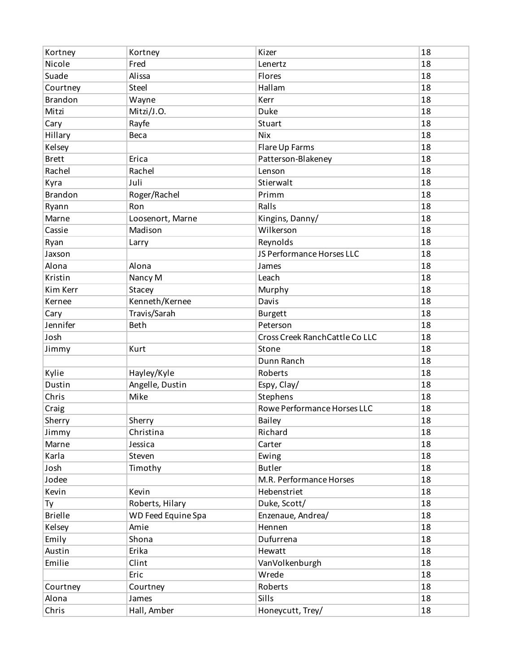| Nicole<br>Fred<br>18<br>Lenertz<br>Suade<br>18<br>Alissa<br>Flores<br>Hallam<br>Steel<br>18<br>Courtney<br><b>Brandon</b><br>Kerr<br>18<br>Wayne<br>Mitzi<br>18<br>Mitzi/J.O.<br>Duke<br>Rayfe<br>Stuart<br>18<br>Cary<br>Hillary<br><b>Nix</b><br>18<br>Beca<br>18<br>Kelsey<br>Flare Up Farms<br><b>Brett</b><br>18<br>Erica<br>Patterson-Blakeney<br>Rachel<br>Rachel<br>18<br>Lenson<br>Stierwalt<br>18<br>Juli<br>Kyra<br><b>Brandon</b><br>Roger/Rachel<br>Primm<br>18<br>Ralls<br>18<br>Ryann<br>Ron<br>18<br>Loosenort, Marne<br>Kingins, Danny/<br>Marne<br>Wilkerson<br>Madison<br>18<br>Cassie<br>Reynolds<br>18<br>Ryan<br>Larry<br>JS Performance Horses LLC<br>18<br>Jaxson<br>Alona<br>Alona<br>18<br>James<br>Kristin<br>18<br>Nancy M<br>Leach<br>18<br>Kim Kerr<br>Stacey<br>Murphy<br>Kenneth/Kernee<br>Kernee<br>Davis<br>18<br>Travis/Sarah<br>18<br>Cary<br><b>Burgett</b><br>Jennifer<br>18<br><b>Beth</b><br>Peterson<br>Josh<br>Cross Creek Ranch Cattle Co LLC<br>18<br>18<br>Jimmy<br>Kurt<br>Stone<br>18<br>Dunn Ranch<br>Kylie<br>Hayley/Kyle<br>Roberts<br>18<br>Angelle, Dustin<br>Espy, Clay/<br>18<br>Dustin<br>Mike<br>Stephens<br>18<br>Chris<br>Rowe Performance Horses LLC<br>Craig<br>18<br>Sherry<br>18<br><b>Bailey</b><br>Sherry<br>18<br>Christina<br>Richard<br>Jimmy<br>Marne<br>Jessica<br>Carter<br>18<br>Karla<br>18<br>Steven<br>Ewing<br>18<br>Josh<br>Timothy<br><b>Butler</b><br>Jodee<br>M.R. Performance Horses<br>18<br>Kevin<br>Hebenstriet<br>18<br>Kevin<br>18<br>Roberts, Hilary<br>Duke, Scott/<br>Ty<br><b>Brielle</b><br>WD Feed Equine Spa<br>Enzenaue, Andrea/<br>18<br>Kelsey<br>Hennen<br>18<br>Amie<br>18<br>Emily<br>Shona<br>Dufurrena<br>Austin<br>Erika<br>Hewatt<br>18<br>Emilie<br>Clint<br>18<br>VanVolkenburgh<br>Wrede<br>18<br>Eric<br>Roberts<br>18<br>Courtney<br>Courtney<br>Sills<br>Alona<br>18<br>James<br>Chris<br>Hall, Amber<br>Honeycutt, Trey/<br>18 | Kortney | Kortney | Kizer | 18 |
|---------------------------------------------------------------------------------------------------------------------------------------------------------------------------------------------------------------------------------------------------------------------------------------------------------------------------------------------------------------------------------------------------------------------------------------------------------------------------------------------------------------------------------------------------------------------------------------------------------------------------------------------------------------------------------------------------------------------------------------------------------------------------------------------------------------------------------------------------------------------------------------------------------------------------------------------------------------------------------------------------------------------------------------------------------------------------------------------------------------------------------------------------------------------------------------------------------------------------------------------------------------------------------------------------------------------------------------------------------------------------------------------------------------------------------------------------------------------------------------------------------------------------------------------------------------------------------------------------------------------------------------------------------------------------------------------------------------------------------------------------------------------------------------------------------------------------------------------------------------------------------------------------------------------------------------------|---------|---------|-------|----|
|                                                                                                                                                                                                                                                                                                                                                                                                                                                                                                                                                                                                                                                                                                                                                                                                                                                                                                                                                                                                                                                                                                                                                                                                                                                                                                                                                                                                                                                                                                                                                                                                                                                                                                                                                                                                                                                                                                                                             |         |         |       |    |
|                                                                                                                                                                                                                                                                                                                                                                                                                                                                                                                                                                                                                                                                                                                                                                                                                                                                                                                                                                                                                                                                                                                                                                                                                                                                                                                                                                                                                                                                                                                                                                                                                                                                                                                                                                                                                                                                                                                                             |         |         |       |    |
|                                                                                                                                                                                                                                                                                                                                                                                                                                                                                                                                                                                                                                                                                                                                                                                                                                                                                                                                                                                                                                                                                                                                                                                                                                                                                                                                                                                                                                                                                                                                                                                                                                                                                                                                                                                                                                                                                                                                             |         |         |       |    |
|                                                                                                                                                                                                                                                                                                                                                                                                                                                                                                                                                                                                                                                                                                                                                                                                                                                                                                                                                                                                                                                                                                                                                                                                                                                                                                                                                                                                                                                                                                                                                                                                                                                                                                                                                                                                                                                                                                                                             |         |         |       |    |
|                                                                                                                                                                                                                                                                                                                                                                                                                                                                                                                                                                                                                                                                                                                                                                                                                                                                                                                                                                                                                                                                                                                                                                                                                                                                                                                                                                                                                                                                                                                                                                                                                                                                                                                                                                                                                                                                                                                                             |         |         |       |    |
|                                                                                                                                                                                                                                                                                                                                                                                                                                                                                                                                                                                                                                                                                                                                                                                                                                                                                                                                                                                                                                                                                                                                                                                                                                                                                                                                                                                                                                                                                                                                                                                                                                                                                                                                                                                                                                                                                                                                             |         |         |       |    |
|                                                                                                                                                                                                                                                                                                                                                                                                                                                                                                                                                                                                                                                                                                                                                                                                                                                                                                                                                                                                                                                                                                                                                                                                                                                                                                                                                                                                                                                                                                                                                                                                                                                                                                                                                                                                                                                                                                                                             |         |         |       |    |
|                                                                                                                                                                                                                                                                                                                                                                                                                                                                                                                                                                                                                                                                                                                                                                                                                                                                                                                                                                                                                                                                                                                                                                                                                                                                                                                                                                                                                                                                                                                                                                                                                                                                                                                                                                                                                                                                                                                                             |         |         |       |    |
|                                                                                                                                                                                                                                                                                                                                                                                                                                                                                                                                                                                                                                                                                                                                                                                                                                                                                                                                                                                                                                                                                                                                                                                                                                                                                                                                                                                                                                                                                                                                                                                                                                                                                                                                                                                                                                                                                                                                             |         |         |       |    |
|                                                                                                                                                                                                                                                                                                                                                                                                                                                                                                                                                                                                                                                                                                                                                                                                                                                                                                                                                                                                                                                                                                                                                                                                                                                                                                                                                                                                                                                                                                                                                                                                                                                                                                                                                                                                                                                                                                                                             |         |         |       |    |
|                                                                                                                                                                                                                                                                                                                                                                                                                                                                                                                                                                                                                                                                                                                                                                                                                                                                                                                                                                                                                                                                                                                                                                                                                                                                                                                                                                                                                                                                                                                                                                                                                                                                                                                                                                                                                                                                                                                                             |         |         |       |    |
|                                                                                                                                                                                                                                                                                                                                                                                                                                                                                                                                                                                                                                                                                                                                                                                                                                                                                                                                                                                                                                                                                                                                                                                                                                                                                                                                                                                                                                                                                                                                                                                                                                                                                                                                                                                                                                                                                                                                             |         |         |       |    |
|                                                                                                                                                                                                                                                                                                                                                                                                                                                                                                                                                                                                                                                                                                                                                                                                                                                                                                                                                                                                                                                                                                                                                                                                                                                                                                                                                                                                                                                                                                                                                                                                                                                                                                                                                                                                                                                                                                                                             |         |         |       |    |
|                                                                                                                                                                                                                                                                                                                                                                                                                                                                                                                                                                                                                                                                                                                                                                                                                                                                                                                                                                                                                                                                                                                                                                                                                                                                                                                                                                                                                                                                                                                                                                                                                                                                                                                                                                                                                                                                                                                                             |         |         |       |    |
|                                                                                                                                                                                                                                                                                                                                                                                                                                                                                                                                                                                                                                                                                                                                                                                                                                                                                                                                                                                                                                                                                                                                                                                                                                                                                                                                                                                                                                                                                                                                                                                                                                                                                                                                                                                                                                                                                                                                             |         |         |       |    |
|                                                                                                                                                                                                                                                                                                                                                                                                                                                                                                                                                                                                                                                                                                                                                                                                                                                                                                                                                                                                                                                                                                                                                                                                                                                                                                                                                                                                                                                                                                                                                                                                                                                                                                                                                                                                                                                                                                                                             |         |         |       |    |
|                                                                                                                                                                                                                                                                                                                                                                                                                                                                                                                                                                                                                                                                                                                                                                                                                                                                                                                                                                                                                                                                                                                                                                                                                                                                                                                                                                                                                                                                                                                                                                                                                                                                                                                                                                                                                                                                                                                                             |         |         |       |    |
|                                                                                                                                                                                                                                                                                                                                                                                                                                                                                                                                                                                                                                                                                                                                                                                                                                                                                                                                                                                                                                                                                                                                                                                                                                                                                                                                                                                                                                                                                                                                                                                                                                                                                                                                                                                                                                                                                                                                             |         |         |       |    |
|                                                                                                                                                                                                                                                                                                                                                                                                                                                                                                                                                                                                                                                                                                                                                                                                                                                                                                                                                                                                                                                                                                                                                                                                                                                                                                                                                                                                                                                                                                                                                                                                                                                                                                                                                                                                                                                                                                                                             |         |         |       |    |
|                                                                                                                                                                                                                                                                                                                                                                                                                                                                                                                                                                                                                                                                                                                                                                                                                                                                                                                                                                                                                                                                                                                                                                                                                                                                                                                                                                                                                                                                                                                                                                                                                                                                                                                                                                                                                                                                                                                                             |         |         |       |    |
|                                                                                                                                                                                                                                                                                                                                                                                                                                                                                                                                                                                                                                                                                                                                                                                                                                                                                                                                                                                                                                                                                                                                                                                                                                                                                                                                                                                                                                                                                                                                                                                                                                                                                                                                                                                                                                                                                                                                             |         |         |       |    |
|                                                                                                                                                                                                                                                                                                                                                                                                                                                                                                                                                                                                                                                                                                                                                                                                                                                                                                                                                                                                                                                                                                                                                                                                                                                                                                                                                                                                                                                                                                                                                                                                                                                                                                                                                                                                                                                                                                                                             |         |         |       |    |
|                                                                                                                                                                                                                                                                                                                                                                                                                                                                                                                                                                                                                                                                                                                                                                                                                                                                                                                                                                                                                                                                                                                                                                                                                                                                                                                                                                                                                                                                                                                                                                                                                                                                                                                                                                                                                                                                                                                                             |         |         |       |    |
|                                                                                                                                                                                                                                                                                                                                                                                                                                                                                                                                                                                                                                                                                                                                                                                                                                                                                                                                                                                                                                                                                                                                                                                                                                                                                                                                                                                                                                                                                                                                                                                                                                                                                                                                                                                                                                                                                                                                             |         |         |       |    |
|                                                                                                                                                                                                                                                                                                                                                                                                                                                                                                                                                                                                                                                                                                                                                                                                                                                                                                                                                                                                                                                                                                                                                                                                                                                                                                                                                                                                                                                                                                                                                                                                                                                                                                                                                                                                                                                                                                                                             |         |         |       |    |
|                                                                                                                                                                                                                                                                                                                                                                                                                                                                                                                                                                                                                                                                                                                                                                                                                                                                                                                                                                                                                                                                                                                                                                                                                                                                                                                                                                                                                                                                                                                                                                                                                                                                                                                                                                                                                                                                                                                                             |         |         |       |    |
|                                                                                                                                                                                                                                                                                                                                                                                                                                                                                                                                                                                                                                                                                                                                                                                                                                                                                                                                                                                                                                                                                                                                                                                                                                                                                                                                                                                                                                                                                                                                                                                                                                                                                                                                                                                                                                                                                                                                             |         |         |       |    |
|                                                                                                                                                                                                                                                                                                                                                                                                                                                                                                                                                                                                                                                                                                                                                                                                                                                                                                                                                                                                                                                                                                                                                                                                                                                                                                                                                                                                                                                                                                                                                                                                                                                                                                                                                                                                                                                                                                                                             |         |         |       |    |
|                                                                                                                                                                                                                                                                                                                                                                                                                                                                                                                                                                                                                                                                                                                                                                                                                                                                                                                                                                                                                                                                                                                                                                                                                                                                                                                                                                                                                                                                                                                                                                                                                                                                                                                                                                                                                                                                                                                                             |         |         |       |    |
|                                                                                                                                                                                                                                                                                                                                                                                                                                                                                                                                                                                                                                                                                                                                                                                                                                                                                                                                                                                                                                                                                                                                                                                                                                                                                                                                                                                                                                                                                                                                                                                                                                                                                                                                                                                                                                                                                                                                             |         |         |       |    |
|                                                                                                                                                                                                                                                                                                                                                                                                                                                                                                                                                                                                                                                                                                                                                                                                                                                                                                                                                                                                                                                                                                                                                                                                                                                                                                                                                                                                                                                                                                                                                                                                                                                                                                                                                                                                                                                                                                                                             |         |         |       |    |
|                                                                                                                                                                                                                                                                                                                                                                                                                                                                                                                                                                                                                                                                                                                                                                                                                                                                                                                                                                                                                                                                                                                                                                                                                                                                                                                                                                                                                                                                                                                                                                                                                                                                                                                                                                                                                                                                                                                                             |         |         |       |    |
|                                                                                                                                                                                                                                                                                                                                                                                                                                                                                                                                                                                                                                                                                                                                                                                                                                                                                                                                                                                                                                                                                                                                                                                                                                                                                                                                                                                                                                                                                                                                                                                                                                                                                                                                                                                                                                                                                                                                             |         |         |       |    |
|                                                                                                                                                                                                                                                                                                                                                                                                                                                                                                                                                                                                                                                                                                                                                                                                                                                                                                                                                                                                                                                                                                                                                                                                                                                                                                                                                                                                                                                                                                                                                                                                                                                                                                                                                                                                                                                                                                                                             |         |         |       |    |
|                                                                                                                                                                                                                                                                                                                                                                                                                                                                                                                                                                                                                                                                                                                                                                                                                                                                                                                                                                                                                                                                                                                                                                                                                                                                                                                                                                                                                                                                                                                                                                                                                                                                                                                                                                                                                                                                                                                                             |         |         |       |    |
|                                                                                                                                                                                                                                                                                                                                                                                                                                                                                                                                                                                                                                                                                                                                                                                                                                                                                                                                                                                                                                                                                                                                                                                                                                                                                                                                                                                                                                                                                                                                                                                                                                                                                                                                                                                                                                                                                                                                             |         |         |       |    |
|                                                                                                                                                                                                                                                                                                                                                                                                                                                                                                                                                                                                                                                                                                                                                                                                                                                                                                                                                                                                                                                                                                                                                                                                                                                                                                                                                                                                                                                                                                                                                                                                                                                                                                                                                                                                                                                                                                                                             |         |         |       |    |
|                                                                                                                                                                                                                                                                                                                                                                                                                                                                                                                                                                                                                                                                                                                                                                                                                                                                                                                                                                                                                                                                                                                                                                                                                                                                                                                                                                                                                                                                                                                                                                                                                                                                                                                                                                                                                                                                                                                                             |         |         |       |    |
|                                                                                                                                                                                                                                                                                                                                                                                                                                                                                                                                                                                                                                                                                                                                                                                                                                                                                                                                                                                                                                                                                                                                                                                                                                                                                                                                                                                                                                                                                                                                                                                                                                                                                                                                                                                                                                                                                                                                             |         |         |       |    |
|                                                                                                                                                                                                                                                                                                                                                                                                                                                                                                                                                                                                                                                                                                                                                                                                                                                                                                                                                                                                                                                                                                                                                                                                                                                                                                                                                                                                                                                                                                                                                                                                                                                                                                                                                                                                                                                                                                                                             |         |         |       |    |
|                                                                                                                                                                                                                                                                                                                                                                                                                                                                                                                                                                                                                                                                                                                                                                                                                                                                                                                                                                                                                                                                                                                                                                                                                                                                                                                                                                                                                                                                                                                                                                                                                                                                                                                                                                                                                                                                                                                                             |         |         |       |    |
|                                                                                                                                                                                                                                                                                                                                                                                                                                                                                                                                                                                                                                                                                                                                                                                                                                                                                                                                                                                                                                                                                                                                                                                                                                                                                                                                                                                                                                                                                                                                                                                                                                                                                                                                                                                                                                                                                                                                             |         |         |       |    |
|                                                                                                                                                                                                                                                                                                                                                                                                                                                                                                                                                                                                                                                                                                                                                                                                                                                                                                                                                                                                                                                                                                                                                                                                                                                                                                                                                                                                                                                                                                                                                                                                                                                                                                                                                                                                                                                                                                                                             |         |         |       |    |
|                                                                                                                                                                                                                                                                                                                                                                                                                                                                                                                                                                                                                                                                                                                                                                                                                                                                                                                                                                                                                                                                                                                                                                                                                                                                                                                                                                                                                                                                                                                                                                                                                                                                                                                                                                                                                                                                                                                                             |         |         |       |    |
|                                                                                                                                                                                                                                                                                                                                                                                                                                                                                                                                                                                                                                                                                                                                                                                                                                                                                                                                                                                                                                                                                                                                                                                                                                                                                                                                                                                                                                                                                                                                                                                                                                                                                                                                                                                                                                                                                                                                             |         |         |       |    |
|                                                                                                                                                                                                                                                                                                                                                                                                                                                                                                                                                                                                                                                                                                                                                                                                                                                                                                                                                                                                                                                                                                                                                                                                                                                                                                                                                                                                                                                                                                                                                                                                                                                                                                                                                                                                                                                                                                                                             |         |         |       |    |
|                                                                                                                                                                                                                                                                                                                                                                                                                                                                                                                                                                                                                                                                                                                                                                                                                                                                                                                                                                                                                                                                                                                                                                                                                                                                                                                                                                                                                                                                                                                                                                                                                                                                                                                                                                                                                                                                                                                                             |         |         |       |    |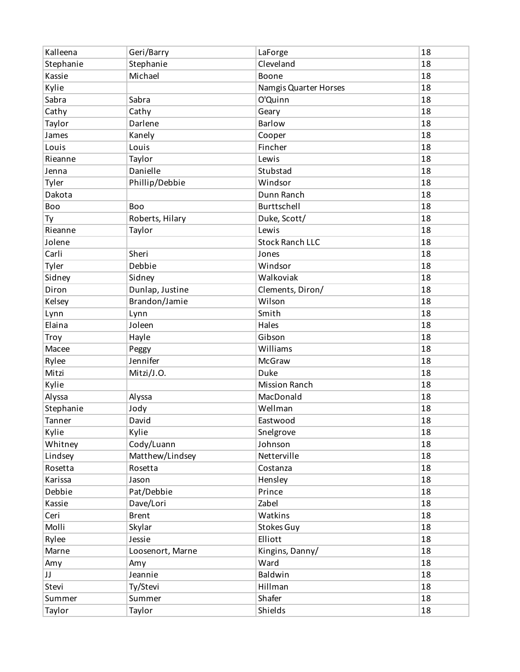| Kalleena  | Geri/Barry       | LaForge                | 18 |
|-----------|------------------|------------------------|----|
| Stephanie | Stephanie        | Cleveland              | 18 |
| Kassie    | Michael          | Boone                  | 18 |
| Kylie     |                  | Namgis Quarter Horses  | 18 |
| Sabra     | Sabra            | O'Quinn                | 18 |
| Cathy     | Cathy            | Geary                  | 18 |
| Taylor    | Darlene          | <b>Barlow</b>          | 18 |
| James     | Kanely           | Cooper                 | 18 |
| Louis     | Louis            | Fincher                | 18 |
| Rieanne   | Taylor           | Lewis                  | 18 |
| Jenna     | Danielle         | Stubstad               | 18 |
| Tyler     | Phillip/Debbie   | Windsor                | 18 |
| Dakota    |                  | Dunn Ranch             | 18 |
| Boo       | Boo              | Burttschell            | 18 |
| Ty        | Roberts, Hilary  | Duke, Scott/           | 18 |
| Rieanne   | Taylor           | Lewis                  | 18 |
| Jolene    |                  | <b>Stock Ranch LLC</b> | 18 |
| Carli     | Sheri            | Jones                  | 18 |
| Tyler     | Debbie           | Windsor                | 18 |
| Sidney    | Sidney           | Walkoviak              | 18 |
| Diron     | Dunlap, Justine  | Clements, Diron/       | 18 |
| Kelsey    | Brandon/Jamie    | Wilson                 | 18 |
| Lynn      | Lynn             | Smith                  | 18 |
| Elaina    | Joleen           | Hales                  | 18 |
| Troy      | Hayle            | Gibson                 | 18 |
| Macee     | Peggy            | Williams               | 18 |
| Rylee     | Jennifer         | <b>McGraw</b>          | 18 |
| Mitzi     | Mitzi/J.O.       | Duke                   | 18 |
| Kylie     |                  | <b>Mission Ranch</b>   | 18 |
| Alyssa    | Alyssa           | MacDonald              | 18 |
| Stephanie | Jody             | Wellman                | 18 |
| Tanner    | David            | Eastwood               | 18 |
| Kylie     | Kylie            | Snelgrove              | 18 |
| Whitney   | Cody/Luann       | Johnson                | 18 |
| Lindsey   | Matthew/Lindsey  | Netterville            | 18 |
| Rosetta   | Rosetta          | Costanza               | 18 |
| Karissa   | Jason            | Hensley                | 18 |
| Debbie    | Pat/Debbie       | Prince                 | 18 |
| Kassie    | Dave/Lori        | Zabel                  | 18 |
| Ceri      | <b>Brent</b>     | Watkins                | 18 |
| Molli     | Skylar           | Stokes Guy             | 18 |
| Rylee     | Jessie           | Elliott                | 18 |
| Marne     | Loosenort, Marne | Kingins, Danny/        | 18 |
| Amy       | Amy              | Ward                   | 18 |
| JJ        | Jeannie          | Baldwin                | 18 |
| Stevi     | Ty/Stevi         | Hillman                | 18 |
| Summer    | Summer           | Shafer                 | 18 |
| Taylor    | Taylor           | Shields                | 18 |
|           |                  |                        |    |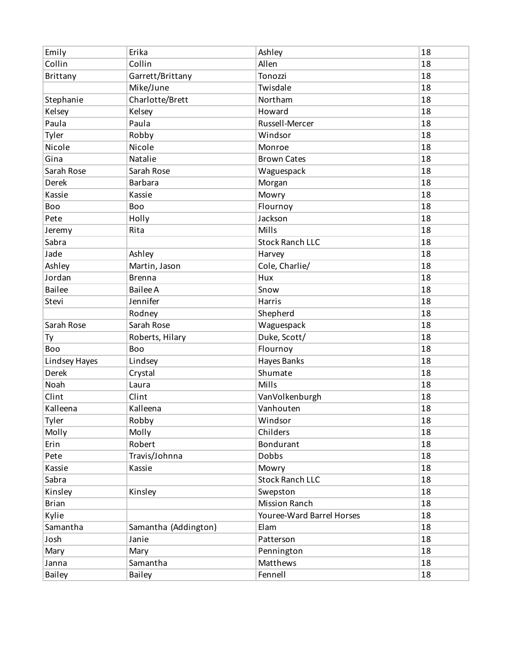| Emily         | Erika                | Ashley                    | 18 |
|---------------|----------------------|---------------------------|----|
| Collin        | Collin               | Allen                     | 18 |
| Brittany      | Garrett/Brittany     | Tonozzi                   | 18 |
|               | Mike/June            | Twisdale                  | 18 |
| Stephanie     | Charlotte/Brett      | Northam                   | 18 |
| Kelsey        | Kelsey               | Howard                    | 18 |
| Paula         | Paula                | Russell-Mercer            | 18 |
| Tyler         | Robby                | Windsor                   | 18 |
| Nicole        | Nicole               | Monroe                    | 18 |
| Gina          | Natalie              | <b>Brown Cates</b>        | 18 |
| Sarah Rose    | Sarah Rose           | Waguespack                | 18 |
| Derek         | <b>Barbara</b>       | Morgan                    | 18 |
| Kassie        | Kassie               | Mowry                     | 18 |
| Boo           | Boo                  | Flournoy                  | 18 |
| Pete          | Holly                | Jackson                   | 18 |
| Jeremy        | Rita                 | Mills                     | 18 |
| Sabra         |                      | <b>Stock Ranch LLC</b>    | 18 |
| Jade          | Ashley               | Harvey                    | 18 |
| Ashley        | Martin, Jason        | Cole, Charlie/            | 18 |
| Jordan        | <b>Brenna</b>        | Hux                       | 18 |
| <b>Bailee</b> | <b>Bailee A</b>      | Snow                      | 18 |
| Stevi         | Jennifer             | Harris                    | 18 |
|               | Rodney               | Shepherd                  | 18 |
| Sarah Rose    | Sarah Rose           | Waguespack                | 18 |
| Ty            | Roberts, Hilary      | Duke, Scott/              | 18 |
| Boo           | Boo                  | Flournoy                  | 18 |
| Lindsey Hayes | Lindsey              | Hayes Banks               | 18 |
| Derek         | Crystal              | Shumate                   | 18 |
| Noah          | Laura                | Mills                     | 18 |
| Clint         | Clint                | VanVolkenburgh            | 18 |
| Kalleena      | Kalleena             | Vanhouten                 | 18 |
| Tyler         | Robby                | Windsor                   | 18 |
| Molly         | Molly                | Childers                  | 18 |
| Erin          | Robert               | Bondurant                 | 18 |
| Pete          | Travis/Johnna        | <b>Dobbs</b>              | 18 |
| Kassie        | Kassie               | Mowry                     | 18 |
| Sabra         |                      | <b>Stock Ranch LLC</b>    | 18 |
| Kinsley       | Kinsley              | Swepston                  | 18 |
| <b>Brian</b>  |                      | <b>Mission Ranch</b>      | 18 |
| Kylie         |                      | Youree-Ward Barrel Horses | 18 |
| Samantha      | Samantha (Addington) | Elam                      | 18 |
| Josh          | Janie                | Patterson                 | 18 |
| Mary          | Mary                 | Pennington                | 18 |
| Janna         | Samantha             | Matthews                  | 18 |
| Bailey        | <b>Bailey</b>        | Fennell                   | 18 |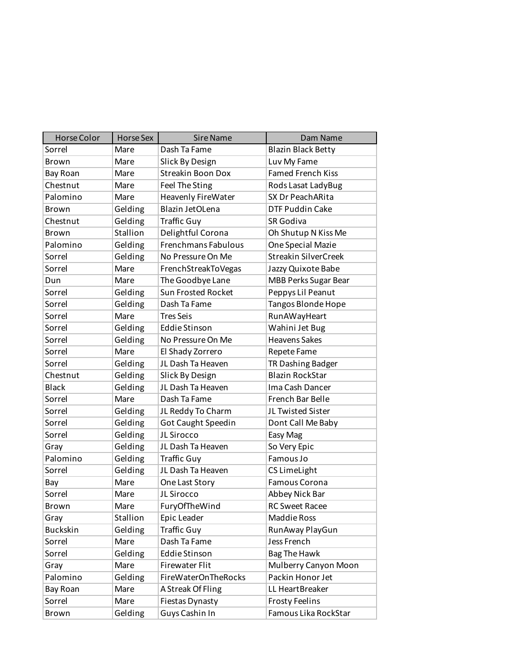| Horse Color     | <b>Horse Sex</b> | <b>Sire Name</b>           | Dam Name                    |
|-----------------|------------------|----------------------------|-----------------------------|
| Sorrel          | Mare             | Dash Ta Fame               | <b>Blazin Black Betty</b>   |
| Brown           | Mare             | Slick By Design            | Luv My Fame                 |
| Bay Roan        | Mare             | <b>Streakin Boon Dox</b>   | <b>Famed French Kiss</b>    |
| Chestnut        | Mare             | Feel The Sting             | Rods Lasat LadyBug          |
| Palomino        | Mare             | Heavenly FireWater         | SX Dr PeachARita            |
| Brown           | Gelding          | Blazin JetOLena            | <b>DTF Puddin Cake</b>      |
| Chestnut        | Gelding          | <b>Traffic Guy</b>         | SR Godiva                   |
| <b>Brown</b>    | Stallion         | Delightful Corona          | Oh Shutup N Kiss Me         |
| Palomino        | Gelding          | Frenchmans Fabulous        | One Special Mazie           |
| Sorrel          | Gelding          | No Pressure On Me          | <b>Streakin SilverCreek</b> |
| Sorrel          | Mare             | FrenchStreakToVegas        | Jazzy Quixote Babe          |
| Dun             | Mare             | The Goodbye Lane           | <b>MBB Perks Sugar Bear</b> |
| Sorrel          | Gelding          | <b>Sun Frosted Rocket</b>  | Peppys Lil Peanut           |
| Sorrel          | Gelding          | Dash Ta Fame               | Tangos Blonde Hope          |
| Sorrel          | Mare             | <b>Tres Seis</b>           | RunAWayHeart                |
| Sorrel          | Gelding          | <b>Eddie Stinson</b>       | Wahini Jet Bug              |
| Sorrel          | Gelding          | No Pressure On Me          | <b>Heavens Sakes</b>        |
| Sorrel          | Mare             | El Shady Zorrero           | Repete Fame                 |
| Sorrel          | Gelding          | JL Dash Ta Heaven          | TR Dashing Badger           |
| Chestnut        | Gelding          | Slick By Design            | <b>Blazin RockStar</b>      |
| <b>Black</b>    | Gelding          | JL Dash Ta Heaven          | Ima Cash Dancer             |
| Sorrel          | Mare             | Dash Ta Fame               | French Bar Belle            |
| Sorrel          | Gelding          | JL Reddy To Charm          | JL Twisted Sister           |
| Sorrel          | Gelding          | Got Caught Speedin         | Dont Call Me Baby           |
| Sorrel          | Gelding          | JL Sirocco                 | Easy Mag                    |
| Gray            | Gelding          | JL Dash Ta Heaven          | So Very Epic                |
| Palomino        | Gelding          | <b>Traffic Guy</b>         | Famous Jo                   |
| Sorrel          | Gelding          | JL Dash Ta Heaven          | CS LimeLight                |
| Bay             | Mare             | One Last Story             | Famous Corona               |
| Sorrel          | Mare             | JL Sirocco                 | Abbey Nick Bar              |
| Brown           | Mare             | FuryOfTheWind              | <b>RC Sweet Racee</b>       |
| Gray            | Stallion         | Epic Leader                | Maddie Ross                 |
| <b>Buckskin</b> | Gelding          | <b>Traffic Guy</b>         | RunAway PlayGun             |
| Sorrel          | Mare             | Dash Ta Fame               | Jess French                 |
| Sorrel          | Gelding          | <b>Eddie Stinson</b>       | <b>Bag The Hawk</b>         |
| Gray            | Mare             | <b>Firewater Flit</b>      | Mulberry Canyon Moon        |
| Palomino        | Gelding          | <b>FireWaterOnTheRocks</b> | Packin Honor Jet            |
| Bay Roan        | Mare             | A Streak Of Fling          | LL HeartBreaker             |
| Sorrel          | Mare             | Fiestas Dynasty            | <b>Frosty Feelins</b>       |
| Brown           | Gelding          | Guys Cashin In             | Famous Lika RockStar        |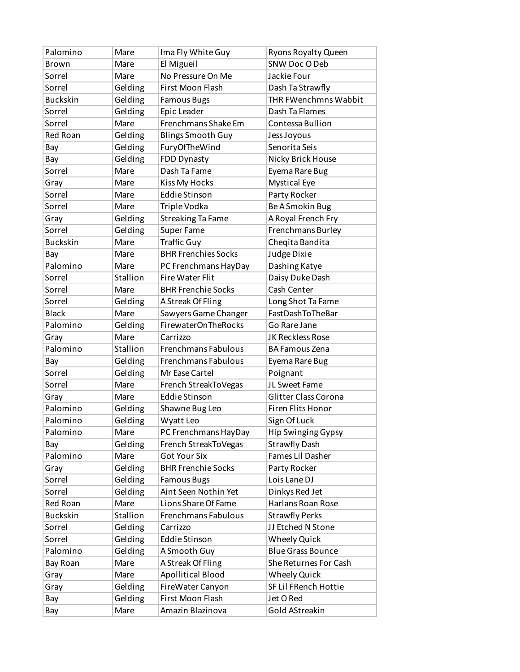| Palomino        | Mare     | Ima Fly White Guy          | Ryons Royalty Queen         |
|-----------------|----------|----------------------------|-----------------------------|
| Brown           | Mare     | El Migueil                 | SNW Doc O Deb               |
| Sorrel          | Mare     | No Pressure On Me          | Jackie Four                 |
| Sorrel          | Gelding  | First Moon Flash           | Dash Ta Strawfly            |
| <b>Buckskin</b> | Gelding  | <b>Famous Bugs</b>         | THR FWenchmns Wabbit        |
| Sorrel          | Gelding  | Epic Leader                | Dash Ta Flames              |
| Sorrel          | Mare     | Frenchmans Shake Em        | Contessa Bullion            |
| <b>Red Roan</b> | Gelding  | <b>Blings Smooth Guy</b>   | Jess Joyous                 |
| Bay             | Gelding  | FuryOfTheWind              | Senorita Seis               |
| Bay             | Gelding  | FDD Dynasty                | Nicky Brick House           |
| Sorrel          | Mare     | Dash Ta Fame               | Eyema Rare Bug              |
| Gray            | Mare     | Kiss My Hocks              | <b>Mystical Eye</b>         |
| Sorrel          | Mare     | <b>Eddie Stinson</b>       | Party Rocker                |
| Sorrel          | Mare     | Triple Vodka               | Be A Smokin Bug             |
| Gray            | Gelding  | <b>Streaking Ta Fame</b>   | A Royal French Fry          |
| Sorrel          | Gelding  | <b>Super Fame</b>          | Frenchmans Burley           |
| <b>Buckskin</b> | Mare     | <b>Traffic Guy</b>         | Cheqita Bandita             |
| Bay             | Mare     | <b>BHR Frenchies Socks</b> | Judge Dixie                 |
| Palomino        | Mare     | PC Frenchmans HayDay       | Dashing Katye               |
| Sorrel          | Stallion | <b>Fire Water Flit</b>     | Daisy Duke Dash             |
| Sorrel          | Mare     | <b>BHR Frenchie Socks</b>  | Cash Center                 |
| Sorrel          | Gelding  | A Streak Of Fling          | Long Shot Ta Fame           |
| <b>Black</b>    | Mare     | Sawyers Game Changer       | FastDashToTheBar            |
| Palomino        | Gelding  | <b>FirewaterOnTheRocks</b> | Go Rare Jane                |
| Gray            | Mare     | Carrizzo                   | JK Reckless Rose            |
| Palomino        | Stallion | Frenchmans Fabulous        | <b>BA Famous Zena</b>       |
| Bay             | Gelding  | Frenchmans Fabulous        | Eyema Rare Bug              |
| Sorrel          | Gelding  | Mr Ease Cartel             | Poignant                    |
| Sorrel          | Mare     | French StreakToVegas       | JL Sweet Fame               |
| Gray            | Mare     | <b>Eddie Stinson</b>       | <b>Glitter Class Corona</b> |
| Palomino        | Gelding  | Shawne Bug Leo             | Firen Flits Honor           |
| Palomino        | Gelding  | Wyatt Leo                  | Sign Of Luck                |
| Palomino        | Mare     | PC Frenchmans HayDay       | <b>Hip Swinging Gypsy</b>   |
| Bay             | Gelding  | French StreakToVegas       | <b>Strawfly Dash</b>        |
| Palomino        | Mare     | <b>Got Your Six</b>        | Fames Lil Dasher            |
| Gray            | Gelding  | <b>BHR Frenchie Socks</b>  | Party Rocker                |
| Sorrel          | Gelding  | <b>Famous Bugs</b>         | Lois Lane DJ                |
| Sorrel          | Gelding  | Aint Seen Nothin Yet       | Dinkys Red Jet              |
| Red Roan        | Mare     | Lions Share Of Fame        | Harlans Roan Rose           |
| <b>Buckskin</b> | Stallion | Frenchmans Fabulous        | <b>Strawfly Perks</b>       |
| Sorrel          | Gelding  | Carrizzo                   | JJ Etched N Stone           |
| Sorrel          | Gelding  | <b>Eddie Stinson</b>       | <b>Wheely Quick</b>         |
| Palomino        | Gelding  | A Smooth Guy               | <b>Blue Grass Bounce</b>    |
| Bay Roan        | Mare     | A Streak Of Fling          | She Returnes For Cash       |
| Gray            | Mare     | Apollitical Blood          | <b>Wheely Quick</b>         |
| Gray            | Gelding  | FireWater Canyon           | SF Lil FRench Hottie        |
| Bay             | Gelding  | First Moon Flash           | Jet O Red                   |
| Bay             | Mare     | Amazin Blazinova           | Gold AStreakin              |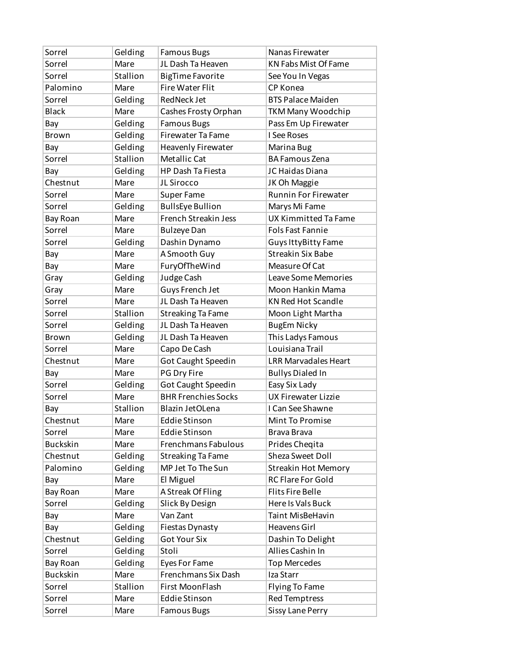| Sorrel          | Gelding  | <b>Famous Bugs</b>          | Nanas Firewater             |
|-----------------|----------|-----------------------------|-----------------------------|
| Sorrel          | Mare     | JL Dash Ta Heaven           | <b>KN Fabs Mist Of Fame</b> |
| Sorrel          | Stallion | <b>BigTime Favorite</b>     | See You In Vegas            |
| Palomino        | Mare     | <b>Fire Water Flit</b>      | CP Konea                    |
| Sorrel          | Gelding  | <b>RedNeck Jet</b>          | <b>BTS Palace Maiden</b>    |
| <b>Black</b>    | Mare     | Cashes Frosty Orphan        | TKM Many Woodchip           |
| Bay             | Gelding  | <b>Famous Bugs</b>          | Pass Em Up Firewater        |
| Brown           | Gelding  | <b>Firewater Ta Fame</b>    | I See Roses                 |
| Bay             | Gelding  | <b>Heavenly Firewater</b>   | Marina Bug                  |
| Sorrel          | Stallion | Metallic Cat                | <b>BA Famous Zena</b>       |
| Bay             | Gelding  | <b>HP Dash Ta Fiesta</b>    | JC Haidas Diana             |
| Chestnut        | Mare     | JL Sirocco                  | JK Oh Maggie                |
| Sorrel          | Mare     | Super Fame                  | <b>Runnin For Firewater</b> |
| Sorrel          | Gelding  | <b>BullsEye Bullion</b>     | Marys Mi Fame               |
| Bay Roan        | Mare     | <b>French Streakin Jess</b> | UX Kimmitted Ta Fame        |
| Sorrel          | Mare     | <b>Bulzeye Dan</b>          | <b>Fols Fast Fannie</b>     |
| Sorrel          | Gelding  | Dashin Dynamo               | Guys IttyBitty Fame         |
| Bay             | Mare     | A Smooth Guy                | <b>Streakin Six Babe</b>    |
| Bay             | Mare     | FuryOfTheWind               | Measure Of Cat              |
| Gray            | Gelding  | Judge Cash                  | <b>Leave Some Memories</b>  |
| Gray            | Mare     | Guys French Jet             | Moon Hankin Mama            |
| Sorrel          | Mare     | JL Dash Ta Heaven           | <b>KN Red Hot Scandle</b>   |
| Sorrel          | Stallion | <b>Streaking Ta Fame</b>    | Moon Light Martha           |
| Sorrel          | Gelding  | JL Dash Ta Heaven           | <b>BugEm Nicky</b>          |
| <b>Brown</b>    | Gelding  | JL Dash Ta Heaven           | This Ladys Famous           |
| Sorrel          | Mare     | Capo De Cash                | Louisiana Trail             |
| Chestnut        | Mare     | Got Caught Speedin          | <b>LRR Marvadales Heart</b> |
| Bay             | Mare     | PG Dry Fire                 | <b>Bullys Dialed In</b>     |
| Sorrel          | Gelding  | Got Caught Speedin          | Easy Six Lady               |
| Sorrel          | Mare     | <b>BHR Frenchies Socks</b>  | <b>UX Firewater Lizzie</b>  |
| Bay             | Stallion | Blazin JetOLena             | I Can See Shawne            |
| Chestnut        | Mare     | Eddie Stinson               | Mint To Promise             |
| Sorrel          | Mare     | <b>Eddie Stinson</b>        | Brava Brava                 |
| <b>Buckskin</b> | Mare     | Frenchmans Fabulous         | Prides Cheqita              |
| Chestnut        | Gelding  | <b>Streaking Ta Fame</b>    | Sheza Sweet Doll            |
| Palomino        | Gelding  | MP Jet To The Sun           | <b>Streakin Hot Memory</b>  |
| Bay             | Mare     | El Miguel                   | RC Flare For Gold           |
| Bay Roan        | Mare     | A Streak Of Fling           | <b>Flits Fire Belle</b>     |
| Sorrel          | Gelding  | Slick By Design             | Here Is Vals Buck           |
| Bay             | Mare     | Van Zant                    | Taint MisBeHavin            |
| Bay             | Gelding  | <b>Fiestas Dynasty</b>      | Heavens Girl                |
| Chestnut        | Gelding  | <b>Got Your Six</b>         | Dashin To Delight           |
| Sorrel          | Gelding  | Stoli                       | Allies Cashin In            |
| Bay Roan        | Gelding  | Eyes For Fame               | <b>Top Mercedes</b>         |
| <b>Buckskin</b> | Mare     | Frenchmans Six Dash         | Iza Starr                   |
| Sorrel          | Stallion | First MoonFlash             | <b>Flying To Fame</b>       |
| Sorrel          | Mare     | <b>Eddie Stinson</b>        | <b>Red Temptress</b>        |
| Sorrel          | Mare     | <b>Famous Bugs</b>          | <b>Sissy Lane Perry</b>     |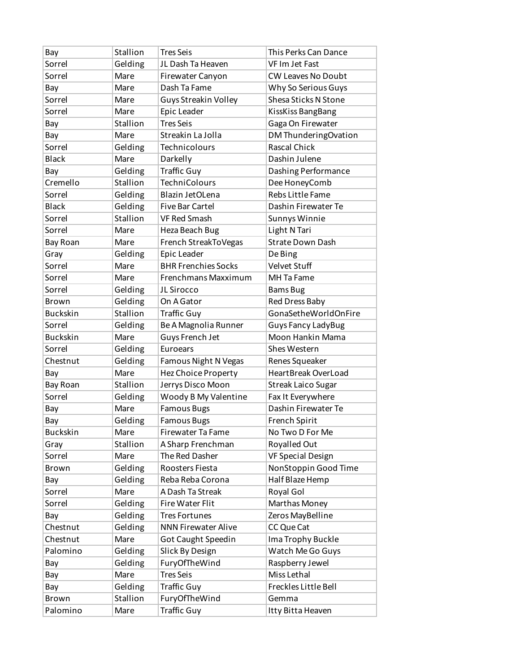| Bay             | Stallion | <b>Tres Seis</b>            | This Perks Can Dance      |
|-----------------|----------|-----------------------------|---------------------------|
| Sorrel          | Gelding  | JL Dash Ta Heaven           | VF Im Jet Fast            |
| Sorrel          | Mare     | Firewater Canyon            | <b>CW Leaves No Doubt</b> |
| Bay             | Mare     | Dash Ta Fame                | Why So Serious Guys       |
| Sorrel          | Mare     | <b>Guys Streakin Volley</b> | Shesa Sticks N Stone      |
| Sorrel          | Mare     | Epic Leader                 | KissKiss BangBang         |
| Bay             | Stallion | <b>Tres Seis</b>            | Gaga On Firewater         |
| Bay             | Mare     | Streakin La Jolla           | DM ThunderingOvation      |
| Sorrel          | Gelding  | Technicolours               | <b>Rascal Chick</b>       |
| <b>Black</b>    | Mare     | Darkelly                    | Dashin Julene             |
| Bay             | Gelding  | <b>Traffic Guy</b>          | Dashing Performance       |
| Cremello        | Stallion | <b>TechniColours</b>        | Dee HoneyComb             |
| Sorrel          | Gelding  | Blazin JetOLena             | Rebs Little Fame          |
| <b>Black</b>    | Gelding  | <b>Five Bar Cartel</b>      | Dashin Firewater Te       |
| Sorrel          | Stallion | <b>VF Red Smash</b>         | Sunnys Winnie             |
| Sorrel          | Mare     | Heza Beach Bug              | Light N Tari              |
| Bay Roan        | Mare     | French StreakToVegas        | <b>Strate Down Dash</b>   |
| Gray            | Gelding  | Epic Leader                 | De Bing                   |
| Sorrel          | Mare     | <b>BHR Frenchies Socks</b>  | Velvet Stuff              |
| Sorrel          | Mare     | Frenchmans Maxximum         | MH Ta Fame                |
| Sorrel          | Gelding  | JL Sirocco                  | <b>Bams Bug</b>           |
| <b>Brown</b>    | Gelding  | On A Gator                  | Red Dress Baby            |
| <b>Buckskin</b> | Stallion | <b>Traffic Guy</b>          | GonaSetheWorldOnFire      |
| Sorrel          | Gelding  | Be A Magnolia Runner        | <b>Guys Fancy LadyBug</b> |
| <b>Buckskin</b> | Mare     | Guys French Jet             | Moon Hankin Mama          |
| Sorrel          | Gelding  | Euroears                    | Shes Western              |
| Chestnut        | Gelding  | Famous Night N Vegas        | Renes Squeaker            |
| Bay             | Mare     | Hez Choice Property         | HeartBreak OverLoad       |
| Bay Roan        | Stallion | Jerrys Disco Moon           | <b>Streak Laico Sugar</b> |
| Sorrel          | Gelding  | Woody B My Valentine        | Fax It Everywhere         |
| Bay             | Mare     | <b>Famous Bugs</b>          | Dashin Firewater Te       |
| Bay             | Gelding  | <b>Famous Bugs</b>          | French Spirit             |
| <b>Buckskin</b> | Mare     | <b>Firewater Ta Fame</b>    | No Two D For Me           |
| Gray            | Stallion | A Sharp Frenchman           | Royalled Out              |
| Sorrel          | Mare     | The Red Dasher              | <b>VF Special Design</b>  |
| Brown           | Gelding  | Roosters Fiesta             | NonStoppin Good Time      |
| Bay             | Gelding  | Reba Reba Corona            | Half Blaze Hemp           |
| Sorrel          | Mare     | A Dash Ta Streak            | Royal Gol                 |
| Sorrel          | Gelding  | <b>Fire Water Flit</b>      | Marthas Money             |
| Bay             | Gelding  | <b>Tres Fortunes</b>        | Zeros MayBelline          |
| Chestnut        | Gelding  | <b>NNN Firewater Alive</b>  | CC Que Cat                |
| Chestnut        | Mare     | Got Caught Speedin          | Ima Trophy Buckle         |
| Palomino        | Gelding  | Slick By Design             | Watch Me Go Guys          |
| Bay             | Gelding  | FuryOfTheWind               | Raspberry Jewel           |
| Bay             | Mare     | <b>Tres Seis</b>            | Miss Lethal               |
| Bay             | Gelding  | Traffic Guy                 | Freckles Little Bell      |
| Brown           | Stallion | FuryOfTheWind               | Gemma                     |
| Palomino        | Mare     | <b>Traffic Guy</b>          | Itty Bitta Heaven         |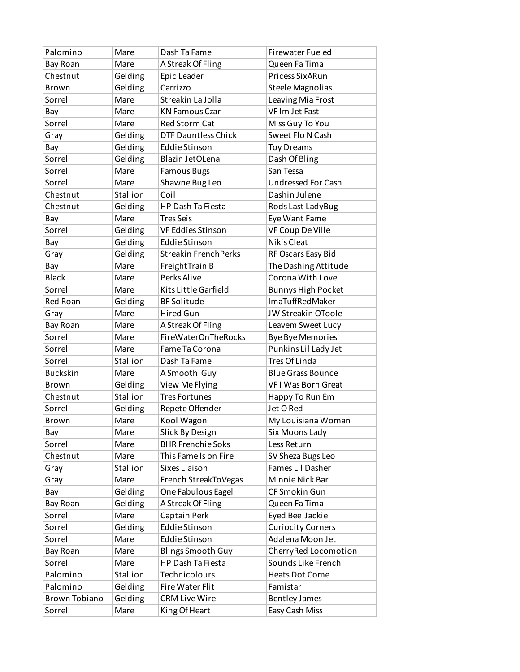| Palomino             | Mare     | Dash Ta Fame                | <b>Firewater Fueled</b>   |
|----------------------|----------|-----------------------------|---------------------------|
| Bay Roan             | Mare     | A Streak Of Fling           | Queen Fa Tima             |
| Chestnut             | Gelding  | Epic Leader                 | Pricess SixARun           |
| <b>Brown</b>         | Gelding  | Carrizzo                    | Steele Magnolias          |
| Sorrel               | Mare     | Streakin La Jolla           | Leaving Mia Frost         |
| Bay                  | Mare     | <b>KN Famous Czar</b>       | VF Im Jet Fast            |
| Sorrel               | Mare     | Red Storm Cat               | Miss Guy To You           |
| Gray                 | Gelding  | <b>DTF Dauntless Chick</b>  | Sweet Flo N Cash          |
| Bay                  | Gelding  | <b>Eddie Stinson</b>        | <b>Toy Dreams</b>         |
| Sorrel               | Gelding  | Blazin JetOLena             | Dash Of Bling             |
| Sorrel               | Mare     | <b>Famous Bugs</b>          | San Tessa                 |
| Sorrel               | Mare     | Shawne Bug Leo              | <b>Undressed For Cash</b> |
| Chestnut             | Stallion | Coil                        | Dashin Julene             |
| Chestnut             | Gelding  | <b>HP Dash Ta Fiesta</b>    | Rods Last LadyBug         |
| Bay                  | Mare     | <b>Tres Seis</b>            | Eye Want Fame             |
| Sorrel               | Gelding  | VF Eddies Stinson           | VF Coup De Ville          |
| Bay                  | Gelding  | <b>Eddie Stinson</b>        | <b>Nikis Cleat</b>        |
| Gray                 | Gelding  | <b>Streakin FrenchPerks</b> | RF Oscars Easy Bid        |
| Bay                  | Mare     | FreightTrain B              | The Dashing Attitude      |
| <b>Black</b>         | Mare     | Perks Alive                 | Corona With Love          |
| Sorrel               | Mare     | Kits Little Garfield        | <b>Bunnys High Pocket</b> |
| Red Roan             | Gelding  | <b>BF</b> Solitude          | <b>ImaTuffRedMaker</b>    |
| Gray                 | Mare     | <b>Hired Gun</b>            | JW Streakin OToole        |
| Bay Roan             | Mare     | A Streak Of Fling           | Leavem Sweet Lucy         |
| Sorrel               | Mare     | <b>FireWaterOnTheRocks</b>  | <b>Bye Bye Memories</b>   |
| Sorrel               | Mare     | Fame Ta Corona              | Punkins Lil Lady Jet      |
| Sorrel               | Stallion | Dash Ta Fame                | Tres Of Linda             |
| <b>Buckskin</b>      | Mare     | A Smooth Guy                | <b>Blue Grass Bounce</b>  |
| <b>Brown</b>         | Gelding  | View Me Flying              | VFI Was Born Great        |
| Chestnut             | Stallion | <b>Tres Fortunes</b>        | Happy To Run Em           |
| Sorrel               | Gelding  | Repete Offender             | Jet O Red                 |
| Brown                | Mare     | Kool Wagon                  | My Louisiana Woman        |
| Bay                  | Mare     | Slick By Design             | Six Moons Lady            |
| Sorrel               | Mare     | <b>BHR Frenchie Soks</b>    | Less Return               |
| Chestnut             | Mare     | This Fame Is on Fire        | SV Sheza Bugs Leo         |
| Gray                 | Stallion | Sixes Liaison               | Fames Lil Dasher          |
| Gray                 | Mare     | French StreakToVegas        | Minnie Nick Bar           |
| Bay                  | Gelding  | One Fabulous Eagel          | CF Smokin Gun             |
| Bay Roan             | Gelding  | A Streak Of Fling           | Queen Fa Tima             |
| Sorrel               | Mare     | Captain Perk                | Eyed Bee Jackie           |
| Sorrel               | Gelding  | <b>Eddie Stinson</b>        | <b>Curiocity Corners</b>  |
| Sorrel               | Mare     | <b>Eddie Stinson</b>        | Adalena Moon Jet          |
| Bay Roan             | Mare     | <b>Blings Smooth Guy</b>    | CherryRed Locomotion      |
| Sorrel               | Mare     | HP Dash Ta Fiesta           | Sounds Like French        |
| Palomino             | Stallion | Technicolours               | <b>Heats Dot Come</b>     |
| Palomino             | Gelding  | Fire Water Flit             | Famistar                  |
| <b>Brown Tobiano</b> | Gelding  | <b>CRM Live Wire</b>        | <b>Bentley James</b>      |
| Sorrel               | Mare     | King Of Heart               | Easy Cash Miss            |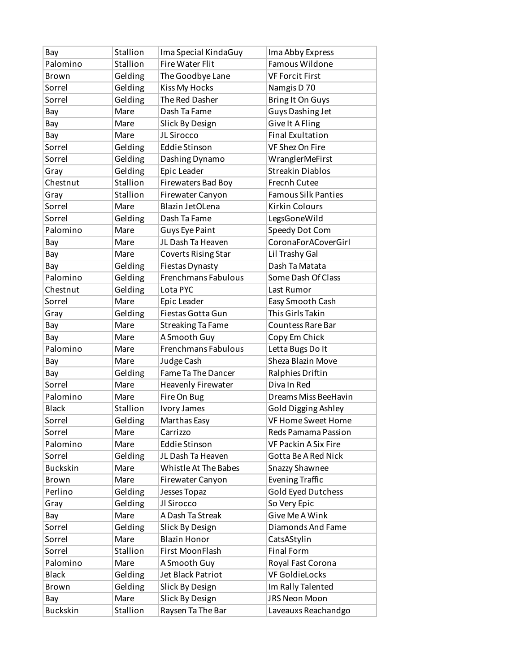| Bay             | Stallion | Ima Special KindaGuy       | Ima Abby Express           |
|-----------------|----------|----------------------------|----------------------------|
| Palomino        | Stallion | Fire Water Flit            | Famous Wildone             |
| <b>Brown</b>    | Gelding  | The Goodbye Lane           | <b>VF Forcit First</b>     |
| Sorrel          | Gelding  | <b>Kiss My Hocks</b>       | Namgis D 70                |
| Sorrel          | Gelding  | The Red Dasher             | <b>Bring It On Guys</b>    |
| Bay             | Mare     | Dash Ta Fame               | <b>Guys Dashing Jet</b>    |
| Bay             | Mare     | Slick By Design            | <b>Give It A Fling</b>     |
| Bay             | Mare     | JL Sirocco                 | <b>Final Exultation</b>    |
| Sorrel          | Gelding  | <b>Eddie Stinson</b>       | <b>VF Shez On Fire</b>     |
| Sorrel          | Gelding  | Dashing Dynamo             | WranglerMeFirst            |
| Gray            | Gelding  | Epic Leader                | <b>Streakin Diablos</b>    |
| Chestnut        | Stallion | Firewaters Bad Boy         | <b>Frecnh Cutee</b>        |
| Gray            | Stallion | Firewater Canyon           | <b>Famous Silk Panties</b> |
| Sorrel          | Mare     | Blazin JetOLena            | <b>Kirkin Colours</b>      |
| Sorrel          | Gelding  | Dash Ta Fame               | LegsGoneWild               |
| Palomino        | Mare     | Guys Eye Paint             | Speedy Dot Com             |
| Bay             | Mare     | JL Dash Ta Heaven          | CoronaForACoverGirl        |
| Bay             | Mare     | <b>Coverts Rising Star</b> | Lil Trashy Gal             |
| Bay             | Gelding  | Fiestas Dynasty            | Dash Ta Matata             |
| Palomino        | Gelding  | Frenchmans Fabulous        | Some Dash Of Class         |
| Chestnut        | Gelding  | Lota PYC                   | Last Rumor                 |
| Sorrel          | Mare     | Epic Leader                | Easy Smooth Cash           |
| Gray            | Gelding  | Fiestas Gotta Gun          | This Girls Takin           |
| Bay             | Mare     | <b>Streaking Ta Fame</b>   | <b>Countess Rare Bar</b>   |
| Bay             | Mare     | A Smooth Guy               | Copy Em Chick              |
| Palomino        | Mare     | Frenchmans Fabulous        | Letta Bugs Do It           |
| Bay             | Mare     | Judge Cash                 | Sheza Blazin Move          |
| Bay             | Gelding  | Fame Ta The Dancer         | Ralphies Driftin           |
| Sorrel          | Mare     | Heavenly Firewater         | Diva In Red                |
| Palomino        | Mare     | Fire On Bug                | Dreams Miss BeeHavin       |
| <b>Black</b>    | Stallion | Ivory James                | Gold Digging Ashley        |
| Sorrel          | Gelding  | Marthas Easy               | <b>VF Home Sweet Home</b>  |
| Sorrel          | Mare     | Carrizzo                   | Reds Pamama Passion        |
| Palomino        | Mare     | <b>Eddie Stinson</b>       | VF Packin A Six Fire       |
| Sorrel          | Gelding  | JL Dash Ta Heaven          | Gotta Be A Red Nick        |
| <b>Buckskin</b> | Mare     | Whistle At The Babes       | Snazzy Shawnee             |
| Brown           | Mare     | Firewater Canyon           | <b>Evening Traffic</b>     |
| Perlino         | Gelding  | Jesses Topaz               | Gold Eyed Dutchess         |
| Gray            | Gelding  | Jl Sirocco                 | So Very Epic               |
| Bay             | Mare     | A Dash Ta Streak           | Give Me A Wink             |
| Sorrel          | Gelding  | Slick By Design            | Diamonds And Fame          |
| Sorrel          | Mare     | <b>Blazin Honor</b>        | CatsAStylin                |
| Sorrel          | Stallion | First MoonFlash            | <b>Final Form</b>          |
| Palomino        | Mare     | A Smooth Guy               | Royal Fast Corona          |
| <b>Black</b>    | Gelding  | Jet Black Patriot          | VF GoldieLocks             |
| Brown           | Gelding  | Slick By Design            | Im Rally Talented          |
| Bay             | Mare     | Slick By Design            | JRS Neon Moon              |
| Buckskin        | Stallion | Raysen Ta The Bar          | Laveauxs Reachandgo        |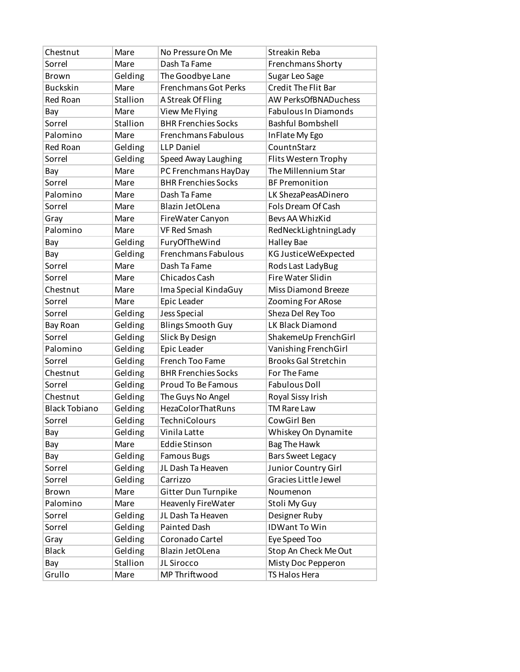| Chestnut             | Mare     | No Pressure On Me           | Streakin Reba               |
|----------------------|----------|-----------------------------|-----------------------------|
| Sorrel               | Mare     | Dash Ta Fame                | Frenchmans Shorty           |
| <b>Brown</b>         | Gelding  | The Goodbye Lane            | Sugar Leo Sage              |
| <b>Buckskin</b>      | Mare     | <b>Frenchmans Got Perks</b> | <b>Credit The Flit Bar</b>  |
| Red Roan             | Stallion | A Streak Of Fling           | <b>AW PerksOfBNADuchess</b> |
| Bay                  | Mare     | View Me Flying              | <b>Fabulous In Diamonds</b> |
| Sorrel               | Stallion | <b>BHR Frenchies Socks</b>  | <b>Bashful Bombshell</b>    |
| Palomino             | Mare     | <b>Frenchmans Fabulous</b>  | In Flate My Ego             |
| Red Roan             | Gelding  | LLP Daniel                  | CountnStarz                 |
| Sorrel               | Gelding  | Speed Away Laughing         | Flits Western Trophy        |
| Bay                  | Mare     | PC Frenchmans HayDay        | The Millennium Star         |
| Sorrel               | Mare     | <b>BHR Frenchies Socks</b>  | <b>BF Premonition</b>       |
| Palomino             | Mare     | Dash Ta Fame                | LK ShezaPeasADinero         |
| Sorrel               | Mare     | Blazin JetOLena             | Fols Dream Of Cash          |
| Gray                 | Mare     | FireWater Canyon            | Beys AA WhizKid             |
| Palomino             | Mare     | <b>VF Red Smash</b>         | RedNeckLightningLady        |
| Bay                  | Gelding  | FuryOfTheWind               | <b>Halley Bae</b>           |
| Bay                  | Gelding  | <b>Frenchmans Fabulous</b>  | KG JusticeWeExpected        |
| Sorrel               | Mare     | Dash Ta Fame                | Rods Last LadyBug           |
| Sorrel               | Mare     | <b>Chicados Cash</b>        | <b>Fire Water Slidin</b>    |
| Chestnut             | Mare     | Ima Special KindaGuy        | Miss Diamond Breeze         |
| Sorrel               | Mare     | Epic Leader                 | Zooming For ARose           |
| Sorrel               | Gelding  | Jess Special                | Sheza Del Rey Too           |
| Bay Roan             | Gelding  | <b>Blings Smooth Guy</b>    | LK Black Diamond            |
| Sorrel               | Gelding  | Slick By Design             | ShakemeUp FrenchGirl        |
| Palomino             | Gelding  | Epic Leader                 | Vanishing FrenchGirl        |
| Sorrel               | Gelding  | French Too Fame             | <b>Brooks Gal Stretchin</b> |
| Chestnut             | Gelding  | <b>BHR Frenchies Socks</b>  | For The Fame                |
| Sorrel               | Gelding  | <b>Proud To Be Famous</b>   | <b>Fabulous Doll</b>        |
| Chestnut             | Gelding  | The Guys No Angel           | Royal Sissy Irish           |
| <b>Black Tobiano</b> | Gelding  | <b>HezaColorThatRuns</b>    | <b>TM Rare Law</b>          |
| Sorrel               | Gelding  | <b>TechniColours</b>        | CowGirl Ben                 |
| Bay                  | Gelding  | Vinila Latte                | Whiskey On Dynamite         |
| Bay                  | Mare     | <b>Eddie Stinson</b>        | <b>Bag The Hawk</b>         |
| Bay                  | Gelding  | <b>Famous Bugs</b>          | <b>Bars Sweet Legacy</b>    |
| Sorrel               | Gelding  | JL Dash Ta Heaven           | Junior Country Girl         |
| Sorrel               | Gelding  | Carrizzo                    | Gracies Little Jewel        |
| <b>Brown</b>         | Mare     | Gitter Dun Turnpike         | Noumenon                    |
| Palomino             | Mare     | <b>Heavenly FireWater</b>   | Stoli My Guy                |
| Sorrel               | Gelding  | JL Dash Ta Heaven           | Designer Ruby               |
| Sorrel               | Gelding  | Painted Dash                | <b>IDWant To Win</b>        |
| Gray                 | Gelding  | Coronado Cartel             | Eye Speed Too               |
| <b>Black</b>         | Gelding  | Blazin JetOLena             | Stop An Check Me Out        |
| Bay                  | Stallion | JL Sirocco                  | Misty Doc Pepperon          |
| Grullo               | Mare     | MP Thriftwood               | TS Halos Hera               |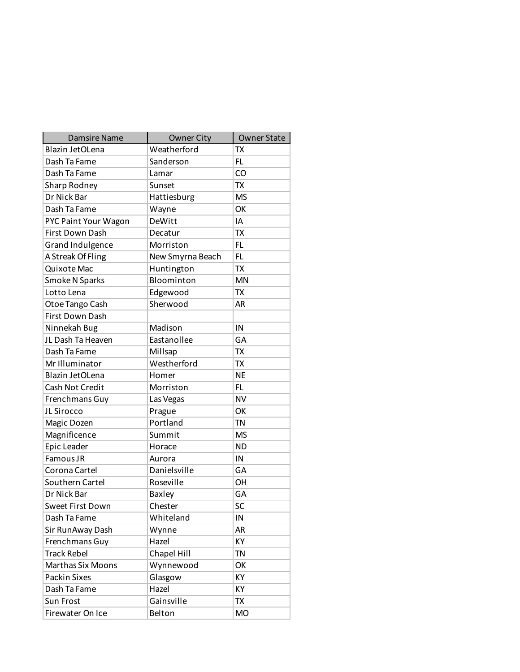| <b>Damsire Name</b>      | <b>Owner City</b> | <b>Owner State</b> |
|--------------------------|-------------------|--------------------|
| Blazin JetOLena          | Weatherford       | <b>TX</b>          |
| Dash Ta Fame             | Sanderson         | FL                 |
| Dash Ta Fame             | Lamar             | CO                 |
| Sharp Rodney             | Sunset            | TX                 |
| Dr Nick Bar              | Hattiesburg       | <b>MS</b>          |
| Dash Ta Fame             | Wayne             | OK                 |
| PYC Paint Your Wagon     | DeWitt            | IA                 |
| First Down Dash          | Decatur           | TX                 |
| Grand Indulgence         | Morriston         | FL.                |
| A Streak Of Fling        | New Smyrna Beach  | FL.                |
| Quixote Mac              | Huntington        | TX                 |
| Smoke N Sparks           | Bloominton        | <b>MN</b>          |
| Lotto Lena               | Edgewood          | TX                 |
| Otoe Tango Cash          | Sherwood          | AR                 |
| First Down Dash          |                   |                    |
| Ninnekah Bug             | Madison           | IN                 |
| JL Dash Ta Heaven        | Eastanollee       | GA                 |
| Dash Ta Fame             | Millsap           | <b>TX</b>          |
| Mr Illuminator           | Westherford       | <b>TX</b>          |
| Blazin JetOLena          | Homer             | <b>NE</b>          |
| Cash Not Credit          | Morriston         | FL.                |
| Frenchmans Guy           | Las Vegas         | <b>NV</b>          |
| JL Sirocco               | Prague            | OK                 |
| Magic Dozen              | Portland          | <b>TN</b>          |
| Magnificence             | Summit            | <b>MS</b>          |
| Epic Leader              | Horace            | <b>ND</b>          |
| Famous JR                | Aurora            | IN                 |
| Corona Cartel            | Danielsville      | GA                 |
| Southern Cartel          | Roseville         | OН                 |
| Dr Nick Bar              | <b>Baxley</b>     | GA                 |
| Sweet First Down         | Chester           | SC                 |
| Dash Ta Fame             | Whiteland         | IN                 |
| Sir RunAway Dash         | Wynne             | <b>AR</b>          |
| Frenchmans Guy           | Hazel             | КY                 |
| <b>Track Rebel</b>       | Chapel Hill       | <b>TN</b>          |
| <b>Marthas Six Moons</b> | Wynnewood         | OK                 |
| <b>Packin Sixes</b>      | Glasgow           | KY                 |
| Dash Ta Fame             | Hazel             | KY                 |
| Sun Frost                | Gainsville        | TX                 |
| Firewater On Ice         | Belton            | MO                 |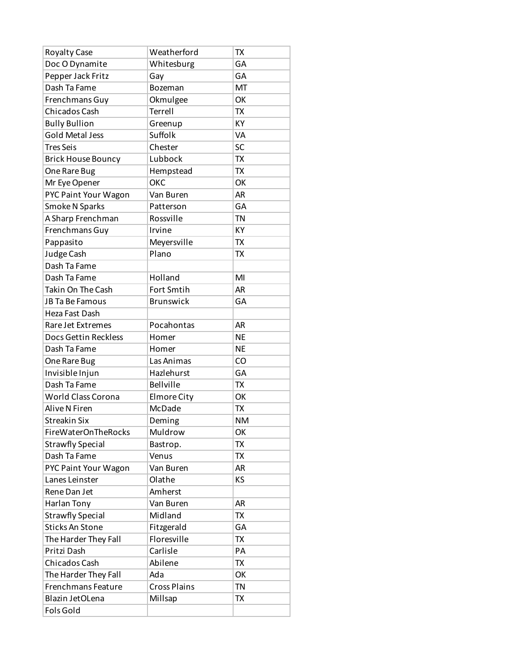| Royalty Case              | Weatherford         | TX        |
|---------------------------|---------------------|-----------|
| Doc O Dynamite            | Whitesburg          | GA        |
| Pepper Jack Fritz         | Gay                 | GA        |
| Dash Ta Fame              | Bozeman             | MT        |
| Frenchmans Guy            | Okmulgee            | OK        |
| <b>Chicados Cash</b>      | Terrell             | <b>TX</b> |
| <b>Bully Bullion</b>      | Greenup             | KY        |
| <b>Gold Metal Jess</b>    | Suffolk             | <b>VA</b> |
| <b>Tres Seis</b>          | Chester             | SC        |
| <b>Brick House Bouncy</b> | Lubbock             | <b>TX</b> |
| One Rare Bug              | Hempstead           | <b>TX</b> |
| Mr Eye Opener             | ОКС                 | OK        |
| PYC Paint Your Wagon      | Van Buren           | <b>AR</b> |
| Smoke N Sparks            | Patterson           | GA        |
| A Sharp Frenchman         | Rossville           | <b>TN</b> |
| Frenchmans Guy            | Irvine              | KY        |
| Pappasito                 | Meyersville         | <b>TX</b> |
| Judge Cash                | Plano               | TX        |
| Dash Ta Fame              |                     |           |
| Dash Ta Fame              | Holland             | MI        |
| Takin On The Cash         | Fort Smtih          | <b>AR</b> |
| JB Ta Be Famous           | <b>Brunswick</b>    | GA        |
| Heza Fast Dash            |                     |           |
| Rare Jet Extremes         | Pocahontas          | <b>AR</b> |
| Docs Gettin Reckless      | Homer               | <b>NE</b> |
| Dash Ta Fame              | Homer               | <b>NE</b> |
| One Rare Bug              | Las Animas          | CO        |
| Invisible Injun           | Hazlehurst          | GA        |
| Dash Ta Fame              | <b>Bellville</b>    | <b>TX</b> |
| <b>World Class Corona</b> | <b>Elmore City</b>  | OK        |
| Alive N Firen             | McDade              | TX        |
| <b>Streakin Six</b>       | Deming              | <b>NM</b> |
| FireWaterOnTheRocks       | Muldrow             | ОК        |
| <b>Strawfly Special</b>   | Bastrop.            | TX        |
| Dash Ta Fame              | Venus               | <b>TX</b> |
| PYC Paint Your Wagon      | Van Buren           | AR        |
| Lanes Leinster            | Olathe              | ΚS        |
| Rene Dan Jet              | Amherst             |           |
| Harlan Tony               | Van Buren           | <b>AR</b> |
| <b>Strawfly Special</b>   | Midland             | TX        |
| <b>Sticks An Stone</b>    | Fitzgerald          | GA        |
| The Harder They Fall      | Floresville         | <b>TX</b> |
| Pritzi Dash               | Carlisle            | PA        |
| Chicados Cash             | Abilene             | TX        |
| The Harder They Fall      | Ada                 | OK        |
| Frenchmans Feature        | <b>Cross Plains</b> | TN        |
| Blazin JetOLena           | Millsap             | ТX        |
| Fols Gold                 |                     |           |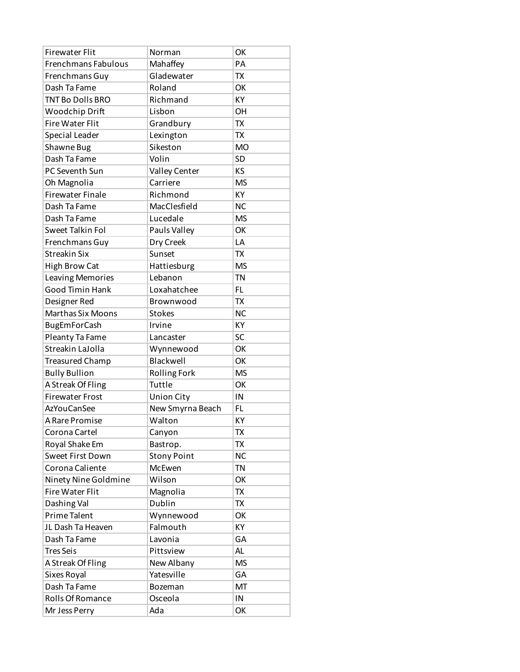| <b>Firewater Flit</b>   | Norman              | OK        |
|-------------------------|---------------------|-----------|
| Frenchmans Fabulous     | Mahaffey            | PA        |
| Frenchmans Guy          | Gladewater          | <b>TX</b> |
| Dash Ta Fame            | Roland              | OK        |
| <b>TNT Bo Dolls BRO</b> | Richmand            | KY        |
| Woodchip Drift          | Lisbon              | OH        |
| <b>Fire Water Flit</b>  | Grandbury           | <b>TX</b> |
| <b>Special Leader</b>   | Lexington           | <b>TX</b> |
| Shawne Bug              | Sikeston            | <b>MO</b> |
| Dash Ta Fame            | Volin               | <b>SD</b> |
| PC Seventh Sun          | Valley Center       | KS        |
| Oh Magnolia             | Carriere            | <b>MS</b> |
| <b>Firewater Finale</b> | Richmond            | KY        |
| Dash Ta Fame            | MacClesfield        | <b>NC</b> |
| Dash Ta Fame            | Lucedale            | <b>MS</b> |
| Sweet Talkin Fol        | Pauls Valley        | OK        |
| Frenchmans Guy          | Dry Creek           | LA        |
| <b>Streakin Six</b>     | Sunset              | <b>TX</b> |
| <b>High Brow Cat</b>    | Hattiesburg         | <b>MS</b> |
| Leaving Memories        | Lebanon             | <b>TN</b> |
| <b>Good Timin Hank</b>  | Loxahatchee         | FL.       |
| Designer Red            | Brownwood           | <b>TX</b> |
| Marthas Six Moons       | <b>Stokes</b>       | <b>NC</b> |
| <b>BugEmForCash</b>     | Irvine              | KY        |
| Pleanty Ta Fame         | Lancaster           | SC        |
| Streakin LaJolla        | Wynnewood           | OK        |
| <b>Treasured Champ</b>  | Blackwell           | OK        |
| <b>Bully Bullion</b>    | <b>Rolling Fork</b> | <b>MS</b> |
| A Streak Of Fling       | Tuttle              | OK        |
| <b>Firewater Frost</b>  | <b>Union City</b>   | IN        |
| <b>AzYouCanSee</b>      | New Smyrna Beach    | FL        |
| A Rare Promise          | Walton              | KY        |
| Corona Cartel           | Canyon              | TX        |
| Royal Shake Em          | Bastrop.            | TX        |
| Sweet First Down        | <b>Stony Point</b>  | <b>NC</b> |
| Corona Caliente         | McEwen              | <b>TN</b> |
| Ninety Nine Goldmine    | Wilson              | OK        |
| <b>Fire Water Flit</b>  | Magnolia            | TX        |
| Dashing Val             | Dublin              | TX        |
| Prime Talent            | Wynnewood           | OK        |
| JL Dash Ta Heaven       | Falmouth            | KΥ        |
| Dash Ta Fame            | Lavonia             | GA        |
| <b>Tres Seis</b>        | Pittsview           | AL.       |
| A Streak Of Fling       | New Albany          | <b>MS</b> |
| Sixes Royal             | Yatesville          | GA        |
| Dash Ta Fame            |                     | MT        |
| Rolls Of Romance        |                     |           |
|                         | Bozeman<br>Osceola  | IN        |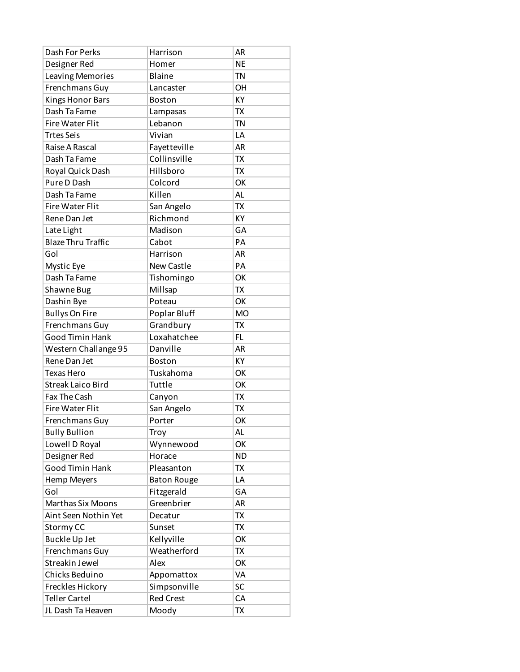| Dash For Perks            | Harrison           | <b>AR</b> |
|---------------------------|--------------------|-----------|
| Designer Red              | Homer              | <b>NE</b> |
| Leaving Memories          | Blaine             | <b>TN</b> |
| Frenchmans Guy            | Lancaster          | <b>OH</b> |
| <b>Kings Honor Bars</b>   | <b>Boston</b>      | KY        |
| Dash Ta Fame              | Lampasas           | <b>TX</b> |
| <b>Fire Water Flit</b>    | Lebanon            | <b>TN</b> |
| <b>Trtes Seis</b>         | Vivian             | LA        |
| Raise A Rascal            | Fayetteville       | <b>AR</b> |
| Dash Ta Fame              | Collinsville       | <b>TX</b> |
| Royal Quick Dash          | Hillsboro          | <b>TX</b> |
| Pure D Dash               | Colcord            | OK        |
| Dash Ta Fame              | Killen             | AL        |
| <b>Fire Water Flit</b>    | San Angelo         | <b>TX</b> |
| Rene Dan Jet              | Richmond           | KY        |
| Late Light                | Madison            | GA        |
| <b>Blaze Thru Traffic</b> | Cabot              | PA        |
| Gol                       | Harrison           | <b>AR</b> |
| Mystic Eye                | <b>New Castle</b>  | PA        |
| Dash Ta Fame              | Tishomingo         | OK        |
| Shawne Bug                | Millsap            | <b>TX</b> |
| Dashin Bye                | Poteau             | OK        |
| <b>Bullys On Fire</b>     | Poplar Bluff       | <b>MO</b> |
| Frenchmans Guy            | Grandbury          | TX        |
| Good Timin Hank           | Loxahatchee        | <b>FL</b> |
| Western Challange 95      | Danville           | <b>AR</b> |
| Rene Dan Jet              | <b>Boston</b>      | KY        |
| <b>Texas Hero</b>         | Tuskahoma          | OK        |
| <b>Streak Laico Bird</b>  | Tuttle             | OK        |
| Fax The Cash              | Canyon             | TX        |
| <b>Fire Water Flit</b>    | San Angelo         | TX        |
| Frenchmans Guy            | Porter             | OK        |
| <b>Bully Bullion</b>      | Troy               | AL.       |
| Lowell D Royal            | Wynnewood          | OK        |
| Designer Red              | Horace             | <b>ND</b> |
| <b>Good Timin Hank</b>    | Pleasanton         | TX        |
| Hemp Meyers               | <b>Baton Rouge</b> | LA        |
| Gol                       | Fitzgerald         | GA        |
| <b>Marthas Six Moons</b>  | Greenbrier         | <b>AR</b> |
| Aint Seen Nothin Yet      | Decatur            | TX        |
| Stormy CC                 | Sunset             | <b>TX</b> |
| <b>Buckle Up Jet</b>      | Kellyville         | OK        |
| Frenchmans Guy            | Weatherford        | TX        |
| Streakin Jewel            | Alex               | OK        |
| Chicks Beduino            | Appomattox         | VA        |
| Freckles Hickory          | Simpsonville       | SC        |
| <b>Teller Cartel</b>      | <b>Red Crest</b>   | CA        |
| JL Dash Ta Heaven         | Moody              | TX        |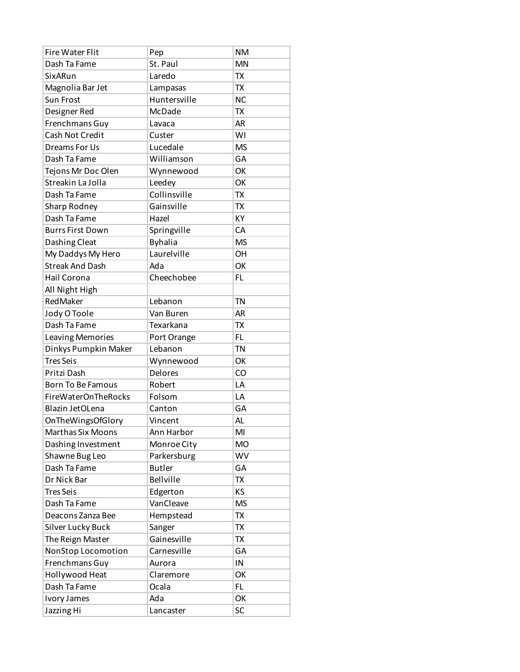| <b>Fire Water Flit</b>     | Pep              | <b>NM</b> |
|----------------------------|------------------|-----------|
| Dash Ta Fame               | St. Paul         | <b>MN</b> |
| SixARun                    | Laredo           | TX        |
| Magnolia Bar Jet           | Lampasas         | <b>TX</b> |
| <b>Sun Frost</b>           | Huntersville     | <b>NC</b> |
| Designer Red               | McDade           | <b>TX</b> |
| Frenchmans Guy             | Lavaca           | <b>AR</b> |
| Cash Not Credit            | Custer           | WI        |
| Dreams For Us              | Lucedale         | <b>MS</b> |
| Dash Ta Fame               | Williamson       | GA        |
| Tejons Mr Doc Olen         | Wynnewood        | OK        |
| Streakin La Jolla          | Leedey           | OK        |
| Dash Ta Fame               | Collinsville     | TX        |
| Sharp Rodney               | Gainsville       | <b>TX</b> |
| Dash Ta Fame               | Hazel            | KY        |
| <b>Burrs First Down</b>    | Springville      | CA        |
| Dashing Cleat              | <b>Byhalia</b>   | <b>MS</b> |
| My Daddys My Hero          | Laurelville      | <b>OH</b> |
| <b>Streak And Dash</b>     | Ada              | OK        |
| <b>Hail Corona</b>         | Cheechobee       | FL        |
| All Night High             |                  |           |
| RedMaker                   | Lebanon          | <b>TN</b> |
| Jody O Toole               | Van Buren        | <b>AR</b> |
| Dash Ta Fame               | Texarkana        | <b>TX</b> |
| Leaving Memories           | Port Orange      | <b>FL</b> |
| Dinkys Pumpkin Maker       | Lebanon          | <b>TN</b> |
| <b>Tres Seis</b>           | Wynnewood        | OK        |
| Pritzi Dash                | Delores          | CO        |
| <b>Born To Be Famous</b>   | Robert           | LA        |
| <b>FireWaterOnTheRocks</b> | Folsom           | LA        |
| Blazin JetOLena            | Canton           | GA        |
| OnTheWingsOfGlory          | Vincent          | <b>AL</b> |
| <b>Marthas Six Moons</b>   | Ann Harbor       | MI        |
| Dashing Investment         | Monroe City      | <b>MO</b> |
| Shawne Bug Leo             | Parkersburg      | <b>WV</b> |
| Dash Ta Fame               | <b>Butler</b>    | GA        |
| Dr Nick Bar                | <b>Bellville</b> | TX        |
| <b>Tres Seis</b>           | Edgerton         | KS        |
| Dash Ta Fame               | VanCleave        | <b>MS</b> |
| Deacons Zanza Bee          | Hempstead        | TX        |
| Silver Lucky Buck          | Sanger           | <b>TX</b> |
| The Reign Master           | Gainesville      | TX        |
| NonStop Locomotion         | Carnesville      | GA        |
| Frenchmans Guy             | Aurora           | IN        |
| Hollywood Heat             | Claremore        | OK        |
| Dash Ta Fame               | Ocala            | FL.       |
| Ivory James                | Ada              | OK        |
| Jazzing Hi                 | Lancaster        | SC        |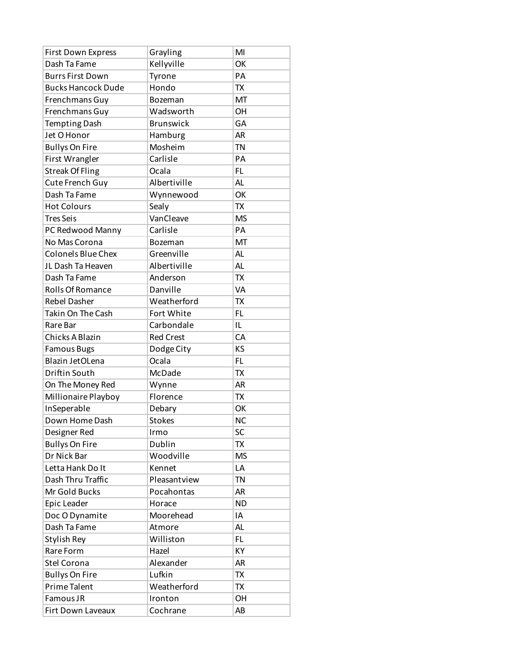| <b>First Down Express</b> | Grayling         | MI        |
|---------------------------|------------------|-----------|
| Dash Ta Fame              | Kellyville       | OK        |
| <b>Burrs First Down</b>   | Tyrone           | PA        |
| <b>Bucks Hancock Dude</b> | Hondo            | <b>TX</b> |
| Frenchmans Guy            | Bozeman          | MT        |
| Frenchmans Guy            | Wadsworth        | <b>OH</b> |
| <b>Tempting Dash</b>      | <b>Brunswick</b> | GA        |
| Jet O Honor               | Hamburg          | <b>AR</b> |
| <b>Bullys On Fire</b>     | Mosheim          | <b>TN</b> |
| First Wrangler            | Carlisle         | PA        |
| <b>Streak Of Fling</b>    | Ocala            | FL.       |
| Cute French Guy           | Albertiville     | <b>AL</b> |
| Dash Ta Fame              | Wynnewood        | OK        |
| <b>Hot Colours</b>        | Sealy            | <b>TX</b> |
| <b>Tres Seis</b>          | VanCleave        | <b>MS</b> |
| PC Redwood Manny          | Carlisle         | PA        |
| No Mas Corona             | Bozeman          | MT        |
| Colonels Blue Chex        | Greenville       | <b>AL</b> |
| JL Dash Ta Heaven         | Albertiville     | <b>AL</b> |
| Dash Ta Fame              | Anderson         | <b>TX</b> |
| Rolls Of Romance          | Danville         | VA        |
| <b>Rebel Dasher</b>       | Weatherford      | <b>TX</b> |
| Takin On The Cash         | Fort White       | FL.       |
| Rare Bar                  | Carbondale       | IL        |
| Chicks A Blazin           | <b>Red Crest</b> | CA        |
| <b>Famous Bugs</b>        | Dodge City       | KS        |
| Blazin JetOLena           | Ocala            | <b>FL</b> |
| Driftin South             | McDade           | <b>TX</b> |
| On The Money Red          | Wynne            | <b>AR</b> |
| Millionaire Playboy       | Florence         | <b>TX</b> |
| InSeperable               | Debary           | OK        |
| Down Home Dash            | <b>Stokes</b>    | <b>NC</b> |
| Designer Red              | Irmo             | SC        |
| <b>Bullys On Fire</b>     | Dublin           | TX        |
| Dr Nick Bar               | Woodville        | <b>MS</b> |
| Letta Hank Do It          | Kennet           | LA        |
| Dash Thru Traffic         | Pleasantview     | <b>TN</b> |
| Mr Gold Bucks             | Pocahontas       | <b>AR</b> |
| Epic Leader               | Horace           | <b>ND</b> |
| Doc O Dynamite            | Moorehead        | IA        |
| Dash Ta Fame              | Atmore           | <b>AL</b> |
| Stylish Rey               | Williston        | FL        |
| Rare Form                 | Hazel            | КY        |
| Stel Corona               | Alexander        | <b>AR</b> |
| <b>Bullys On Fire</b>     | Lufkin           | <b>TX</b> |
| Prime Talent              | Weatherford      | TX        |
| Famous JR                 | Ironton          | OH        |
| Firt Down Laveaux         | Cochrane         | AB        |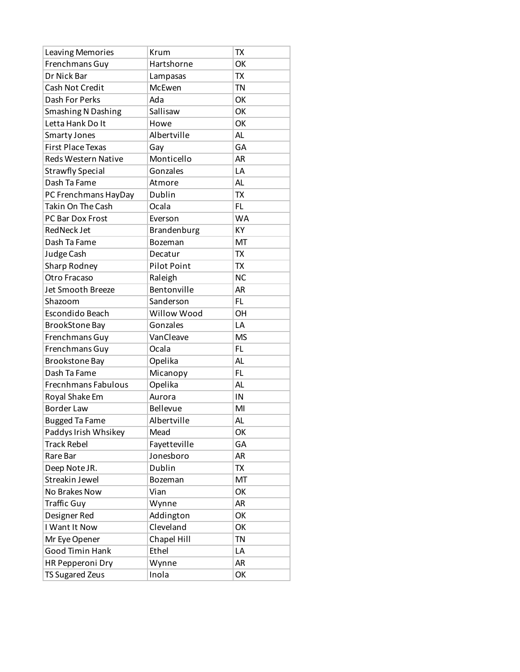| Leaving Memories           | Krum               | TX        |
|----------------------------|--------------------|-----------|
| Frenchmans Guy             | Hartshorne         | OK        |
| Dr Nick Bar                | Lampasas           | <b>TX</b> |
| Cash Not Credit            | McEwen             | TN        |
| Dash For Perks             | Ada                | OK        |
| Smashing N Dashing         | Sallisaw           | OK        |
| Letta Hank Do It           | Howe               | OK        |
| Smarty Jones               | Albertville        | AL        |
| <b>First Place Texas</b>   | Gay                | GA        |
| <b>Reds Western Native</b> | Monticello         | AR        |
| <b>Strawfly Special</b>    | Gonzales           | LA        |
| Dash Ta Fame               | Atmore             | <b>AL</b> |
| PC Frenchmans HayDay       | Dublin             | <b>TX</b> |
| Takin On The Cash          | Ocala              | <b>FL</b> |
| PC Bar Dox Frost           | Everson            | <b>WA</b> |
| RedNeck Jet                | Brandenburg        | KY        |
| Dash Ta Fame               | Bozeman            | MT        |
| Judge Cash                 | Decatur            | TX        |
| Sharp Rodney               | <b>Pilot Point</b> | TX        |
| Otro Fracaso               | Raleigh            | <b>NC</b> |
| Jet Smooth Breeze          | Bentonville        | <b>AR</b> |
| Shazoom                    | Sanderson          | FL        |
| Escondido Beach            | Willow Wood        | OH        |
| <b>BrookStone Bay</b>      | Gonzales           | LA        |
| Frenchmans Guy             | VanCleave          | <b>MS</b> |
| Frenchmans Guy             | Ocala              | <b>FL</b> |
| <b>Brookstone Bay</b>      | Opelika            | <b>AL</b> |
| Dash Ta Fame               | Micanopy           | FL        |
| Frecnhmans Fabulous        | Opelika            | <b>AL</b> |
| Royal Shake Em             | Aurora             | IN        |
| <b>Border Law</b>          | Bellevue           | MI        |
| <b>Bugged Ta Fame</b>      | Albertville        | AL        |
| Paddys Irish Whsikey       | Mead               | OK        |
| <b>Track Rebel</b>         | Fayetteville       | GA        |
| Rare Bar                   | Jonesboro          | AR        |
| Deep Note JR.              | Dublin             | <b>TX</b> |
| Streakin Jewel             | Bozeman            | MT        |
| No Brakes Now              | Vian               | OK        |
| <b>Traffic Guy</b>         | Wynne              | AR        |
| Designer Red               | Addington          | OK        |
| I Want It Now              | Cleveland          | OK        |
| Mr Eye Opener              | Chapel Hill        | <b>TN</b> |
| Good Timin Hank            | Ethel              | LA        |
| HR Pepperoni Dry           | Wynne              | AR        |
| <b>TS Sugared Zeus</b>     | Inola              | OK        |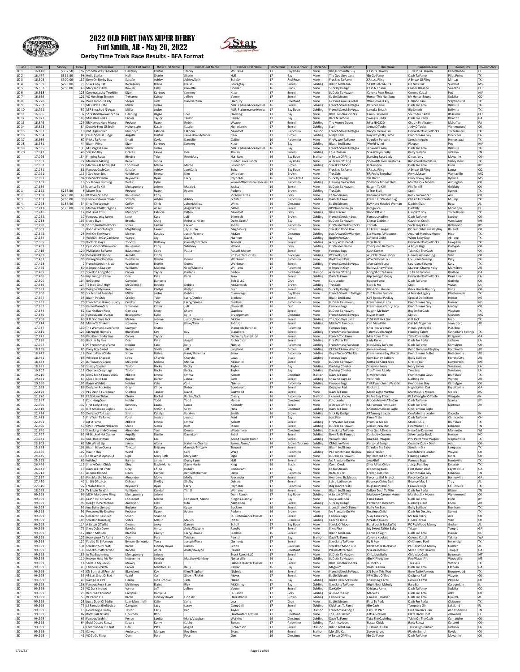

г

#### 2022 OLD FORT DAYS SUPER DERBY Fort Smith, AR - May 20, 2022



**Derby Time Trials Race Results - BFA Format**

| Place                              | Time             | Money                | Draw | <b>Horse Name</b>                                   |                        | Rider Last Name Rider First Name | Owner Last Name               | Owner First Name                       | Horse Year   | Horse Color                | Horse Sex            | Sire Name                                             | Dam Name                                            | <b>Damsire Name</b>                                  | Owner City                       | Owner State                   |
|------------------------------------|------------------|----------------------|------|-----------------------------------------------------|------------------------|----------------------------------|-------------------------------|----------------------------------------|--------------|----------------------------|----------------------|-------------------------------------------------------|-----------------------------------------------------|------------------------------------------------------|----------------------------------|-------------------------------|
| 1D <sub>1</sub><br>1D <sub>2</sub> | 16.148<br>16.477 | \$337.50<br>\$312.50 |      | 97 Smooth Way Ta Heaven<br>98 Hello Stella          | Hanchey<br>Hall        | Kristin<br>Sharin                | Tracey<br>Sharin              | Williams<br>Hall                       | 17<br>17     | Bay Roan<br>Bay            | Mare<br>Mare         | <b>Blings Smooth Guy</b><br>The Goodbye Lane          | Cash Ta Heaven<br>Go Go Fame                        | JL Dash Ta Heaven<br>Dash Ta Fame                    | Okeechobee<br><b>Pilot Point</b> | FL<br>TX                      |
| 1D <sub>3</sub><br>1D4             | 16.505<br>16.559 | \$300.00<br>\$275.00 |      | 137 Born On Derby Day<br>78 SBW Copy Cat            | Schafer<br>Bersegeary  | Ashley<br>Blaise                 | Ashley/Seth<br>Blaise         | Schafer<br>Bercegeay                   | 17<br>16     | Red Roar<br>Sorrel         | Mare<br>Gelding      | Freckles Ta Fame<br>Blazin JetOLena                   | <b>KR Last Fling</b><br>SX DR PeachARita            | A Streak Of Fling<br><b>DR Nick Bar</b>              | Millsap<br>Summit                | Tx<br><b>MS</b>               |
| 1D <sub>5</sub>                    | 16.587           | \$250.00             |      | 66 Mary Jane Slick                                  | Bowser                 | Kelly                            | Danielle                      | Bowser                                 | 16           | Black                      | Mare                 | Slick By Design                                       | Cash N Charm                                        | Cash N Balance                                       | Swanton                          | OH                            |
| 1D <sub>6</sub><br>1D7             | 16.618<br>16.666 |                      |      | 123 CoronasLucky TwoNite<br>121 VQ NonStop Stinson  | Kizer<br>Treharne      | Kortney<br>Kelsey                | Kortney<br>Jeffrey            | Kizer<br>Varner                        | 17<br>17     | Sorrel<br>Sorrel           | Mare<br>Mare         | II Dash Ta Heaven<br>Eddie Stinson                    | Corona Four Fiesta<br>Honor This NonStop            | Corona Castel<br>Mr Honor Bound                      | Pep<br>Sedalia                   | <b>NM</b><br>CO               |
| 1D8<br>1 <sub>D</sub> <sub>9</sub> | 16.778<br>16.787 |                      |      | 42 Wins Famous Lady<br>19 Mr RePete Pete            | Seeger<br>Miller       | Josh<br>Jodee                    | Dan/Barbara                   | Hardisty<br>M.R. Performance Horses    | 17<br>16     | Chestnut<br>Sorrel         | Mare<br>Gelding      | Ur One Famous Rebe                                    | Win Comes Easy<br>RePete Fame                       | <b>Holland Ease</b><br>Dash Ta Fame                  | Stephenvill<br>Bellville         | TX<br>TX                      |
| 1D 10                              | 16.791           |                      |      | 57 MR Smashed N Vegas                               | Miller                 | Jodee                            |                               | M.R. Performance Horses                | 17           | Bay Roan                   | Gelding              | French StreakToVegas<br>French StreakToVegas          | Jamaka Smash                                        | <b>Big Smash</b>                                     | Bellville                        | TX                            |
| 1D 11<br>1D <sub>12</sub>          | 16,806<br>16.827 |                      |      | 32 SocksNotHavinACorona<br>108 Miss Rare Perks      | Henning<br>Carver      | Regan<br>Taylor                  | Joel<br>Taylor                | Henning<br>Carver                      | 17<br>17     | Bay<br>Bay                 | Mare<br>Mare         | <b>BHR Frenchies Socks</b><br>Rare N Famous           | Famous Corona<br>Swingin Perks                      | Southern Cartel<br>Dash For Perks                    | Roseville<br>Broxton             | OH<br>GA                      |
| 1D13                               | 16.846           |                      |      | 126 RR Harvey Have Mercy                            | Pedone                 | Ryann                            | Robin                         | Weaver                                 | 17           | Sorrel                     | Gelding              | The Money Depot                                       | <b>Miss JB 0820</b>                                 | Chasin FireWater                                     | Mahaffey                         | PA                            |
| 1D 14<br>1D15                      | 16.893<br>16.902 |                      |      | 84 Double Shot Of Stoli<br>10 DM High Roller        | Hohenstein<br>Mundorf  | Kassie<br>Latricia               | Kassie<br>Latricia            | Hohenstein<br>Mundorf                  | 17<br>17     | Sorrel<br>Paloming         | Gelding<br>Stallion  | Stoli<br>French StreakToVegas                         | Arosa O Toole<br>Happy To Run Em                    | Jody O Toole<br>FireWaterOnTheRocks                  | Wynnewoor<br>Three Rivers        | OK<br>TX                      |
| 1D 16<br>1D 17                     | 16.934<br>16.939 |                      |      | 83 Cains Special Judge<br>67 Frisky Ta Fame         | Angelle<br>Small       | Dustin<br>Cavla                  | James David/Renee<br>Danielle | Cain<br>Collier                        | 17<br>16     | Brown<br>Palomino          | Gelding<br>Mare      | Judge Cash<br>FireWater Ta Fame                       | Guys IttyBitty Fame<br>Streakin Porsche             | Frenchmans Guy                                       | Dry Creek                        | LA<br>TX                      |
| 1D18                               | 16.981           |                      |      | 44 Blazin Wind                                      | Kizer                  | Kortney                          | Kortney                       | Kizer                                  | 17           | Bay                        | Gelding              | Blazin JetOLena                                       | World Wind                                          | <b>Streakin Again</b><br>Playgun                     | Hempstead<br>Peg                 | <b>NM</b>                     |
| 1D 19<br>1D 20                     | 16.995<br>17.012 |                      |      | 133 MR Vegas Fame<br>46 Stetson Rav                 | Miller<br>Graves       | Jodee<br>Lance                   | Dee                           | M.R. Performance Horses<br>Thelan      | 16<br>17     | Bay<br>Sorrel              | Mare<br>Gelding      | French StreakToVegas<br>Edie Stinson                  | JL Sweet Fame<br>Sixes Plavin Bully                 | Dash Ta Fame<br><b>Bully Bullion</b>                 | Bellville<br>Jackson             | TX<br><b>TN</b>               |
| 1D                                 | 17.026           |                      |      | 134 Flinging Roses                                  | Rivette                | Tyler                            | Rose Mar                      | Harrison                               | 16           | <b>Bay Roar</b>            | Stallion             | A Streak Of Fling                                     | Dancing Rose Lady                                   | Disco Jerry                                          | Maysville                        | OK                            |
| 1D<br>1D                           | 17.051<br>17.057 |                      |      | 72 MamaHadAFling<br>27 Martinis At MidNight         | Brown<br>Loosenort     | Janna<br>Marne                   | Marne                         | Cinder Lakes Ranch<br>Loosenort        | 17<br>17     | <b>Bay Roar</b><br>Brown   | Mare<br>Gelding      | A Streak Of Fling<br>Streak Of Moon                   | SheGotItFromHerMama<br><b>Ritas Gone</b>            | Reds Western Native<br>Dash Ta Fame                  | Valley View<br>Hazel             | TX<br>KY                      |
| 1D                                 | 17.061           |                      |      | 81 Famous Cash Car                                  | Schafer                | Ashley                           | Joe/Carla                     | Spitz                                  | 17           | Bay Roan                   | Mare<br>Mare         | Freckles Ta Fame                                      | <b>KR Last Fling</b><br><b>RR Peaks Snowball</b>    | A Streak Of Fling                                    | Lamar                            | co                            |
| 1D<br>1D                           | 17.091<br>17.093 |                      |      | 113   Got Your Seis<br>94 One Slick Darlin          | Wildeisen<br>Reynolds  | Emma<br>Ryan                     | Kim<br>Larry                  | Wildeisen<br>Reynolds                  | 16<br>16     | Brown<br><b>Black APHA</b> | Mare                 | <b>Tres Seis</b><br>Slick By Design                   | Yes Darlin                                          | Perks Master<br>Okey Dokey Dale                      | Wentzville<br>Byhalia            | MO<br>MS                      |
| 1D<br>1D                           | 17.109<br>17.136 |                      |      | 16 Six Moons Flaming<br>13 License To Kill          | Weast<br>Montgomery    | Kylie<br>Jolene                  | Mattie                        | Youree-Ward Barrel Horses<br>Jackson   | 17<br>16     | Palomino<br>Sorrel         | Gelding<br>Mare      | <b>Flaming Fire Water</b><br>JL Dash Ta Heaven        | Sheza Six Moons Doll<br><b>Buggin To Kill</b>       | Marthas Six Moons<br>Flit To Kill                    | Addington<br>Goldsby             | OK<br>OK                      |
| 2D <sub>1</sub>                    | 17.152           | \$237.50             |      | 8 Mister Tres                                       | Pedone                 | Ryann                            | Ryann                         | Pedone                                 | 17           | Brown                      | Gelding              | <b>Tres Seis</b>                                      | A Trus Stoli                                        | Stoli                                                | Sunset                           | TX                            |
| 2D <sub>2</sub><br>2D <sub>3</sub> | 17.153<br>17.163 | \$225.00<br>\$200.00 |      | 68 VF Rosie Stinsor<br>30 Famous Storm Chase        | Bauserman<br>Schafer   | Cody<br>Ashley                   | Ashley                        | Victory Farms<br>Schafer               | 17<br>17     | Gray<br>Palomino           | Mare<br>Gelding      | <b>Eddie Stinson</b><br>Dash Ta Fame                  | <b>Beduino Chick Jet</b><br>French FireWater Bug    | Rock Em Smooth<br>Chasin FireWater                   | Ada<br>Millsap                   | OK<br>TX                      |
| 2D 4                               | 17.228           | \$187.50             |      | 34 Shez The Woman                                   | Coffey                 | Chris                            | John/Melissa                  | Wilks                                  | 16           | Chestnut                   | Mare                 | <b>Eddie Stinson</b>                                  | <b>BW Hard Headed Woman</b>                         | Dashin Elvis                                         | Boaz                             | AL                            |
| 2D 5<br>2D                         | 17.243<br>17.246 | \$175.00             |      | 36 Mother OfAll Dragons<br>112 DMI Got This         | Miller<br>Mundorf      | Angel<br>Latricia                | Angel/Chris<br>Dillon         | Miller<br>Mundor                       | 17<br>17     | Sorrel<br>Gray             | Mare<br>Gelding      | <b>BP Phoenix Reign</b><br><b>Blue Tracker</b>        | Indigo Ice<br>Hand Off Win                          | Darkelly<br>Hand Off Boy                             | Micanopy<br><b>Three Rivers</b>  | FL<br>TX                      |
| 2D                                 | 17.252           |                      |      | 17 Famous Jessy James                               | Lane                   | Kyra                             | Juli                          | Stierwalt                              | 17<br>17     | Brown                      | Gelding<br>Mare      | French Streakin Jess<br>JL Dash Ta Heaven             | Famous Nadine                                       | Dash Ta Fame                                         | Leedey                           | OK                            |
| 2D<br><b>2D</b>                    | 17.283<br>17.290 |                      |      | 103 Sierra Skye<br>31 ShrimpinOnTheRocks            | <b>Brooks</b><br>Jones | Craig<br>Larken                  | Roberts, Hilary<br>Larken     | Duke, Scott,<br>Jones                  | 17           | Bay<br>Palomino            | Mare                 | FireWaterOnTheRocks                                   | Sierras Cashin In<br>JT Cash                        | Cash Not Credit<br>Such Easy Cash                    | Vancleave<br>Richmond            | MS<br>KY                      |
| 2D<br>2D                           | 17.309<br>17.342 |                      |      | 3 Boons French Angel<br>28 Hell On The Heart        | Magdeburg<br>McKee     | Lauren<br>Kassidy                | JR/Laurer<br>Justin/Jeanne    | Magdeburg<br>McKee                     | 17<br>17     | Brown<br>Chestnut          | Mare<br>Gelding      | Streakin Boon Dox<br>JustAHeartOfAWarrior             | Lil French Angel<br>Six Moons A Pleasure            | PC Frenchhmans HayDay<br><b>Assured Marthas Moon</b> | Roland<br>Hico                   | OK<br>$\mathsf{T} \mathsf{X}$ |
| 2D                                 | 17.354           |                      |      | 6 WildChildsGotCashUnd                              | Wargo                  | Joy                              | David                         | Harmor                                 | 17           | Bay                        | Gelding              | BugEmForCash                                          | XV Wild Child                                       | Whos Salty Dog                                       | Abilene                          | TX                            |
| 2D<br><b>2D</b>                    | 17.365<br>17.409 |                      |      | 20 Rock On Guys<br>11 OuickShotOfFirewater          | Tonozzi<br>Bauserman   | Brittany<br>Cody                 | Garrett/Brittany<br>Whitney   | Tonozzi<br>Wrona                       | 17<br>17     | Sorrel<br>Gray             | Gelding<br>Gelding   | A Guy With Proo<br><b>FireWater Finale</b>            | Vital Rock<br>The Queen Be Quick                    | FireWaterOnTheRocks<br>A Royle High                  | Lampasas<br>Oologah              | TX<br>OK                      |
| 2D                                 | 17.419           |                      |      | 120 PM Splash Ta Fame                               | Bauserman              | Cody                             | Paula                         | Russell-Mercer                         | 17           | Sorrel                     | Mare                 | <b>Famous Bugs</b>                                    | Cash Center                                         | Takin On The Cash                                    | Howe                             | OK                            |
| 2D<br><b>2D</b>                    | 17.433<br>17.433 |                      |      | 54 Decades Of Honor<br>90 Kissing Seattle Slew      | Arnold<br>Workman      | Cindy<br><b>Brielle</b>          | Donna                         | <b>KC Quarter Horses</b><br>Workman    | 16<br>17     | Buckskir<br>Palomino       | Gelding<br>Mare      | PC Frosty Bid<br><b>Rock Solid Kiss</b>               | All Of Buttons Honor<br>After School Lou            | <b>Honors A Bounding</b><br>Louisiana Swamp          | Vian<br>Katy                     | OK<br>TX                      |
| 2D<br>2D                           | 17.453<br>17.466 |                      |      | 2 French Streakin Slew<br>60 A Smooth Starbert      | Workman<br>Williams    | Brielle<br>Marlena               | Donna<br>Greg/Marlena         | Workman<br>Williams                    | 16<br>17     | Sorrel<br>Palomino         | Gelding<br>Mare      | French StreakToVegas<br>A Smooth Guy                  | After Scholl Lou<br><b>Baileys Snow Flake</b>       | Louisiana Swamp<br><b>Starbert Champ Kelly</b>       | Katy<br>Morrilton                | TX<br>AR                      |
| <b>2D</b>                          | 17.485           |                      |      | 29 Streakin Long Shot                               | Carver                 | Taylor                           | Darlene                       | Barlow                                 | 17           | Red Roan                   | Stallion             | A Streak Of Fling                                     | Long Shot Ta Fame                                   | <b>IB Ta Be Famous</b>                               | Brotton                          | GA                            |
| 2D<br>2D                           | 17.496<br>17.500 |                      |      | 58 Hip Swingin Fame<br>104 ReElected                | Oen<br>Campbell        | Pete<br>Danyelle                 | Paris                         | Jean<br>Soft G LLC                     | 17<br>17     | Sorrel<br>Gray             | Gelding<br>Mare      | Dash Ta Fame<br><b>Epic Leader</b>                    | Hip Swingin Gypsy<br>Repete Fame                    | FireWaterOnTheRocks<br>Dash Ta Fame                  | Pearl River<br>Guthrie           | LA<br>OK                      |
| <b>2D</b>                          | 17.536           |                      |      | 124 TS Stoli On A High                              | McCormick              | Debbie                           | Debbie                        | McCormick                              | 17           | Brown                      | Gelding              | <b>Tres Seis</b>                                      | Stoli N Me                                          | Stoli                                                | Vivian                           | LA                            |
| 2D<br>2D                           | 17.583<br>17.600 |                      |      | 40 Designed By Hank<br>95 Six Frosted Freckles      | Burr<br>Miller         | Kaelyn<br>Jodee                  | Kaelyr<br>Debbie              | Burr<br>Cummings                       | 17<br>$17\,$ | Sorrel<br><b>Bay Roar</b>  | Gelding<br>Mare      | Slick By Design<br>French StreakinToVegas             | Dixie Doll House<br><b>Tuff Turnin Freckle</b>      | <b>Brick House Bouncy</b><br>A Freckle Legacy        | Gans<br>Plantersville            | OK<br>$\mathsf{T} \mathsf{X}$ |
| 2D                                 | 17.647           |                      |      | 38 Blazin PayDay                                    | Crosby                 | Tyler                            | Larry/Denice                  | Bledsoe                                | 17           | Sorrel                     | Mare                 | Blazin JetOLena<br>JL Dash Ta Heaver                  | <b>KVS Special PayDay</b>                           | Special Definition                                   | Homer                            | <b>NE</b>                     |
| 2D<br><b>2D</b>                    | 17.651<br>17.661 |                      |      | 70 FrenchmansFamousLady<br>129 KarensPawnStar       | Crosby<br>Simmons      | Tyler<br>Kinzer                  | Larry/Denice<br>Juli          | Bledsoe<br>Stierwalt                   | 17<br>16     | Palomino<br>Dun            | Mare<br>Mare         | <b>Famous Bugs</b>                                    | Frenchmans Lana<br>Frenchmans FancyLady             | Frenchmans Guy<br>Frenchmans Guy                     | Homer<br>Leedev                  | <b>NE</b><br>OK               |
| <b>2D</b><br>2D                    | 17.684<br>17.686 |                      |      | 52 Starrin Baby Rose<br>35 Fames DashToVegas        | Gamboa<br>Brueggeman   | Sheryl<br>Kylie                  | Sheryl<br>Kylie               | Gamboa<br>Brueggeman                   | 17<br>17     | Sorrel<br>Chestnut         | Mare<br>Mare         | JL Dash Ta Heaven<br>French StreakToVegas             | <b>Buggin Me Baby</b><br>Stylus Intent              | BugEmForCash<br>Stylus                               | Waskom<br>Sikeston               | TX<br>MO                      |
| <b>2D</b>                          | 17.708           |                      |      | 69 JLD Goodbye Jack                                 | McKee                  | Jeanne                           | Justin/Jeanne                 | McKee                                  | 16           | Sorrel                     | Gelding              | The Goodbye Lane                                      | <b>TLSR Gill Jack Ga</b>                            | Gill Jack                                            | Hico                             | TX                            |
| 2D<br>2D                           | 17.714<br>17.737 |                      |      | 51 Makin Ya Shake It<br>130 The Woman Loves Fame    | Johnsor<br>Stamper     | Jax<br>Sharee                    | Blake/Tara                    | Johnson<br><b>Stampede Ranches</b>     | 17<br>17     | Sorrel<br>Palomino         | Gelding<br>Mare      | Makin Ya Famous<br><b>Famous Bugs</b>                 | Call Mea Alibi<br>Shez Ikes Woman                   | Call Me Together<br>Heza Lighting Ike                | Jonesboro<br>P.O. Box            | AR                            |
| <b>2D</b>                          | 17.811           |                      |      | 125 KB Angels Hombre                                | Blandford              | Kay                              | Kay                           | Blandford                              | 17           | Sorrel                     | Gelding              | <b>Frenchmans Fabulous</b>                            | <b>Talents Dark Angel</b>                           | <b>Flaming Talent</b>                                | <b>Sutherland Springs</b>        | $\overline{X}$                |
| 2D<br>2D                           | 17.871<br>17.886 |                      |      | 56 Pals French Martini<br>100 Baptize By Fire       | Carver<br>Oen          | Taylor<br>Pete                   | Angela                        | Dorminy Plantation<br>Richardson       | 17<br>17     | Sorrel<br>Sorrel           | Mare<br>Gelding      | French Too Fame<br>Fire Water Flit                    | Miss Royal Title<br><b>Lady Perks</b>               | <b>Title Contende</b><br>Dash For Perks              | Fitzgerald<br>Jackson            | GA<br>LA                      |
| 2D<br>2D                           | 17.977<br>18.155 |                      |      | 1 PT Frenchmans Fame<br>85 Pony Boy Cartel          | Neisiu:<br>Brown       | Cale<br>Sheila                   | Kelly<br>Jeff                 | Neisius<br>Langford                    | 17<br>17     | Paloming<br>Brown          | Gelding<br>Gelding   | Frenchmans Fabulous<br>CF ChickASaw Warrior           | RickAShay Ta Fame<br>Genuine Gene                   | Dash Ta Fame<br>Poco Genuine PlayBoy                 | Okmulgee<br>Fort Smith           | OK<br>AR                      |
| <b>2D</b>                          | 18.442           |                      |      | 118 WannaPieceOfMe                                  | Snow                   | Bailee                           | Hank/Shawnna                  | Snow                                   | 17           | Palomino                   | Gelding              | Guys Piece Of The Pie                                 | Frenchmans Bay Watch                                | <b>Frenchmans Bullet</b>                             | Bentonville                      | AR                            |
| 2D<br>2D                           | 18,481<br>18.634 |                      |      | 88 Whipper Snapper<br>24 JL Heavenly Grace          | Laws<br>McDanie        | Cheryle<br>Melissa               | Cheryle<br>Melissa            | Laws<br>McDanie                        | 17<br>17     | Black<br>Sorrel            | Gelding<br>Mare      | <b>Famous Bugs</b><br>JL Dash Ta Heaver               | Gem Dandy Bullion<br>Gotta Be A Red Nick            | <b>Bully Bullion</b><br>Dr Nick Bar                  | <b>Forrest City</b><br>Lumberton | AR<br>MS                      |
| <b>2D</b>                          | 18.881           |                      |      | 37 Snazzy Chester                                   | Tavlor                 | Becky                            | Becky                         | Taylor                                 | 17           | Bay                        | Gelding              | Dashing Chester                                       | Snazzy In Ivory                                     | Ivory James                                          | Simsboro                         | LA                            |
| 2D<br>2D                           | 19.107<br>19.216 |                      |      | 111 Chesters Crazy Legs<br>91 Deny Me A Famous Kiss | Taylor<br>Abbott       | <b>Becky</b><br>Emma             | Becky<br>Emma                 | Taylor<br>Abbott                       | 17<br>17     | Bay<br>Chestnut            | Gelding<br>Stallion  | Dashing Chester<br>Dash Ta Fame                       | Tres Times A Lad<br>C Me Frenchie                   | <b>Tres Seis</b><br>Frenchmans Guy!                  | Simsboro<br><b>Bluff Dale</b>    | LA<br>TX                      |
| <b>2D</b>                          | 19.441           |                      |      | 65 Quick Trick Leo                                  | Boyce                  | Darren                           | Jenna                         | Earls                                  | 17           | Sorrel                     | Gelding              | Shawne Bug Leo                                        | Vals Trick                                          | Dashing Val                                          | Wynne                            | AR                            |
| 2D<br>2D                           | 20.560<br>21.968 |                      |      | 105 Roger Wabbit<br>86 Designer Rockette            | Neisiu:<br>Gray        | Cale<br>Chloe                    | Cale<br>Robert                | Neisius<br>Bondurant                   | 17<br>17     | Palomino<br>Sorrel         | Gelding<br>Mare      | <b>Famous Bugs</b><br>Designer Red                    | THR Fwenchmns Wabbit<br>Rockette                    | Frencmans Guy<br>High Stylish Oak                    | Okmulgee<br>Fayetteville         | OK<br>GA                      |
| <b>2D</b><br>2D                    | 22.129<br>22.170 |                      |      | 76 PLS Dash Ta Glamour<br>87 FS Golden Ticket       | Shelton<br>Cleary      | Tanner<br>Rachel                 | David<br>Rachel/Zack          | Eastwood<br>Cleary                     | 16<br>16     | Sorrel<br>Palomino         | Mare<br>Stallion     | Dash Ta Fame<br>I Know U Knov                         | Moon Light Martha<br>Fe Fes Easy Effort             | Marthas Six Moons<br>PLS Wrangler O Toole            | Stokes<br>Wingate                | N <sub>C</sub><br>IN          |
| 2D                                 | 22.257           |                      |      | 7 Epic HangOver                                     | Holder                 | Todd                             | Todd                          | Holder                                 | 16           | Chestnut                   | Mare                 | <b>Epic Leader</b>                                    | BloodyMaryInATinCan                                 | Dash Ta Fame                                         | Sparta                           | KY                            |
| 2D<br>2D                           | 22.376<br>22.418 |                      |      | 132 First Ladys Fling<br>39 DTF American Eagle 1    | Kennedy<br>Duke        | Laura<br>Stefanie                | Laura<br>Gray                 | Kennedy<br>Hess                        | 17<br>17     | Sorrel<br>Chestnut         | Mare<br>Gelding      | A Streak Of Fling<br>Dash Ta Fame                     | <b>GL Famous First Lady</b><br>ShesAnAmerican Eagle | Dash Ta Fame<br>One Famous Eagle                     | Quitman                          | AR                            |
| <b>2D</b>                          | 22.424           |                      |      | 50 Designed To Lead                                 | Smith                  | Katelyn                          | Katelyr                       | Smith                                  | 16           | Brown                      | Gelding              | Slick By Design                                       | <b>KT Saucev Leader</b>                             | Confederate Leader                                   | Osceola                          | IN                            |
| <b>2D</b><br>2D                    | 22.483<br>22.491 |                      |      | 5 FireTrain Ta Fame<br>9 Jet O Fame                 | Ford<br>Abbott         | Jessica<br>Emma                  | Jessica<br>Emma               | Ford<br>Abbott                         | 17<br>17     | Bay<br>Sorrel              | Mare<br>Gelding      | Just Fire<br>FireWater Ta Fame                        | Fame Train<br>Promise Me Six                        | Dash Ta Fame<br><b>Streakin Six</b>                  | Chillicothe<br><b>Bluff Dale</b> | OH<br><b>TX</b>               |
| <b>2D</b>                          | 22.590<br>22.640 |                      |      | 59 KVS FireWaterNHeaven                             | Stone                  | Sierra                           | Kurt                          | Stone<br>Wiedemeier                    | 17<br>17     | Sorrel                     | Gelding              | JL Dash Ta Heaven                                     | Jessie FireWater                                    | Fire Water Flit                                      | Lebanon                          | <b>TN</b><br>WI               |
| 2D<br>2D                           | 22.767           |                      |      | 12 Streaking InMyDreams<br>55 VF Backed N A Corner  | Alexande<br>Angelle    | Terri<br>Dustin                  | Denise<br>Dave/Lor            | Zabel                                  | 17           | Chestnut<br>Sorrel         | Gelding<br>Gelding   | <b>Streaking Ta Fame</b><br>Born Ta Be Famous         | Shes Got A Dream<br><b>Curiocity Corners</b>        | Hesa Gay Dreamer<br>Silver Lucky Buck                | Marinette<br>Horace              | <b>ND</b>                     |
| <b>2D</b><br>2D                    | 23.041<br>23.805 |                      |      | 49 Kool RocketMan<br>61 MH Wired Up                 | Peaden<br>James        | Lexi<br>Alona                    | Hainline, Charles             | Ace Of Spades Ranch<br>James, Alona/   | 17<br>16     | Sorrel<br>Brown Tobiano    | Gelding<br>Gelding   | Valliant Hero<br><b>CRM Live Wire</b>                 | One Kool Wagon<br>Personal Ensign                   | <b>PYC Paint Your Wagon</b><br>Country Quick Dash    | Stephenville<br>Ada              | TX<br>OK                      |
| 12D                                | 23.868           |                      |      | 101 Blazin Babe OLena                               | lonozz                 | Brittany                         | Garrett/Brittany              | lonozzi                                | 17           | Sorrel                     | Mare                 | Blazin JetOLena                                       | Streakin Six Babe                                   | Streakiin Six                                        | Lampasas                         |                               |
| 2D<br>2D                           | 23,880<br>24.645 |                      |      | 102 Haulin Hay<br>116 Look What Dyna Did            | Ward<br>Ogle           | Ceri<br>Mary Beth                | Ceri<br>Mary Beth             | Ward<br>Ogle                           | 17<br>17     | Paloming<br>Sorrel         | Gelding<br>Mare      | PC Frenchmans HayDay<br>JL Dash Ta Heaven             | Dixie Hauler<br><b>Hy Talented Chick</b>            | Confederate Leade<br><b>Flaming Talent</b>           | Wayne<br>Kinta                   | OK<br>OK                      |
| <b>2D</b>                          | 25.955           |                      |      | 62 Intitled                                         | Barnes                 | James                            | Dusky Lynn                    | Hall                                   | 17           | Sorrel                     | Mare                 | No Pressure On Me                                     | JezzABell                                           | <b>Famous Bugs</b>                                   | Huntsville                       | TX                            |
| 2D<br>2D                           | 26,446<br>26.643 |                      |      | 115 Shes A Conn Chick<br>18 Dash Ta First Prize     | King<br>Gray           | Davie Marie<br>Chloe             | Davie Marie<br>Robert         | King<br>Bondurant                      | 16<br>17     | Black<br>Bay               | Mare<br>Mare         | Conn Creek<br><b>Eddie Stinson</b>                    | Shes A Fast Chick<br>Bloomingdales                  | Juicys Fast Boy<br>First Down Dash                   | Decatur<br>Fayetteville          | <b>TX</b><br>GA               |
| <b>2D</b><br>2D                    | 26.712<br>27.127 |                      |      | 119 ATomik Blonde<br>89 Pals Martha Moon:           | Davis<br>Alexande      | Kernee<br>Molly                  | Kenneth/Kernee<br>Molly       | Davis<br>Alexander                     | 17<br>17     | Palomino<br>Sorrel         | Mare<br>Mare         | RedNeck Jet<br><b>Hempens Six Moons</b>               | French Kiss This<br><b>Favorite Girl Friend</b>     | Frenchmans Guy<br><b>Favorite Cartel</b>             | Lebanon<br>Barnesville           | <b>TN</b><br>GA               |
| 2D                                 | 27.420           |                      |      | 47 Lil Bit Of Laico                                 | Dehass                 | Shelby                           | Shelby                        | DeHass                                 | 17           | Sorrel                     | Mare                 | Laico Ladiesman                                       | <b>Bouncys China Doll</b>                           | Bouncy Mac 3                                         | Troy                             | AL                            |
| <b>2D</b><br>2D                    | 27.516<br>28.065 |                      |      | 22 Frosted Rikini<br>128 TY Blazin To Win           | Reynolds<br>Williams   | Rvan<br>Kendal                   | Larry<br>Tim D                | Revnolds<br>Williams                   | 17<br>16     | Palomino<br>Sorrel         | Mare<br>Mare         | Bug In My Frosty<br>Blazin JetOLena                   | <b>Bugs In My Bikini</b><br>Sallyes Dash To Win     | <b>Famous Bugs</b><br>Dash For Perks                 | Collinsville<br>Blaine           | TX<br>TN                      |
| 2D                                 | 99.999           |                      |      | 99 MCM Mulberrys Fling                              | Montgomery             | Jolene                           |                               | Dunn Ranch                             | 17           | Bay Roan                   | Gelding              | A Streak Of Fling                                     | Mulberry Canyon Moon                                | Marthas Six Moons                                    | Wynnewood                        | OK                            |
| 2D<br>2D                           | 99.999<br>99.999 |                      |      | 106 Cashn In For Fame<br>96 Design In Perfection    | Loosenort<br>Andersor  | Marne<br>Lilly                   | Loosenort, Marne<br>Rita      | Kingins, Danny/<br>Masterson           | 17<br>17     | Bay<br>Sorrel              | Mare<br>Gelding      | Guys Cashin In<br>Slick By Design                     | Fame Fatale<br>Perfection In Brown                  | Dash Ta Fame<br><b>Dashing Cleat</b>                 | Hazel<br>Enola                   | KY<br>AR                      |
| 2D                                 | 99.999           |                      |      | 93 Ima Bully Lioness                                | <b>Buckner</b>         | Kysan                            | Kysan                         | Buckner                                | 16           | Sorrel                     | Mare<br>Mare         | Lions Share Of Fame                                   | <b>Bully For Bess</b>                               | <b>Bully Bullion</b>                                 | Brenham                          | Tx<br><b>TX</b>               |
| <b>2D</b><br>2D                    | 99.999<br>99.999 |                      |      | 92 Pressured By Destiny<br>107 Cimarron Raw Red     | Pedone<br>South        | Ryann<br>Shannor                 | Ryann                         | Pedone<br>SC Performance Horses        | 16<br>17     | Brown<br>Sorrel            | Gelding              | No Pressure On Me<br><b>Famous Bugs</b>               | Destinys Child<br>Sissy Lane Perry                  | Dash For Destiny<br>Mr Jess Perry                    | Sunset<br>Ada                    | OK                            |
| <b>2D</b><br><b>2D</b>             | 99.999<br>99.999 |                      |      | 109 Streakin Iron King<br>114 A Streak Of Wild      | <b>Stites</b><br>Owens | Melvin<br>Josey                  | Melvin<br>Darren              | Stites<br>Scholl                       | 17<br>17     | Cremello<br>Bay Roan       | Gelding<br>Mare      | CC Iron Indie<br>Streak Of Moon                       | <b>Streakin Queen</b><br>BareFoot N BuckWild        | <b>Hileah Streak</b><br>PC RedWood Manny             | Vian<br>Gosher                   | OK<br>AL.                     |
| 2D                                 | 99.999           |                      |      | 73 Sixes Delta Dawn                                 | Randle                 | Anita                            | Anita/Dwayne                  | Randle                                 | 17           | Sorrel                     | Mare                 | <b>Sixes Pick</b>                                     | My Sweet Talkin Baby                                | Triage                                               | Temple                           | GA                            |
| 2D<br>2D                           | 99.999<br>99.999 |                      |      | 117 Blazin Matilda<br>127 Honkytonk Ta Fame         | Bledsoe<br>Oen         | Lawcyn<br>Pete                   | Larry/Denice<br>Tristian      | Bledsoe<br>Parrish                     | 16<br>17     | Sorrel<br>Bay              | Mare<br>Stallion     | Blazin letOl ena<br>Dash Ta Fame                      | Cartel Cowgirl<br>Corona Koolaid                    | Dash Ta Fame<br>Corona Cartel                        | Homer<br>Yakina                  | <b>NE</b><br>WA               |
| 2D                                 | 99.999           |                      |      | 122 Fueled To B Famous                              | Bynum-Gernentz         | Terra                            | Joseph/Terra                  | Gernentz                               | 17           | Sorrel                     | Mare                 | Streaking Ta Fame                                     | By N Fuel                                           | Oklahoma Fuel                                        | Hermleigh                        | TX                            |
| 2D<br>2D                           | 99.999<br>99.999 |                      |      | 131 Streakin SunFrost<br>135 Knockout Attraction    | Banks<br>Randle        | Lindsey Hayes<br>Anita           | Darren<br>Anita/Dwayne        | Scholl<br>Randle                       | 17<br>17     | Buckskin<br>Chestnut       | Mare<br>Mare         | Streak Of Moon BRZ<br>Playin Attraction               | BareFoot N BuckWild<br>Sixes Knockout               | PC RedWood Manny<br>Seven From Heaven                | Goshen<br>Temple                 | AL.<br>GA                     |
| 2D                                 | 99.999           |                      |      | 136 In Tha Beginning                                | Montgomery             | Jolene                           |                               | Stock Ranch LLC                        | 17           | Sorrel                     | Mare                 | II Dash Ta Heaven                                     | Chicados Bully                                      | Chicados Cash                                        | Bozeman                          | MT                            |
| 2D<br>2D                           | 99.999<br>99.999 |                      |      | 110 Heaven Help Me Fly<br>14 Sand In My Socks       | Netterville<br>Mowry   | Lindsay<br>Kassie                | Matthew/Lindsey               | Netterville<br>Isabella Quarter Horses | 16<br>17     | Bay<br>Sorrel              | Gelding<br>Mare      | JL Dash Ta Heaven<br><b>BHR Frenchies Socks</b>       | Gin N FireWater<br>JC Pick Six                      | Fire Water Flit<br><b>Tres Seis</b>                  | Woodville<br>Victoria            | MS<br>TX                      |
| <b>2D</b><br>2D                    | 99.999<br>99.999 |                      |      | 43 Famous Beretta<br>45 KN Born A Lil French        | Carver<br>Blandford    | Maddre Gail                      | Kelly<br>Kimi/Stepher         | Carver<br>Nichols                      | 16<br>16     | Bay<br>Sorrel              | Mare<br>Mare         | Magnum<br>French StreakToVegas                        | Dash Ta Ozna<br>KN Born This Way                    | Dash Ta Fame<br>Born Ta Be Famous                    | Catoula                          | GA<br>$\mathsf{L}$            |
| 2D                                 | 99.999           |                      |      | 33 VF Last Shot Of Red                              | Ward                   | Kay<br>Ceri                      | Shawn/Rickki                  | Moyer                                  | 17           | Sorrel                     | Mare                 | <b>Eddie Stinson</b>                                  | VF A Shot Of Red                                    | Designer Red                                         | Brownwood<br>Wayne               | OK                            |
| <b>2D</b><br>2D                    | 99.999<br>99.999 |                      |      | 48 Namgis D 129<br>138 Famous Rock Starr            | Haken<br>McKinne       | Jada Brooke<br>Elaina            | Jada<br>Rick                  | Haken<br>McKinney                      | 16<br>17     | Bay<br>Bay                 | Gelding<br>Gelding   | <b>Bucks Hancock Dude</b><br><b>Streaking Ta Fame</b> | <b>Charming Cartel</b><br>Night Beat Melody         | Corona Cartel<br>Rare Bar                            | Pawnee<br>Carbondale             | OK<br>IL                      |
| 2D                                 | 99.999           |                      |      | 26 VQ Dark Indeed                                   | Varner                 | Jeff                             | Jeffrey                       | Varner                                 | 17           | Sorrel                     | Gelding              | DarKelly                                              | Crickets Fame                                       | Dash Ta Fame                                         | Sedalia                          | co                            |
| <b>2D</b><br>2D                    | 99.999<br>99.999 |                      |      | 25 Return Of The Mac<br>53 VF Pecan Pie             | Campbell<br>Banks      | Danvelle<br>Lindsey Hayes        | Lindsey                       | FC Ranch<br><b>Hayes Banks</b>         | 17<br>17     | Gray<br>Brown              | Gelding<br>Gelding   | A Smooth Guy<br><b>Famous Pie</b>                     | Mackilts<br>Fames Lil Dasher                        | Dash Ta Fame<br>Dash Ta Fame                         | Alex<br>Opelika                  | <b>OK</b><br>AL               |
| 2D                                 | 99.999           |                      |      | 23 Justa Dash Of Eddie                              | Lear-Mancinelli        | Kelly                            | Kelly                         | Lear                                   | 17           | Gray                       | Mare                 | Eddie Stinson                                         | First To Perk                                       | Dash For Perks                                       | Cleburne                         | TX                            |
| <b>2D</b><br>2D                    | 99.999<br>99.999 |                      |      | 75 LS Famous GinNJuice<br>15 Good Bogie Friday      | Campbell<br>Taylor     | Lacy<br>Carly                    | Lacey<br>Ben                  | Campbell<br>Taylor                     | 17<br>17     | Sorrel<br>Bay              | Gelding<br>Stallion  | KickStart Ta Fame<br>Frenchmans Bogie                 | Gin Cash<br>Easy Jet Pan                            | <b>Tanquery Gin</b><br>Creamie Bars Par              | Lakeland<br>Andersonville        | FL<br>TN                      |
| 2D<br><b>2D</b>                    | 99.999<br>99.999 |                      |      | 82 Rock Roll N Dash<br>63 Famous Wahini             | Flournoy<br>Peirce     | Boo<br>Lanita                    |                               | <b>Headwater Farms IIc</b><br>Watkins  | 17<br>16     | Chestnut<br>Chestnut       | Mare                 | The Red Dasher<br>Dash Ta Fame                        | Letta Girl Roll<br>Take The Cash Bug                | Letta Hank Do It<br>Takin On The Cash                | Zellwood<br>Comanche             | FL<br>OK                      |
| 2D                                 | 99.999           |                      |      | 64 Gold Dusted Rasca                                | Spears                 | Kathy                            | Mary/Vaughan<br>Kathy         | Spears                                 | 17           | Palomino                   | Gelding<br>Gelding   | Technicolours                                         | <b>Rascal Chick</b>                                 | Raise Rascal                                         | Colcord                          | OK                            |
| <b>2D</b><br><b>2D</b>             | 99.999<br>99.999 |                      |      | 4 Commander In Chief<br>71 Kaiwa                    | Oen<br>Andersor        | Pete<br>Morgan                   | Angela<br>Roy Gene            | Richardson<br>Evans                    | 17<br>16     | Sorrel<br>Sorrel           | Stallion<br>Stallion | Blazin JetOLena<br><b>Metallic Cat</b>                | <b>TR Double Cash</b><br>Seven Wives                | <b>Texas High Dashe</b><br>Playin Stylish            | Jackson<br>Reydon                | LA<br>OK                      |
| 2D                                 | 99.999           |                      |      | 41 VC GoGo Fling                                    | Oen                    | Pete                             | Pete                          | Oen                                    | 16           | Chestnut                   | Mare                 | A Streak Of Fling                                     | Go Go Fame                                          | Dash Ta Fame                                         | Maysville                        | OK                            |
|                                    |                  |                      |      |                                                     |                        |                                  |                               |                                        |              |                            |                      |                                                       |                                                     |                                                      |                                  |                               |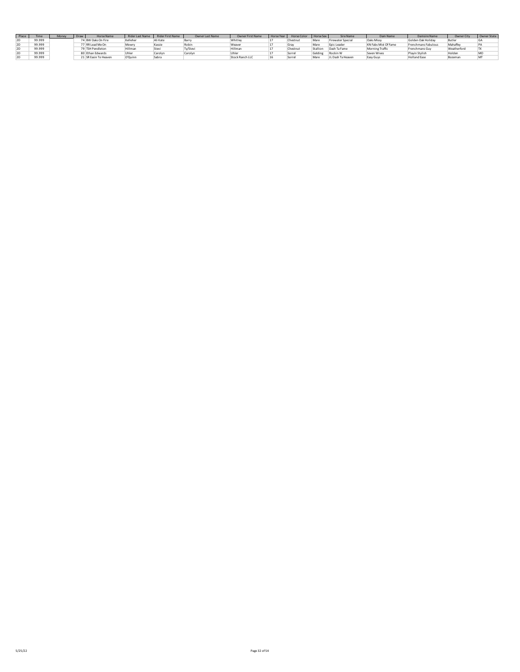| Place |        | Mone | Draw | <b>Horse Name</b>     | <b>Rider Last Name</b> | <b>Rider First Name</b> | <b>Owner Last Name</b> | <b>Owner First Name</b> | <b>Horse</b> Ye | <b>Horse Color</b> | Horse Sex | <b>Sire Name</b>  | Dam Name                    | Damsire Name        | <b>Owner City</b> | Owner State |
|-------|--------|------|------|-----------------------|------------------------|-------------------------|------------------------|-------------------------|-----------------|--------------------|-----------|-------------------|-----------------------------|---------------------|-------------------|-------------|
| 2U    | 99.999 |      |      | 4 BW Oaks On Fire     | Kelleher               | Ali Kate                | Barr                   | Whitley                 |                 | Chestnut           | Mare      | Firewater Special | <b>Oaks Missy</b>           | Golden Oak Holiday  | Butler            | GA          |
| 2U    | 99.999 |      |      | 7 RR Lead Me On       | Mowry                  | Kassie                  | Robin                  | Weaver                  |                 | Gray               | Mare      | Epic Leader       | <b>KN Fabs Mist Of Fame</b> | Frenchmans Fabulous | Mahaffey          | PA          |
| zυ    | 99.999 |      |      | 79 TSH Pendleton      | Hillman                | Stevi                   | Ty/Stevi               | Hillman                 |                 | Chestn             | Stallion  | Dash Ta Fame      | Morning Traffic             | Frenchmans Guy      | Weatherford       | <b>ITX</b>  |
| zυ    | 99.999 |      |      | 0 Ethan Edwards       |                        | Carolyn                 | Carolyn                |                         |                 | Sorrel             | Gelding   | Rockin W          | Seven Wives                 | Playin Stylish      | Holden            | <b>MO</b>   |
| zυ    | 99.999 |      |      | 21 SR Easin To Heaven | O'Quinn                | Sabra                   |                        | Stock Ranch LLC         |                 | Sorrel             | Mare      | JL Dash Ta Heaven | Easy Guys                   | <b>Holland Ease</b> | Bozeman           | MT          |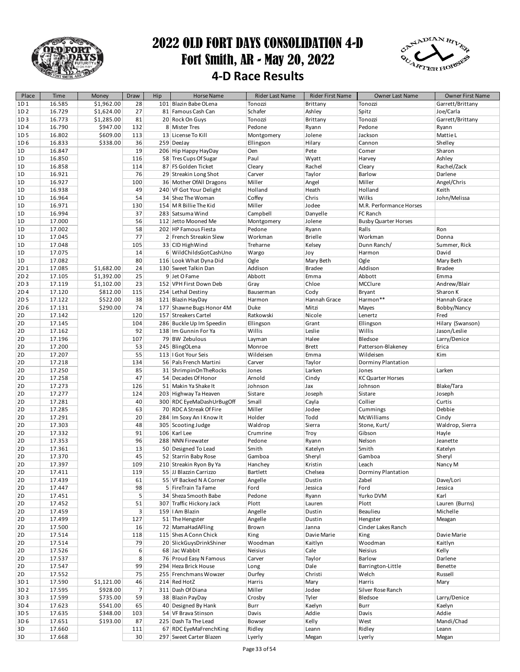

### 2022 OLD FORT DAYS CONSOLIDATION 4-D Fort Smith, AR - May 20, 2022 **4-D Race Results**



| Place           | Time   | Money      | Draw           | Hip | <b>Horse Name</b>          | Rider Last Name | Rider First Name | Owner Last Name             | Owner First Name |
|-----------------|--------|------------|----------------|-----|----------------------------|-----------------|------------------|-----------------------------|------------------|
| 1D1             | 16.585 | \$1,962.00 | 28             |     | 101 Blazin Babe OLena      | Tonozzi         | Brittany         | Tonozzi                     | Garrett/Brittany |
| 1D <sub>2</sub> | 16.729 | \$1,624.00 | 27             |     | 81 Famous Cash Can         | Schafer         | Ashley           | Spitz                       | Joe/Carla        |
| 1D3             | 16.773 | \$1,285.00 | 81             |     | 20 Rock On Guys            | Tonozzi         | Brittany         | Tonozzi                     | Garrett/Brittany |
| 1D4             | 16.790 | \$947.00   | 132            |     | 8 Mister Tres              | Pedone          | Ryann            | Pedone                      | Ryann            |
| 1D <sub>5</sub> | 16.802 | \$609.00   | 113            |     | 13 License To Kill         | Montgomery      | Jolene           | Jackson                     | Mattie L         |
| 1D <sub>6</sub> | 16.833 | \$338.00   | 36             |     | 259 DeeJay                 | Ellingson       | Hilary           | Cannon                      | Shelley          |
| 1D              | 16.847 |            | 19             |     | 206 Hip Happy HayDay       | Oen             | Pete             | Comer                       | Sharon           |
| 1D              | 16.850 |            | 116            |     | 58 Tres Cups Of Sugar      | Paul            | Wyatt            | Harvey                      | Ashley           |
| 1D              | 16.858 |            | 114            |     | 87 FS Golden Ticket        | Cleary          | Rachel           | Cleary                      | Rachel/Zack      |
| 1D              | 16.921 |            | 76             |     | 29 Streakin Long Shot      | Carver          | Taylor           | Barlow                      | Darlene          |
| 1D              | 16.927 |            | 100            |     | 36 Mother OfAll Dragons    | Miller          | Angel            | Miller                      | Angel/Chris      |
| 1D              | 16.938 |            | 49             |     | 240 VF Got Your Delight    | Holland         | Heath            | Holland                     | Keith            |
| 1D              | 16.964 |            | 54             |     | 34 Shez The Woman          | Coffey          | Chris            | Wilks                       | John/Melissa     |
| 1D              | 16.971 |            | 130            |     | 154 M R Billie The Kid     | Miller          | Jodee            | M.R. Performance Horses     |                  |
| 1D              | 16.994 |            | 37             |     | 283 Satsuma Wind           | Campbell        | Danyelle         | FC Ranch                    |                  |
| 1D              | 17.000 |            | 56             |     | 112 Jetto Mooned Me        | Montgomery      | Jolene           | <b>Busby Quarter Horses</b> |                  |
| 1D              | 17.002 |            | 58             |     | 202 HP Famous Fiesta       | Pedone          | Ryann            | Ralls                       | Ron              |
| 1D              | 17.045 |            | 77             |     | 2 French Streakin Slew     | Workman         | <b>Brielle</b>   | Workman                     | Donna            |
| 1D              | 17.048 |            | 105            |     | 33 CID HighWind            | Treharne        | Kelsey           | Dunn Ranch/                 | Summer, Rick     |
| 1D              | 17.075 |            | 14             |     | 6 WildChildsGotCashUno     | Wargo           | Joy              | Harmon                      | David            |
| 1D              | 17.082 |            | 80             |     | 116 Look What Dyna Did     | Ogle            | Mary Beth        | Ogle                        | Mary Beth        |
| 2D1             | 17.085 | \$1,682.00 | 24             |     | 130 Sweet Talkin Dan       | Addison         | <b>Bradee</b>    | Addison                     | <b>Bradee</b>    |
| 2D <sub>2</sub> | 17.105 | \$1,392.00 | 25             |     | 9 Jet O Fame               | Abbott          | Emma             | Abbott                      | Emma             |
| 2D3             | 17.119 | \$1,102.00 | 23             |     | 152 VPH First Down Deb     | Gray            | Chloe            | MCClure                     | Andrew/Blair     |
| 2D4             | 17.120 | \$812.00   | 115            |     | 254 Lethal Destiny         | Bauserman       | Cody             | Bryant                      | Sharon K         |
| 2D <sub>5</sub> | 17.122 | \$522.00   | 38             |     | 121 Blazin HayDay          | Harmon          | Hannah Grace     | Harmon**                    | Hannah Grace     |
| 2D6             | 17.131 | \$290.00   | 74             |     | 177 Shawne Bugs Honor 4M   | Duke            | Mitzi            | Mayes                       | Bobby/Nancy      |
| 2D              | 17.142 |            | 120            |     | 157 Streakers Cartel       | Ratkowski       | Nicole           | Lenertz                     | Fred             |
| 2D              | 17.145 |            | 104            |     | 286 Buckle Up Im Speedin   | Ellingson       | Grant            | Ellingson                   | Hilary (Swanson) |
| 2D              | 17.162 |            | 92             |     | 138 Im Gunnin For Ya       | Willis          | Leslie           | Willis                      | Jason/Leslie     |
| 2D              | 17.196 |            | 107            |     | 79 BW Zebulous             | Layman          | Halee            | Bledsoe                     | Larry/Denice     |
| 2D              | 17.200 |            | 53             |     | 245 BlingOLena             | Monroe          | <b>Brett</b>     | Patterson-Blakeney          | Erica            |
| 2D              | 17.207 |            | 55             |     | 113   Got Your Seis        | Wildeisen       | Emma             | Wildeisen                   | Kim              |
| 2D              | 17.218 |            | 134            |     | 56 Pals French Martini     | Carver          | Taylor           | Dorminy Plantation          |                  |
| 2D              | 17.250 |            | 85             |     | 31 ShrimpinOnTheRocks      | Jones           | Larken           | Jones                       | Larken           |
| 2D              | 17.258 |            | 47             |     | 54 Decades Of Honor        | Arnold          | Cindy            | <b>KC Quarter Horses</b>    |                  |
| 2D              | 17.273 |            | 126            |     | 51 Makin Ya Shake It       | Johnson         | Jax              | Johnson                     | Blake/Tara       |
| 2D              | 17.277 |            | 124            |     | 203 Highway Ta Heaven      | Sistare         | Joseph           | Sistare                     | Joseph           |
| 2D              | 17.281 |            | 40             |     | 300 RDC EyeMaDashUrBugOff  | Small           | Cayla            | Collier                     | Curtis           |
| 2D              | 17.285 |            | 63             |     | 70 RDC A Streak Of Fire    | Miller          | Jodee            | Cummings                    | Debbie           |
| 2D              | 17.291 |            | 20             |     | 284   Im Soxy An I Know It | Holder          | Todd             | <b>McWilliams</b>           | Cindy            |
| 2D              | 17.303 |            | 48             |     | 305 Scooting Judge         | Waldrop         | Sierra           | Stone, Kurt/                | Waldrop, Sierra  |
| 2D              | 17.332 |            | 91             |     | 106 Karl Lee               | Crumrine        | Troy             | Gibson                      | Hayle            |
| 2D              | 17.353 |            | 96             |     | 288 NNN Firewater          | Pedone          | Ryann            | Nelson                      | Jeanette         |
| 2D              | 17.361 |            | 13             |     | 50 Designed To Lead        | Smith           | Katelyn          | Smith                       | Katelyn          |
| 2D              | 17.370 |            | 45             |     | 52 Starrin Baby Rose       | Gamboa          | Sheryl           | Gamboa                      | Sheryl           |
| 2D              | 17.397 |            | 109            |     | 210 Streakin Ryon By Ya    | Hanchey         | Kristin          | Leach                       | Nancy M          |
| 2D              | 17.411 |            | 119            |     | 55 JJ Blazzin Carrizzo     | <b>Bartlett</b> | Chelsea          | Dorminy Plantation          |                  |
| 2D              | 17.439 |            | 61             |     | 55 VF Backed N A Corner    | Angelle         | Dustin           | Zabel                       | Dave/Lori        |
| 2D              | 17.447 |            | 98             |     | 5 FireTrain Ta Fame        | Ford            | Jessica          | Ford                        | Jessica          |
| 2D              | 17.451 |            | 5              |     | 34 Sheza Smooth Babe       | Pedone          | Ryann            | Yurko DVM                   | Karl             |
| 2D              | 17.452 |            | 51             |     | 307 Traffic Hickory Jack   | Plott           | Lauren           | Plott                       | Lauren (Burns)   |
| 2D              | 17.459 |            | 3              |     | 159   I Am Blazin          | Angelle         | Dustin           | Beaulieu                    | Michelle         |
| 2D              | 17.499 |            | 127            |     | 51 The Hengster            | Angelle         | Dustin           | Hengster                    | Meagan           |
| 2D              | 17.500 |            | 16             |     | 72 MamaHadAFling           | Brown           | Janna            | Cinder Lakes Ranch          |                  |
| 2D              | 17.514 |            | 118            |     | 115 Shes A Conn Chick      | King            | Davie Marie      | King                        | Davie Marie      |
| 2D              | 17.514 |            | 79             |     | 20 SlickGuysDrinkShiner    | Woodman         | Kaitlyn          | Woodman                     | Kaitlyn          |
| 2D              | 17.526 |            | 6              |     | 68 Jac Wabbit              | Neisius         | Cale             | Neisius                     | Kelly            |
| 2D              | 17.537 |            | 8              |     | 76 Proud Easy N Famous     | Carver          | Taylor           | Barlow                      | Darlene          |
| 2D              | 17.547 |            | 99             |     | 294 Heza Brick House       | Long            | Dale             | Barrington-Little           | Benette          |
| 2D              | 17.552 |            | 75             |     | 255 Frenchmans Wowzer      | Durfey          | Christi          | Welch                       | Russell          |
| 3D1             | 17.590 | \$1,121.00 | 46             |     | 214 Red HotZ               | Harris          | Mary             | Harris                      | Mary             |
| 3D <sub>2</sub> | 17.595 | \$928.00   | $\overline{7}$ |     | 311 Dash Of Diana          | Miller          | Jodee            | Silver Rose Ranch           |                  |
| 3D3             | 17.599 | \$735.00   | 59             |     | 38 Blazin PayDay           | Crosby          | Tyler            | Bledsoe                     | Larry/Denice     |
| 3D4             | 17.623 | \$541.00   | 65             |     | 40 Designed By Hank        | Burr            | Kaelyn           | Burr                        | Kaelyn           |
| 3D <sub>5</sub> | 17.635 | \$348.00   | 103            |     | 54 VF Brava Stinson        | Davis           | Addie            | Davis                       | Addie            |
| 3D <sub>6</sub> | 17.651 | \$193.00   | 87             |     | 225 Dash Ta The Lead       | Bowser          | Kelly            | West                        | Mandi/Chad       |
| 3D              | 17.660 |            | 111            |     | 67 RDC EyeMaFrenchKing     | Ridley          | Leann            | Ridley                      | Leann            |
| 3D              | 17.668 |            | 30             |     | 297 Sweet Carter Blazen    | Lyerly          | Megan            | Lyerly                      | Megan            |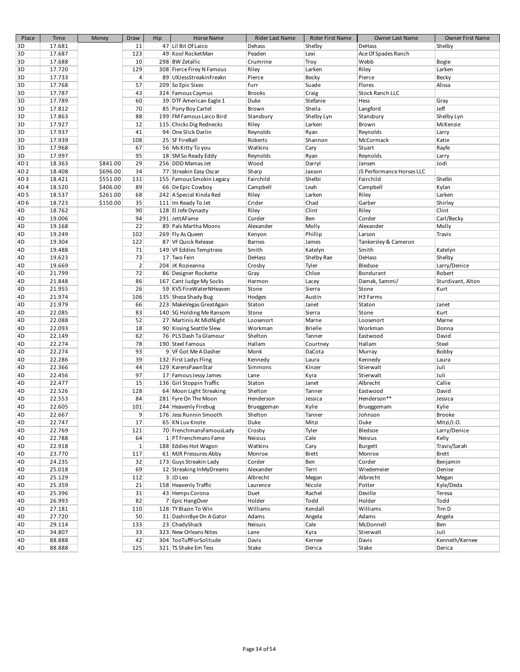| Place           | Time   | Money    | Draw           | Hip | <b>Horse Name</b>         | Rider Last Name | Rider First Name | Owner Last Name           | Owner First Name   |
|-----------------|--------|----------|----------------|-----|---------------------------|-----------------|------------------|---------------------------|--------------------|
| 3D              | 17.681 |          | 11             |     | 47 Lil Bit Of Laico       | Dehass          | Shelby           | DeHass                    | Shelby             |
| 3D              | 17.687 |          | 123            |     | 49 Kool RocketMan         | Peaden          | Lexi             | Ace Of Spades Ranch       |                    |
| 3D              | 17.688 |          | 10             |     | 298 BW Zetallic           | Crumrine        | Troy             | Webb                      | Bogie              |
| 3D              | 17.720 |          | 129            |     | 308 Fierce Firey N Famous | Riley           | Larken           | Riley                     | Larken             |
| 3D              | 17.733 |          | $\sqrt{4}$     |     | 89 UXJessStreakinFreakn   | Pierce          | Becky            | Pierce                    | Becky              |
| 3D              | 17.768 |          | 57             |     | 209 So Epic Sixes         | Furr            | Suade            | Flores                    | Alissa             |
| 3D              | 17.787 |          | 43             |     | 324 Famous Caymus         | <b>Brooks</b>   | Craig            | <b>Stock Ranch LLC</b>    |                    |
| 3D              | 17.789 |          | 60             |     | 39 DTF American Eagle 1   | Duke            | Stefanie         | Hess                      | Gray               |
| 3D              | 17.812 |          | 70             |     | 85 Pony Boy Cartel        | Brown           | Sheila           | Langford                  | Jeff               |
| 3D              | 17.863 |          | 88             |     | 199 FM Famous Laico Bird  | Stansbury       | Shelby Lyn       | Stansbury                 | Shelby Lyn         |
| 3D              | 17.927 |          | 12             |     | 115 Chicks Dig Rednecks   | Riley           | Larken           | Brown                     | McKenzie           |
| 3D              | 17.937 |          | 41             |     | 94 One Slick Darlin       | Reynolds        | Ryan             | Reynolds                  | Larry              |
| 3D              | 17.939 |          | 108            |     | 25 SF FireBall            | Roberts         | Shannon          | McCormack                 | Katie              |
| 3D              | 17.968 |          | 67             |     | 56 Ms Kitty To you        | Watkins         | Cary             | Stuart                    | Rayfe              |
| 3D              | 17.997 |          | 95             |     | 18 SM So Ready Eddy       | Reynolds        | Ryan             | Reynolds                  | Larry              |
| 4D1             | 18.363 | \$841.00 | 29             |     | 256 DDD Mamas Jet         | Wood            | Darryl           | Jansen                    | Jodi               |
| 4D <sub>2</sub> | 18.408 | \$696.00 | 34             |     | 77 Streakin Easy Oscar    | Sharp           | Jaxson           | JS Performance Horses LLC |                    |
| 4D3             | 18.421 | \$551.00 | 131            |     | 155 Famous Smokin Legacy  | Fairchild       | Shelbi           | Fairchild                 | Shelbi             |
|                 |        |          |                |     |                           |                 |                  |                           |                    |
| 4D4             | 18.520 | \$406.00 | 89             |     | 66 De Epic Cowboy         | Campbell        | Leah             | Campbell                  | Kylan              |
| 4D <sub>5</sub> | 18.537 | \$261.00 | 68             |     | 242 A Special Kinda Red   | Riley           | Larken           | Riley                     | Larken             |
| 4D <sub>6</sub> | 18.723 | \$150.00 | 35             |     | 111 Im Ready To Jet       | Crider          | Chad             | Garber                    | Shirley            |
| 4D              | 18.762 |          | 90             |     | 128 El Jefe Dynasty       | Riley           | Clint            | Riley                     | Clint              |
| 4D              | 19.006 |          | 94             |     | 291 JettAFame             | Corder          | Ben              | Corder                    | Carl/Becky         |
| 4D              | 19.168 |          | 22             |     | 89 Pals Martha Moons      | Alexander       | Molly            | Alexander                 | Molly              |
| 4D              | 19.249 |          | 102            |     | 269 Fly As Queen          | Kenyon          | Phillip          | Larson                    | Travis             |
| 4D              | 19.304 |          | 122            |     | 87 VF Quick Release       | <b>Barnes</b>   | James            | Tankersley & Cameron      |                    |
| 4D              | 19.488 |          | 71             |     | 149 VF Eddies Temptress   | Smith           | Katelyn          | Smith                     | Katelyn            |
| 4D              | 19.623 |          | 73             |     | 17 Two Fein               | <b>DeHass</b>   | Shelby Rae       | DeHass                    | Shelby             |
| 4D              | 19.669 |          | $\overline{2}$ |     | 204 JK Rozieanna          | Crosby          | Tyler            | Bledsoe                   | Larry/Denice       |
| 4D              | 21.799 |          | 72             |     | 86 Designer Rockette      | Gray            | Chloe            | Bondurant                 | Robert             |
| 4D              | 21.848 |          | 86             |     | 167 Cant Judge My Socks   | Harmon          | Lacey            | Damek, Sammi/             | Sturdivant, Alton  |
| 4D              | 21.955 |          | 26             |     | 59 KVS FireWaterNHeaven   | Stone           | Sierra           | Stone                     | Kurt               |
| 4D              | 21.974 |          | 106            |     | 135 Sheza Shady Bug       | Hodges          | Austin           | H3 Farms                  |                    |
| 4D              | 21.979 |          | 66             |     | 223 MakeVegas GreatAgain  | Staton          | Janet            | Staton                    | Janet              |
| 4D              | 22.085 |          | 83             |     | 140 SG Holding Me Ransom  | Stone           | Sierra           | Stone                     | Kurt               |
| 4D              | 22.088 |          | 52             |     | 27 Martinis At MidNight   | Loosenort       | Marne            | Loosenort                 | Marne              |
| 4D              | 22.093 |          | 18             |     | 90 Kissing Seattle Slew   | Workman         | <b>Brielle</b>   | Workman                   | Donna              |
| 4D              | 22.149 |          | 62             |     | 76 PLS Dash Ta Glamour    | Shelton         | Tanner           | Eastwood                  | David              |
| 4D              | 22.274 |          | 78             |     | 190 Steel Famous          | Hallam          | Courtney         | Hallam                    | Steel              |
| 4D              | 22.274 |          | 93             |     | 9 VF Got Me A Dasher      | Monk            | DaCota           | Murray                    | Bobby              |
| 4D              | 22.286 |          | 39             |     | 132 First Ladys Fling     | Kennedy         | Laura            | Kennedy                   | Laura              |
| 4D              | 22.366 |          | 44             |     | 129 KarensPawnStar        | Simmons         | Kinzer           | Stierwalt                 | Juli               |
| 4D              | 22.456 |          | 97             |     | 17 Famous Jessy James     | Lane            | Kyra             | Stierwalt                 | Juli               |
| 4D              | 22.477 |          | 15             |     | 136 Girl Stoppin Traffic  | Staton          | Janet            | Albrecht                  | Callie             |
| 4D              | 22.526 |          | 128            |     | 64 Moon Light Streaking   | Shelton         | Tanner           | Eastwood                  | David              |
| 4D              | 22.553 |          | 84             |     | 281 Fyre On The Moon      | Henderson       | Jessica          | Henderson**               | Jessica            |
| 4D              | 22.605 |          | 101            |     | 244 Heavenly Firebug      | Brueggeman      | Kylie            | Brueggemam                | Kylie              |
| 4D              | 22.667 |          | 9 <sup>1</sup> |     | 176 Jess Runnin Smooth    | Shelton         | Tanner           | Johnson                   | Brooke             |
| 4D              | 22.747 |          | 17             |     | 65 KN Luv Knote           | Duke            | Mitzi            | Duke                      | Mitzi/J.O.         |
| 4D              | 22.769 |          | 121            |     | 70 FrenchmansFamousLady   | Crosby          | Tyler            | Bledsoe                   | Larry/Denice       |
| 4D              | 22.788 |          | 64             |     | 1 PT Frenchmans Fame      | Neisius         | Cale             | Neisius                   | Kelly              |
| 4D              | 22.918 |          | 1              |     | 188 Eddies Hot Wagon      | Watkins         | Cary             | Burgett                   | Travis/Sarah       |
| 4D              | 23.770 |          | 117            |     | 61 MJR Pressures Abby     | Monroe          | <b>Brett</b>     | Monroe                    | Brett              |
| 4D              | 24.235 |          | 32             |     | 173 Guys Streakin Lady    | Corder          | Ben              | Corder                    | Benjamin           |
|                 |        |          | 69             |     |                           |                 |                  | Wiedemeier                |                    |
| 4D              | 25.018 |          |                |     | 12 Streaking InMyDreams   | Alexander       | Terri            |                           | Denise             |
| 4D              | 25.129 |          | 112<br>21      |     | 3 JD Leo                  | Albrecht        | Megan            | Albrecht                  | Megan<br>Kyle/Deda |
| 4D              | 25.359 |          |                |     | 158 Heavenly Traffic      | Laurence        | Nicole           | Potter                    |                    |
| 4D              | 25.396 |          | 31             |     | 43 Hemps Corona           | Duet            | Rachel           | Deville                   | Teresa             |
| 4D              | 26.993 |          | 82             |     | 7 Epic HangOver           | Holder          | Todd             | Holder                    | Todd               |
| 4D              | 27.181 |          | 110            |     | 128 TY Blazin To Win      | Williams        | Kendall          | Williams                  | Tim D              |
| 4D              | 27.720 |          | 50             |     | 31 Dashin Bye On A Gator  | Adams           | Angela           | Adams                     | Angela             |
| 4D              | 29.114 |          | 133            |     | 23 ChadyShack             | Neisuis         | Cale             | McDonnell                 | Ben                |
| 4D              | 34.807 |          | 33             |     | 323 New Orleans Nites     | Lane            | Kyra             | Stierwalt                 | Juli               |
| 4D              | 88.888 |          | 42             |     | 304 TooTuffForSolitude    | Davis           | Kernee           | Davis                     | Kenneth/Kernee     |
| 4D              | 88.888 |          | 125            |     | 321 TS Shake Em Tess      | Stake           | Derica           | Stake                     | Derica             |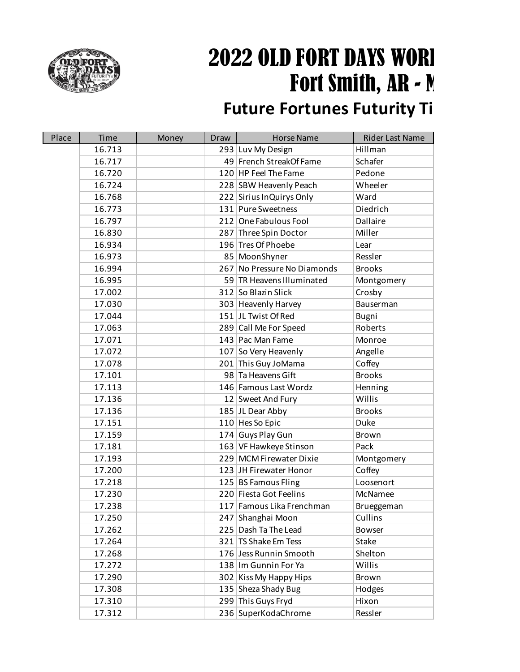

# 2022 OLD FORT DAYS WORL Fort Smith, AR  $\sim$  M

## **Future Fortunes Futurity Ti**

| Place | Time   | Money | Draw | <b>Horse Name</b>           | <b>Rider Last Name</b> |
|-------|--------|-------|------|-----------------------------|------------------------|
|       | 16.713 |       |      | 293 Luv My Design           | Hillman                |
|       | 16.717 |       |      | 49 French StreakOf Fame     | Schafer                |
|       | 16.720 |       |      | 120 HP Feel The Fame        | Pedone                 |
|       | 16.724 |       |      | 228 SBW Heavenly Peach      | Wheeler                |
|       | 16.768 |       |      | 222 Sirius InQuirys Only    | Ward                   |
|       | 16.773 |       |      | 131 Pure Sweetness          | Diedrich               |
|       | 16.797 |       |      | 212 One Fabulous Fool       | Dallaire               |
|       | 16.830 |       |      | 287 Three Spin Doctor       | Miller                 |
|       | 16.934 |       |      | 196 Tres Of Phoebe          | Lear                   |
|       | 16.973 |       |      | 85 MoonShyner               | Ressler                |
|       | 16.994 |       |      | 267 No Pressure No Diamonds | <b>Brooks</b>          |
|       | 16.995 |       |      | 59 TR Heavens Illuminated   | Montgomery             |
|       | 17.002 |       |      | 312 So Blazin Slick         | Crosby                 |
|       | 17.030 |       |      | 303 Heavenly Harvey         | Bauserman              |
|       | 17.044 |       |      | 151 JL Twist Of Red         | Bugni                  |
|       | 17.063 |       |      | 289 Call Me For Speed       | Roberts                |
|       | 17.071 |       |      | 143 Pac Man Fame            | Monroe                 |
|       | 17.072 |       |      | 107 So Very Heavenly        | Angelle                |
|       | 17.078 |       |      | 201 This Guy JoMama         | Coffey                 |
|       | 17.101 |       |      | 98 Ta Heavens Gift          | <b>Brooks</b>          |
|       | 17.113 |       |      | 146 Famous Last Wordz       | Henning                |
|       | 17.136 |       |      | 12 Sweet And Fury           | Willis                 |
|       | 17.136 |       |      | 185 JL Dear Abby            | <b>Brooks</b>          |
|       | 17.151 |       |      | 110 Hes So Epic             | Duke                   |
|       | 17.159 |       |      | 174 Guys Play Gun           | <b>Brown</b>           |
|       | 17.181 |       |      | 163 VF Hawkeye Stinson      | Pack                   |
|       | 17.193 |       |      | 229 MCM Firewater Dixie     | Montgomery             |
|       | 17.200 |       |      | 123 JH Firewater Honor      | Coffey                 |
|       | 17.218 |       |      | 125 BS Famous Fling         | Loosenort              |
|       | 17.230 |       |      | 220 Fiesta Got Feelins      | McNamee                |
|       | 17.238 |       |      | 117 Famous Lika Frenchman   | Brueggeman             |
|       | 17.250 |       |      | 247 Shanghai Moon           | Cullins                |
|       | 17.262 |       |      | 225 Dash Ta The Lead        | <b>Bowser</b>          |
|       | 17.264 |       |      | 321 TS Shake Em Tess        | Stake                  |
|       | 17.268 |       |      | 176 Jess Runnin Smooth      | Shelton                |
|       | 17.272 |       |      | 138 Im Gunnin For Ya        | Willis                 |
|       | 17.290 |       | 302  | Kiss My Happy Hips          | <b>Brown</b>           |
|       | 17.308 |       |      | 135 Sheza Shady Bug         | Hodges                 |
|       | 17.310 |       |      | 299 This Guys Fryd          | Hixon                  |
|       | 17.312 |       |      | 236 SuperKodaChrome         | Ressler                |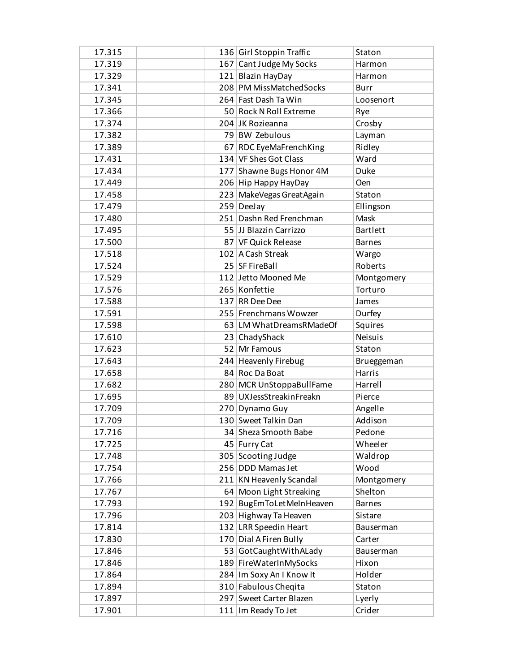| 17.315 | 136 Girl Stoppin Traffic   | Staton          |
|--------|----------------------------|-----------------|
| 17.319 | 167 Cant Judge My Socks    | Harmon          |
| 17.329 | 121 Blazin HayDay          | Harmon          |
| 17.341 | 208 PM MissMatchedSocks    | <b>Burr</b>     |
| 17.345 | 264 Fast Dash Ta Win       | Loosenort       |
| 17.366 | 50 Rock N Roll Extreme     | Rye             |
| 17.374 | 204 JK Rozieanna           | Crosby          |
| 17.382 | 79 BW Zebulous             | Layman          |
| 17.389 | 67 RDC EyeMaFrenchKing     | Ridley          |
| 17.431 | 134 VF Shes Got Class      | Ward            |
| 17.434 | 177 Shawne Bugs Honor 4M   | Duke            |
| 17.449 | 206 Hip Happy HayDay       | Oen             |
| 17.458 | 223 MakeVegas GreatAgain   | Staton          |
| 17.479 | 259 DeeJay                 | Ellingson       |
| 17.480 | 251 Dashn Red Frenchman    | Mask            |
| 17.495 | 55 JJ Blazzin Carrizzo     | <b>Bartlett</b> |
| 17.500 | 87 VF Quick Release        | <b>Barnes</b>   |
| 17.518 | 102 A Cash Streak          | Wargo           |
| 17.524 | 25 SF FireBall             | Roberts         |
| 17.529 | 112 Jetto Mooned Me        | Montgomery      |
| 17.576 | 265 Konfettie              | Torturo         |
| 17.588 | 137 RR Dee Dee             | James           |
|        | 255 Frenchmans Wowzer      |                 |
| 17.591 |                            | Durfey          |
| 17.598 | 63 LM What Dreams RMade Of | Squires         |
| 17.610 | 23 ChadyShack              | <b>Neisuis</b>  |
| 17.623 | 52 Mr Famous               | Staton          |
| 17.643 | 244 Heavenly Firebug       | Brueggeman      |
| 17.658 | 84 Roc Da Boat             | Harris          |
| 17.682 | 280 MCR UnStoppaBullFame   | Harrell         |
| 17.695 | 89 UXJessStreakinFreakn    | Pierce          |
| 17.709 | 270 Dynamo Guy             | Angelle         |
| 17.709 | 130 Sweet Talkin Dan       | Addison         |
| 17.716 | 34 Sheza Smooth Babe       | Pedone          |
| 17.725 | 45 Furry Cat               | Wheeler         |
| 17.748 | 305 Scooting Judge         | Waldrop         |
| 17.754 | 256 DDD Mamas Jet          | Wood            |
| 17.766 | 211 KN Heavenly Scandal    | Montgomery      |
| 17.767 | 64 Moon Light Streaking    | Shelton         |
| 17.793 | 192 BugEmToLetMeInHeaven   | <b>Barnes</b>   |
| 17.796 | 203 Highway Ta Heaven      | Sistare         |
| 17.814 | 132 LRR Speedin Heart      | Bauserman       |
| 17.830 | 170 Dial A Firen Bully     | Carter          |
| 17.846 | 53 GotCaughtWithALady      | Bauserman       |
| 17.846 | 189 FireWaterInMySocks     | Hixon           |
| 17.864 | 284 Im Soxy An I Know It   | Holder          |
| 17.894 | 310 Fabulous Cheqita       | Staton          |
| 17.897 | 297 Sweet Carter Blazen    | Lyerly          |
| 17.901 | 111 Im Ready To Jet        | Crider          |
|        |                            |                 |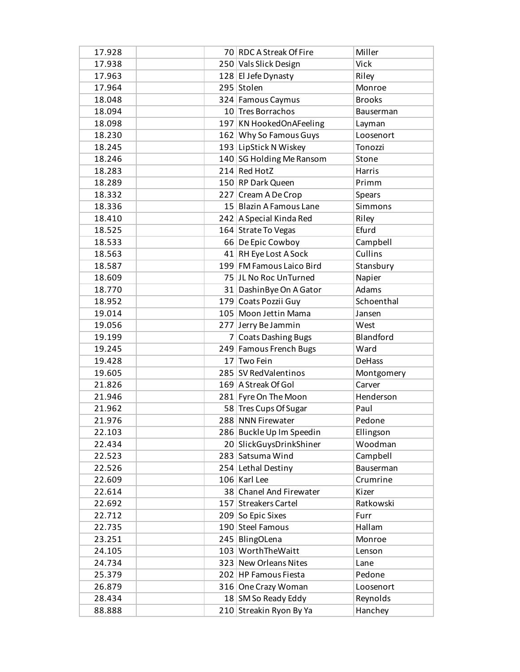| 17.928 | 70 RDC A Streak Of Fire  | Miller        |
|--------|--------------------------|---------------|
| 17.938 | 250 Vals Slick Design    | <b>Vick</b>   |
| 17.963 | 128 El Jefe Dynasty      | Riley         |
| 17.964 | 295 Stolen               | Monroe        |
| 18.048 | 324 Famous Caymus        | <b>Brooks</b> |
| 18.094 | 10 Tres Borrachos        | Bauserman     |
| 18.098 | 197 KN HookedOnAFeeling  | Layman        |
| 18.230 | 162 Why So Famous Guys   | Loosenort     |
| 18.245 | 193 LipStick N Wiskey    | Tonozzi       |
| 18.246 | 140 SG Holding Me Ransom | Stone         |
| 18.283 | 214 Red HotZ             | Harris        |
| 18.289 | 150 RP Dark Queen        | Primm         |
| 18.332 | 227 Cream A De Crop      | <b>Spears</b> |
| 18.336 | 15 Blazin A Famous Lane  | Simmons       |
| 18.410 | 242 A Special Kinda Red  | Riley         |
| 18.525 | 164 Strate To Vegas      | Efurd         |
| 18.533 | 66 De Epic Cowboy        | Campbell      |
| 18.563 | 41 RH Eye Lost A Sock    | Cullins       |
| 18.587 | 199 FM Famous Laico Bird | Stansbury     |
| 18.609 | 75 JL No Roc UnTurned    | Napier        |
| 18.770 | 31 Dashin Bye On A Gator | Adams         |
| 18.952 | 179 Coats Pozzii Guy     | Schoenthal    |
| 19.014 | 105 Moon Jettin Mama     | Jansen        |
| 19.056 | 277 Jerry Be Jammin      | West          |
| 19.199 | 7 Coats Dashing Bugs     | Blandford     |
| 19.245 | 249 Famous French Bugs   | Ward          |
| 19.428 | 17 Two Fein              | DeHass        |
| 19.605 | 285 SV RedValentinos     | Montgomery    |
| 21.826 | 169 A Streak Of Gol      | Carver        |
| 21.946 | 281 Fyre On The Moon     | Henderson     |
| 21.962 | 58 Tres Cups Of Sugar    | Paul          |
| 21.976 | 288 NNN Firewater        | Pedone        |
| 22.103 | 286 Buckle Up Im Speedin | Ellingson     |
| 22.434 | 20 SlickGuysDrinkShiner  | Woodman       |
| 22.523 | 283 Satsuma Wind         | Campbell      |
| 22.526 | 254 Lethal Destiny       | Bauserman     |
| 22.609 | 106 Karl Lee             | Crumrine      |
| 22.614 | 38 Chanel And Firewater  | Kizer         |
| 22.692 | 157 Streakers Cartel     | Ratkowski     |
| 22.712 | 209 So Epic Sixes        | Furr          |
| 22.735 | 190 Steel Famous         | Hallam        |
| 23.251 | 245 BlingOLena           | Monroe        |
| 24.105 | 103 WorthTheWaitt        | Lenson        |
| 24.734 | 323 New Orleans Nites    | Lane          |
| 25.379 | 202 HP Famous Fiesta     | Pedone        |
| 26.879 | 316 One Crazy Woman      | Loosenort     |
| 28.434 | 18 SM So Ready Eddy      | Reynolds      |
| 88.888 | 210 Streakin Ryon By Ya  | Hanchey       |
|        |                          |               |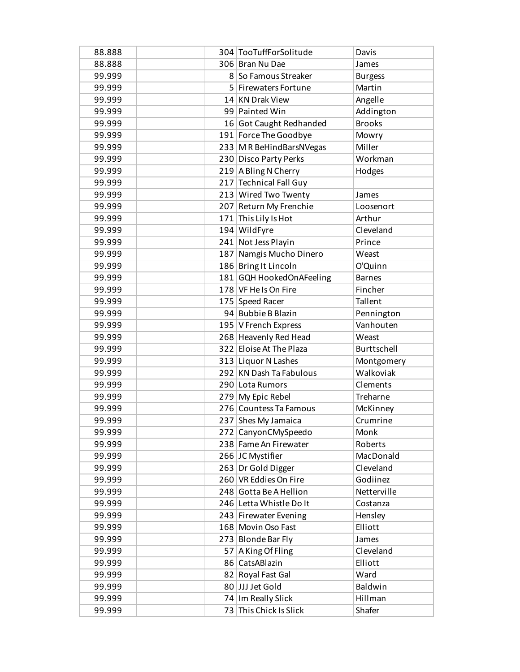| 88.888 | 304 TooTuffForSolitude   | Davis          |
|--------|--------------------------|----------------|
| 88.888 | 306 Bran Nu Dae          | James          |
| 99.999 | 8 So Famous Streaker     | <b>Burgess</b> |
| 99.999 | 5 Firewaters Fortune     | Martin         |
| 99.999 | 14 KN Drak View          | Angelle        |
| 99.999 | 99 Painted Win           | Addington      |
| 99.999 | 16 Got Caught Redhanded  | <b>Brooks</b>  |
| 99.999 | 191 Force The Goodbye    | Mowry          |
| 99.999 | 233 M R BeHindBarsNVegas | Miller         |
| 99.999 | 230 Disco Party Perks    | Workman        |
| 99.999 | 219 A Bling N Cherry     | Hodges         |
| 99.999 | 217 Technical Fall Guy   |                |
| 99.999 | 213 Wired Two Twenty     | James          |
| 99.999 | 207 Return My Frenchie   | Loosenort      |
| 99.999 | 171 This Lily Is Hot     | Arthur         |
| 99.999 | 194 WildFyre             | Cleveland      |
| 99.999 | 241 Not Jess Playin      | Prince         |
| 99.999 | 187 Namgis Mucho Dinero  | Weast          |
| 99.999 | 186 Bring It Lincoln     | O'Quinn        |
| 99.999 | 181 GQH HookedOnAFeeling | <b>Barnes</b>  |
| 99.999 | 178 VF He Is On Fire     | Fincher        |
| 99.999 | 175 Speed Racer          | Tallent        |
| 99.999 | 94 Bubbie B Blazin       | Pennington     |
| 99.999 | 195   V French Express   | Vanhouten      |
| 99.999 | 268 Heavenly Red Head    | Weast          |
| 99.999 | 322 Eloise At The Plaza  | Burttschell    |
| 99.999 | 313 Liquor N Lashes      | Montgomery     |
| 99.999 | 292 KN Dash Ta Fabulous  | Walkoviak      |
| 99.999 | 290 Lota Rumors          | Clements       |
| 99.999 | 279 My Epic Rebel        | Treharne       |
| 99.999 | 276 Countess Ta Famous   | McKinney       |
| 99.999 | 237 Shes My Jamaica      | Crumrine       |
| 99.999 | 272 CanyonCMySpeedo      | Monk           |
| 99.999 | 238 Fame An Firewater    | Roberts        |
| 99.999 | 266 JC Mystifier         | MacDonald      |
| 99.999 | 263 Dr Gold Digger       | Cleveland      |
| 99.999 | 260 VR Eddies On Fire    | Godiinez       |
| 99.999 | 248 Gotta Be A Hellion   | Netterville    |
| 99.999 | 246 Letta Whistle Do It  | Costanza       |
| 99.999 | 243 Firewater Evening    | Hensley        |
| 99.999 | 168 Movin Oso Fast       | Elliott        |
| 99.999 | 273 Blonde Bar Fly       | James          |
| 99.999 | 57 A King Of Fling       | Cleveland      |
| 99.999 | 86 CatsABlazin           | Elliott        |
| 99.999 | 82 Royal Fast Gal        | Ward           |
| 99.999 | 80 JJJ Jet Gold          | Baldwin        |
| 99.999 | 74 Im Really Slick       | Hillman        |
| 99.999 | 73 This Chick Is Slick   | Shafer         |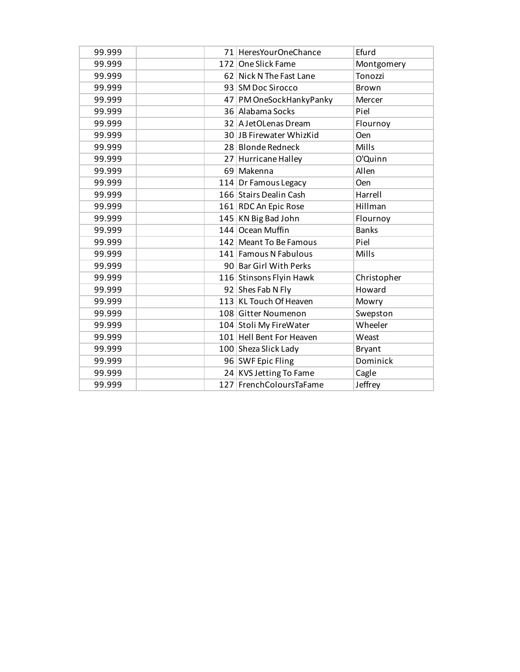| 99.999 | 71 HeresYourOneChance    | Efurd         |
|--------|--------------------------|---------------|
| 99.999 | 172 One Slick Fame       | Montgomery    |
| 99.999 | 62 Nick N The Fast Lane  | Tonozzi       |
| 99.999 | 93 SM Doc Sirocco        | Brown         |
| 99.999 | 47 PM OneSockHankyPanky  | Mercer        |
| 99.999 | 36 Alabama Socks         | Piel          |
| 99.999 | 32 A JetOLenas Dream     | Flournoy      |
| 99.999 | 30 JB Firewater WhizKid  | <b>Oen</b>    |
| 99.999 | 28 Blonde Redneck        | Mills         |
| 99.999 | 27 Hurricane Halley      | O'Quinn       |
| 99.999 | 69 Makenna               | Allen         |
| 99.999 | 114 Dr Famous Legacy     | Oen           |
| 99.999 | 166 Stairs Dealin Cash   | Harrell       |
| 99.999 | 161 RDC An Epic Rose     | Hillman       |
| 99.999 | 145 KN Big Bad John      | Flournoy      |
| 99.999 | 144 Ocean Muffin         | <b>Banks</b>  |
| 99.999 | 142 Meant To Be Famous   | Piel          |
| 99.999 | 141 Famous N Fabulous    | Mills         |
| 99.999 | 90 Bar Girl With Perks   |               |
| 99.999 | 116 Stinsons Flyin Hawk  | Christopher   |
| 99.999 | 92 Shes Fab N Fly        | Howard        |
| 99.999 | 113 KL Touch Of Heaven   | Mowry         |
| 99.999 | 108 Gitter Noumenon      | Swepston      |
| 99.999 | 104 Stoli My FireWater   | Wheeler       |
| 99.999 | 101 Hell Bent For Heaven | Weast         |
| 99.999 | 100 Sheza Slick Lady     | <b>Bryant</b> |
| 99.999 | 96 SWF Epic Fling        | Dominick      |
| 99.999 | 24 KVS Jetting To Fame   | Cagle         |
| 99.999 | 127 FrenchColoursTaFame  | Jeffrey       |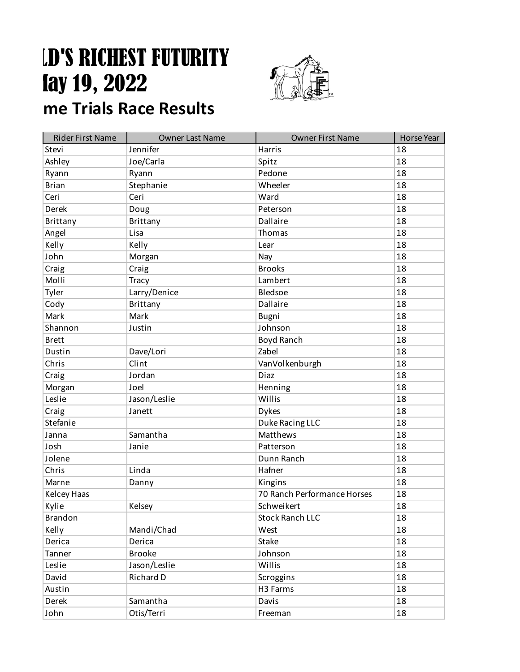## **LD'S RICHEST FUTURITY Fort Smith, 2022 Future Trials Race Results**



### Rider First Name Name Owner Last Name Name Owner First Name Horse Year Stevi Jennifer Research Harris 18 Ashley Joe/Carla Spitz 18 Ryann Ryann Ryann Pedone 18 Brian Stephanie Wheeler 18 Ceri Ceri Ceri Ward Ward 18 Derek Doug Doug Peterson Peterson 28 Brittany Brittany Brittany Dallaire 18 Angel 28 | Lisa | Lisa | Thomas | 18 Kelly Kelly **Kelly** Kelly **Lear Lear Communist Lear** John Norgan Nay Nay 18 Craig Craig Craig Craig Research Craig Research Craig Research Craig Research In the Latin Craig Craig Research Molli Tracy Lambert 18 Tyler and Larry/Denice and Bledsoe 18 Cody Brittany Dallaire 18 Mark Mark Mark Bugni Research Mark 18 Shannon Justin Justin Johnson 18 Brett and the state of the Boyd Ranch 18 and 18 and 18 and 18 and 18 and 18 and 18 and 18 and 18 and 18 and 18 Dustin Dave/Lori 2abel 2008 2011 23 Chris Clint Christian Christian Christian Christian Christian Muslim Christian Christian Christian Christian Mu Craig Craig Diaz 2014 | Diaz 2014 | Diaz 2014 | 2016 | 2016 | 2017 | 2018 | 2018 Morgan and Joel and Henning and Henning 18 Leslie Jason/Leslie Willis 18 Craig Janett Dykes 18 Stefanie 18 august 18 august 2016 - Duke Racing LLC 18 august 2018 Janna Samantha Matthews 18 Josh Janie **Janie Republic Patterson** Patterson 18 Jolene Dunn Ranch 18 Chris 2012 Linda 2012 Linda 2014 Hafner 18 (18 Metal 18 Metal 18 Metal 18 Metal 18 Metal 18 Metal 18 Metal 18 Metal 18 Metal 18 Metal 18 Metal 18 Metal 18 Metal 18 Metal 18 Metal 18 Metal 18 Metal 18 Metal 18 Metal 18 Meta Marne **Danny** Danny Ringins 18 Kelcey Haas 2008 18 Release 18 Release 18 Release 18 Release 18 Release 18 Release 18 Release 18 Release 18 Release 18 Release 18 Release 18 Release 18 Release 18 Release 18 Release 18 Release 18 Release 18 Release 18 Rele Kylie Kelsey Schweikert (18 Brandon Stock Ranch LLC 18 Kelly Mandi/Chad West 18 Derica Perica and Derica and Stake in the state of the state of  $\vert$  18 Tanner Brooke Johnson 18 Leslie Jason/Leslie Willis 18 David Richard D Scroggins 18 Austin H3 Farms 18 Derek Samantha Davis Davis 18

John **Otis/Terri** Philosophe Communism of the Communism of the Executive Communism of the Communism of the Communism of the Communism of the Communism of the Communism of the Communism of the Communism of the Communism of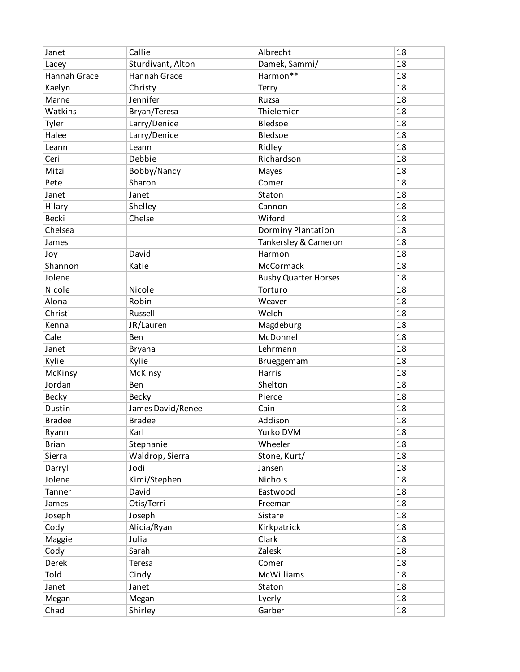| Callie<br>Albrecht<br>Janet                     | 18 |
|-------------------------------------------------|----|
| Damek, Sammi/<br>Sturdivant, Alton<br>Lacey     | 18 |
| Harmon**<br>Hannah Grace<br><b>Hannah Grace</b> | 18 |
| Kaelyn<br>Christy<br><b>Terry</b>               | 18 |
| Jennifer<br>Marne<br>Ruzsa                      | 18 |
| Bryan/Teresa<br>Watkins<br>Thielemier           | 18 |
| Larry/Denice<br>Tyler<br>Bledsoe                | 18 |
| Larry/Denice<br>Halee<br>Bledsoe                | 18 |
| Leann<br>Ridley<br>Leann                        | 18 |
| Debbie<br>Richardson<br>Ceri                    | 18 |
| Mitzi<br>Bobby/Nancy<br>Mayes                   | 18 |
| Sharon<br>Comer<br>Pete                         | 18 |
| Janet<br>Janet<br>Staton                        | 18 |
| Hilary<br>Shelley<br>Cannon                     | 18 |
| Wiford<br>Becki<br>Chelse                       | 18 |
| Chelsea<br>Dorminy Plantation                   | 18 |
| Tankersley & Cameron<br>James                   | 18 |
| David<br>Harmon<br>Joy                          | 18 |
| Shannon<br>Katie<br>McCormack                   | 18 |
| Jolene<br><b>Busby Quarter Horses</b>           | 18 |
| Nicole<br>Nicole<br>Torturo                     | 18 |
| Alona<br>Robin<br>Weaver                        | 18 |
| Russell<br>Welch<br>Christi                     | 18 |
| JR/Lauren<br>Magdeburg<br>Kenna                 | 18 |
| McDonnell<br>Cale<br>Ben                        | 18 |
| Lehrmann<br>Janet<br><b>Bryana</b>              | 18 |
| Kylie<br>Kylie<br>Brueggemam                    | 18 |
| Harris<br>McKinsy<br>McKinsy                    | 18 |
| Jordan<br>Shelton<br>Ben                        | 18 |
| Pierce<br>Becky<br><b>Becky</b>                 | 18 |
| Dustin<br>James David/Renee<br>Cain             | 18 |
| <b>Bradee</b><br><b>Bradee</b><br>Addison       | 18 |
| Karl<br>Ryann<br>Yurko DVM                      | 18 |
| <b>Brian</b><br>Wheeler<br>Stephanie            | 18 |
| Stone, Kurt/<br>Sierra<br>Waldrop, Sierra       | 18 |
| Jodi<br>Jansen<br>Darryl                        | 18 |
| Kimi/Stephen<br>Jolene<br>Nichols               | 18 |
| David<br>Eastwood<br>Tanner                     | 18 |
| Otis/Terri<br>James<br>Freeman                  | 18 |
| Joseph<br>Sistare<br>Joseph                     | 18 |
| Alicia/Ryan<br>Kirkpatrick<br>Cody              | 18 |
| Clark<br>Maggie<br>Julia                        | 18 |
| Zaleski<br>Cody<br>Sarah                        | 18 |
| Derek<br>Teresa<br>Comer                        | 18 |
| Told<br><b>McWilliams</b><br>Cindy              | 18 |
| Janet<br>Janet<br>Staton                        | 18 |
| Megan<br>Lyerly<br>Megan                        | 18 |
| Shirley<br>Garber<br>Chad                       | 18 |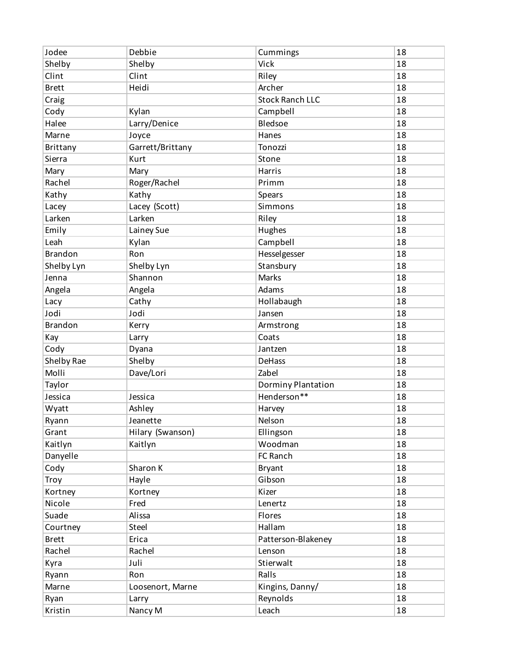| Jodee          | Debbie           | Cummings               | 18 |
|----------------|------------------|------------------------|----|
| Shelby         | Shelby           | Vick                   | 18 |
| Clint          | Clint            | Riley                  | 18 |
| <b>Brett</b>   | Heidi            | Archer                 | 18 |
| Craig          |                  | <b>Stock Ranch LLC</b> | 18 |
| Cody           | Kylan            | Campbell               | 18 |
| Halee          | Larry/Denice     | Bledsoe                | 18 |
| Marne          | Joyce            | Hanes                  | 18 |
| Brittany       | Garrett/Brittany | Tonozzi                | 18 |
| Sierra         | Kurt             | Stone                  | 18 |
| Mary           | Mary             | Harris                 | 18 |
| Rachel         | Roger/Rachel     | Primm                  | 18 |
| Kathy          | Kathy            | Spears                 | 18 |
| Lacey          | Lacey (Scott)    | Simmons                | 18 |
| Larken         | Larken           | Riley                  | 18 |
| Emily          | Lainey Sue       | Hughes                 | 18 |
| Leah           | Kylan            | Campbell               | 18 |
| <b>Brandon</b> | Ron              | Hesselgesser           | 18 |
| Shelby Lyn     | Shelby Lyn       | Stansbury              | 18 |
| Jenna          | Shannon          | Marks                  | 18 |
| Angela         | Angela           | Adams                  | 18 |
| Lacy           | Cathy            | Hollabaugh             | 18 |
| Jodi           | Jodi             | Jansen                 | 18 |
| <b>Brandon</b> | Kerry            | Armstrong              | 18 |
| Kay            | Larry            | Coats                  | 18 |
| Cody           | Dyana            | Jantzen                | 18 |
| Shelby Rae     | Shelby           | <b>DeHass</b>          | 18 |
| Molli          | Dave/Lori        | Zabel                  | 18 |
| Taylor         |                  | Dorminy Plantation     | 18 |
| Jessica        | Jessica          | Henderson**            | 18 |
| Wyatt          | Ashley           | Harvey                 | 18 |
| Ryann          | Jeanette         | Nelson                 | 18 |
| Grant          | Hilary (Swanson) | Ellingson              | 18 |
| Kaitlyn        | Kaitlyn          | Woodman                | 18 |
| Danyelle       |                  | FC Ranch               | 18 |
| Cody           | Sharon K         | <b>Bryant</b>          | 18 |
| Troy           | Hayle            | Gibson                 | 18 |
| Kortney        | Kortney          | Kizer                  | 18 |
| Nicole         | Fred             | Lenertz                | 18 |
| Suade          | Alissa           | Flores                 | 18 |
| Courtney       | Steel            | Hallam                 | 18 |
| <b>Brett</b>   | Erica            | Patterson-Blakeney     | 18 |
| Rachel         | Rachel           | Lenson                 | 18 |
| Kyra           | Juli             | Stierwalt              | 18 |
| Ryann          | Ron              | Ralls                  | 18 |
| Marne          | Loosenort, Marne | Kingins, Danny/        | 18 |
| Ryan           | Larry            | Reynolds               | 18 |
| Kristin        | Nancy M          | Leach                  | 18 |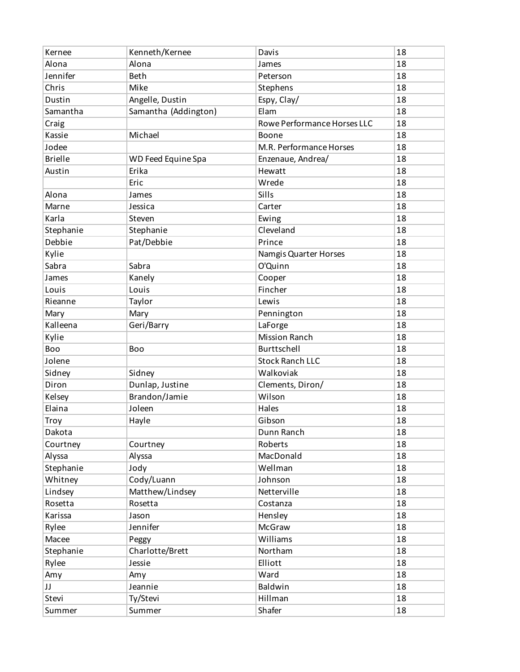| Kernee         | Kenneth/Kernee       | Davis                       | 18 |
|----------------|----------------------|-----------------------------|----|
| Alona          | Alona                | James                       | 18 |
| Jennifer       | <b>Beth</b>          | Peterson                    | 18 |
| Chris          | Mike                 | Stephens                    | 18 |
| Dustin         | Angelle, Dustin      | Espy, Clay/                 | 18 |
| Samantha       | Samantha (Addington) | Elam                        | 18 |
| Craig          |                      | Rowe Performance Horses LLC | 18 |
| Kassie         | Michael              | Boone                       | 18 |
| Jodee          |                      | M.R. Performance Horses     | 18 |
| <b>Brielle</b> | WD Feed Equine Spa   | Enzenaue, Andrea/           | 18 |
| Austin         | Erika                | Hewatt                      | 18 |
|                | Eric                 | Wrede                       | 18 |
| Alona          | James                | Sills                       | 18 |
| Marne          | Jessica              | Carter                      | 18 |
| Karla          | Steven               | Ewing                       | 18 |
| Stephanie      | Stephanie            | Cleveland                   | 18 |
| Debbie         | Pat/Debbie           | Prince                      | 18 |
| Kylie          |                      | Namgis Quarter Horses       | 18 |
| Sabra          | Sabra                | O'Quinn                     | 18 |
| James          | Kanely               | Cooper                      | 18 |
| Louis          | Louis                | Fincher                     | 18 |
| Rieanne        | Taylor               | Lewis                       | 18 |
| Mary           | Mary                 | Pennington                  | 18 |
| Kalleena       | Geri/Barry           | LaForge                     | 18 |
| Kylie          |                      | <b>Mission Ranch</b>        | 18 |
| Boo            | Boo                  | Burttschell                 | 18 |
| Jolene         |                      | <b>Stock Ranch LLC</b>      | 18 |
| Sidney         | Sidney               | Walkoviak                   | 18 |
| Diron          | Dunlap, Justine      | Clements, Diron/            | 18 |
| Kelsey         | Brandon/Jamie        | Wilson                      | 18 |
| Elaina         | Joleen               | Hales                       | 18 |
| Troy           | Hayle                | Gibson                      | 18 |
| Dakota         |                      | Dunn Ranch                  | 18 |
| Courtney       | Courtney             | Roberts                     | 18 |
| Alyssa         | Alyssa               | MacDonald                   | 18 |
| Stephanie      | Jody                 | Wellman                     | 18 |
| Whitney        | Cody/Luann           | Johnson                     | 18 |
| Lindsey        | Matthew/Lindsey      | Netterville                 | 18 |
| Rosetta        | Rosetta              | Costanza                    | 18 |
| Karissa        | Jason                | Hensley                     | 18 |
| Rylee          | Jennifer             | McGraw                      | 18 |
| Macee          | Peggy                | Williams                    | 18 |
| Stephanie      | Charlotte/Brett      | Northam                     | 18 |
| Rylee          | Jessie               | Elliott                     | 18 |
| Amy            | Amy                  | Ward                        | 18 |
| JJ             | Jeannie              | Baldwin                     | 18 |
| Stevi          | Ty/Stevi             | Hillman                     | 18 |
| Summer         | Summer               | Shafer                      | 18 |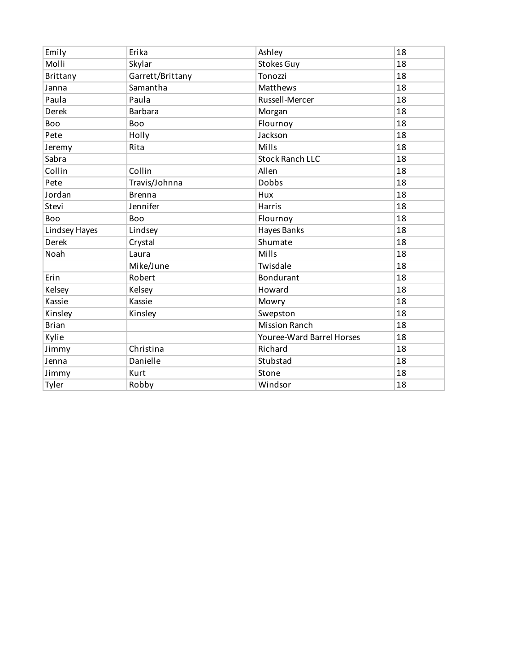| Emily         | Erika            | Ashley                    | 18 |
|---------------|------------------|---------------------------|----|
| Molli         | Skylar           | Stokes Guy                | 18 |
| Brittany      | Garrett/Brittany | Tonozzi                   | 18 |
| Janna         | Samantha         | Matthews                  | 18 |
| Paula         | Paula            | Russell-Mercer            | 18 |
| <b>Derek</b>  | <b>Barbara</b>   | Morgan                    | 18 |
| Boo           | Boo              | Flournoy                  | 18 |
| Pete          | Holly            | Jackson                   | 18 |
| Jeremy        | Rita             | Mills                     | 18 |
| Sabra         |                  | <b>Stock Ranch LLC</b>    | 18 |
| Collin        | Collin           | Allen                     | 18 |
| Pete          | Travis/Johnna    | <b>Dobbs</b>              | 18 |
| Jordan        | <b>Brenna</b>    | Hux                       | 18 |
| Stevi         | Jennifer         | Harris                    | 18 |
| Boo           | Boo              | Flournoy                  | 18 |
| Lindsey Hayes | Lindsey          | Hayes Banks               | 18 |
| Derek         | Crystal          | Shumate                   | 18 |
| Noah          | Laura            | Mills                     | 18 |
|               | Mike/June        | Twisdale                  | 18 |
| Erin          | Robert           | <b>Bondurant</b>          | 18 |
| Kelsey        | Kelsey           | Howard                    | 18 |
| Kassie        | Kassie           | Mowry                     | 18 |
| Kinsley       | Kinsley          | Swepston                  | 18 |
| <b>Brian</b>  |                  | <b>Mission Ranch</b>      | 18 |
| Kylie         |                  | Youree-Ward Barrel Horses | 18 |
| Jimmy         | Christina        | Richard                   | 18 |
| Jenna         | Danielle         | Stubstad                  | 18 |
| Jimmy         | Kurt             | Stone                     | 18 |
| Tyler         | Robby            | Windsor                   | 18 |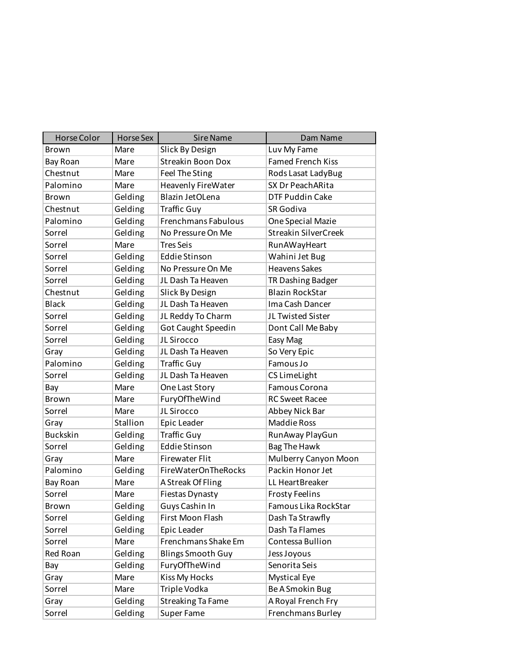| <b>Horse Color</b> | <b>Horse Sex</b> | <b>Sire Name</b>           | Dam Name                    |
|--------------------|------------------|----------------------------|-----------------------------|
| Brown              | Mare             | Slick By Design            | Luv My Fame                 |
| Bay Roan           | Mare             | <b>Streakin Boon Dox</b>   | <b>Famed French Kiss</b>    |
| Chestnut           | Mare             | Feel The Sting             | Rods Lasat LadyBug          |
| Palomino           | Mare             | Heavenly FireWater         | SX Dr PeachARita            |
| Brown              | Gelding          | Blazin JetOLena            | DTF Puddin Cake             |
| Chestnut           | Gelding          | <b>Traffic Guy</b>         | SR Godiva                   |
| Palomino           | Gelding          | <b>Frenchmans Fabulous</b> | One Special Mazie           |
| Sorrel             | Gelding          | No Pressure On Me          | <b>Streakin SilverCreek</b> |
| Sorrel             | Mare             | <b>Tres Seis</b>           | RunAWayHeart                |
| Sorrel             | Gelding          | <b>Eddie Stinson</b>       | Wahini Jet Bug              |
| Sorrel             | Gelding          | No Pressure On Me          | <b>Heavens Sakes</b>        |
| Sorrel             | Gelding          | JL Dash Ta Heaven          | TR Dashing Badger           |
| Chestnut           | Gelding          | Slick By Design            | <b>Blazin RockStar</b>      |
| <b>Black</b>       | Gelding          | JL Dash Ta Heaven          | Ima Cash Dancer             |
| Sorrel             | Gelding          | JL Reddy To Charm          | JL Twisted Sister           |
| Sorrel             | Gelding          | Got Caught Speedin         | Dont Call Me Baby           |
| Sorrel             | Gelding          | JL Sirocco                 | Easy Mag                    |
| Gray               | Gelding          | JL Dash Ta Heaven          | So Very Epic                |
| Palomino           | Gelding          | <b>Traffic Guy</b>         | Famous Jo                   |
| Sorrel             | Gelding          | JL Dash Ta Heaven          | CS LimeLight                |
| Bay                | Mare             | One Last Story             | Famous Corona               |
| Brown              | Mare             | FuryOfTheWind              | <b>RC Sweet Racee</b>       |
| Sorrel             | Mare             | JL Sirocco                 | Abbey Nick Bar              |
| Gray               | Stallion         | Epic Leader                | <b>Maddie Ross</b>          |
| <b>Buckskin</b>    | Gelding          | <b>Traffic Guy</b>         | RunAway PlayGun             |
| Sorrel             | Gelding          | <b>Eddie Stinson</b>       | <b>Bag The Hawk</b>         |
| Gray               | Mare             | <b>Firewater Flit</b>      | Mulberry Canyon Moon        |
| Palomino           | Gelding          | FireWaterOnTheRocks        | Packin Honor Jet            |
| Bay Roan           | Mare             | A Streak Of Fling          | LL HeartBreaker             |
| Sorrel             | Mare             | Fiestas Dynasty            | <b>Frosty Feelins</b>       |
| Brown              | Gelding          | Guys Cashin In             | Famous Lika RockStar        |
| Sorrel             | Gelding          | First Moon Flash           | Dash Ta Strawfly            |
| Sorrel             | Gelding          | Epic Leader                | Dash Ta Flames              |
| Sorrel             | Mare             | Frenchmans Shake Em        | Contessa Bullion            |
| Red Roan           | Gelding          | <b>Blings Smooth Guy</b>   | Jess Joyous                 |
| Bay                | Gelding          | FuryOfTheWind              | Senorita Seis               |
| Gray               | Mare             | Kiss My Hocks              | <b>Mystical Eye</b>         |
| Sorrel             | Mare             | Triple Vodka               | Be A Smokin Bug             |
| Gray               | Gelding          | <b>Streaking Ta Fame</b>   | A Royal French Fry          |
| Sorrel             | Gelding          | Super Fame                 | Frenchmans Burley           |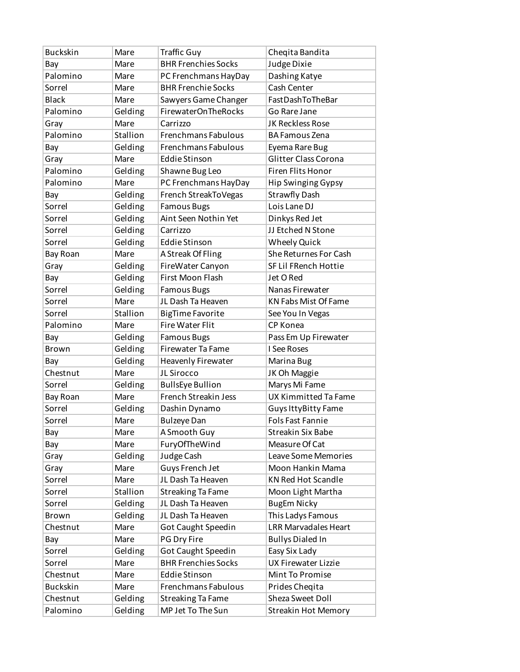| <b>Buckskin</b> | Mare     | <b>Traffic Guy</b>         | Chegita Bandita             |
|-----------------|----------|----------------------------|-----------------------------|
| Bay             | Mare     | <b>BHR Frenchies Socks</b> | Judge Dixie                 |
| Palomino        | Mare     | PC Frenchmans HayDay       | Dashing Katye               |
| Sorrel          | Mare     | <b>BHR Frenchie Socks</b>  | Cash Center                 |
| <b>Black</b>    | Mare     | Sawyers Game Changer       | FastDashToTheBar            |
| Palomino        | Gelding  | <b>FirewaterOnTheRocks</b> | Go Rare Jane                |
| Gray            | Mare     | Carrizzo                   | JK Reckless Rose            |
| Palomino        | Stallion | Frenchmans Fabulous        | <b>BA Famous Zena</b>       |
| Bay             | Gelding  | <b>Frenchmans Fabulous</b> | Eyema Rare Bug              |
| Gray            | Mare     | <b>Eddie Stinson</b>       | Glitter Class Corona        |
| Palomino        | Gelding  | Shawne Bug Leo             | <b>Firen Flits Honor</b>    |
| Palomino        | Mare     | PC Frenchmans HayDay       | <b>Hip Swinging Gypsy</b>   |
| Bay             | Gelding  | French StreakToVegas       | <b>Strawfly Dash</b>        |
| Sorrel          | Gelding  | <b>Famous Bugs</b>         | Lois Lane DJ                |
| Sorrel          | Gelding  | Aint Seen Nothin Yet       | Dinkys Red Jet              |
| Sorrel          | Gelding  | Carrizzo                   | JJ Etched N Stone           |
| Sorrel          | Gelding  | <b>Eddie Stinson</b>       | <b>Wheely Quick</b>         |
| Bay Roan        | Mare     | A Streak Of Fling          | She Returnes For Cash       |
| Gray            | Gelding  | FireWater Canyon           | SF Lil FRench Hottie        |
| Bay             | Gelding  | <b>First Moon Flash</b>    | Jet O Red                   |
| Sorrel          | Gelding  | <b>Famous Bugs</b>         | Nanas Firewater             |
| Sorrel          | Mare     | JL Dash Ta Heaven          | <b>KN Fabs Mist Of Fame</b> |
| Sorrel          | Stallion | <b>BigTime Favorite</b>    | See You In Vegas            |
| Palomino        | Mare     | Fire Water Flit            | CP Konea                    |
| Bay             | Gelding  | <b>Famous Bugs</b>         | Pass Em Up Firewater        |
| <b>Brown</b>    | Gelding  | <b>Firewater Ta Fame</b>   | I See Roses                 |
| Bay             | Gelding  | Heavenly Firewater         | Marina Bug                  |
| Chestnut        | Mare     | JL Sirocco                 | JK Oh Maggie                |
| Sorrel          | Gelding  | <b>BullsEye Bullion</b>    | Marys Mi Fame               |
| Bay Roan        | Mare     | French Streakin Jess       | <b>UX Kimmitted Ta Fame</b> |
| Sorrel          | Gelding  | Dashin Dynamo              | Guys IttyBitty Fame         |
| Sorrel          | Mare     | <b>Bulzeye Dan</b>         | <b>Fols Fast Fannie</b>     |
| Bay             | Mare     | A Smooth Guy               | <b>Streakin Six Babe</b>    |
| Bay             | Mare     | FuryOfTheWind              | Measure Of Cat              |
| Gray            | Gelding  | Judge Cash                 | Leave Some Memories         |
| Gray            | Mare     | Guys French Jet            | Moon Hankin Mama            |
| Sorrel          | Mare     | JL Dash Ta Heaven          | <b>KN Red Hot Scandle</b>   |
| Sorrel          | Stallion | <b>Streaking Ta Fame</b>   | Moon Light Martha           |
| Sorrel          | Gelding  | JL Dash Ta Heaven          | <b>BugEm Nicky</b>          |
| Brown           | Gelding  | JL Dash Ta Heaven          | This Ladys Famous           |
| Chestnut        | Mare     | Got Caught Speedin         | <b>LRR Marvadales Heart</b> |
| Bay             | Mare     | PG Dry Fire                | <b>Bullys Dialed In</b>     |
| Sorrel          | Gelding  | Got Caught Speedin         | Easy Six Lady               |
| Sorrel          | Mare     | <b>BHR Frenchies Socks</b> | <b>UX Firewater Lizzie</b>  |
| Chestnut        | Mare     | <b>Eddie Stinson</b>       | Mint To Promise             |
| <b>Buckskin</b> | Mare     | Frenchmans Fabulous        | Prides Cheqita              |
| Chestnut        | Gelding  | <b>Streaking Ta Fame</b>   | Sheza Sweet Doll            |
| Palomino        | Gelding  | MP Jet To The Sun          | <b>Streakin Hot Memory</b>  |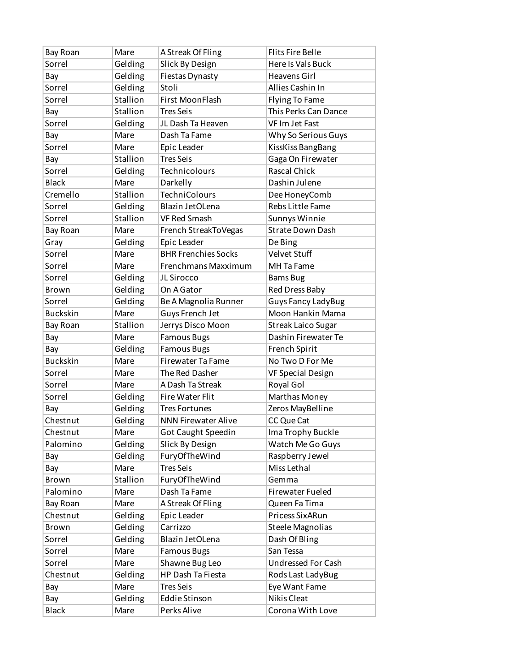| Bay Roan        | Mare     | A Streak Of Fling          | <b>Flits Fire Belle</b>   |
|-----------------|----------|----------------------------|---------------------------|
| Sorrel          | Gelding  | Slick By Design            | Here Is Vals Buck         |
| Bay             | Gelding  | <b>Fiestas Dynasty</b>     | <b>Heavens Girl</b>       |
| Sorrel          | Gelding  | Stoli                      | Allies Cashin In          |
| Sorrel          | Stallion | First MoonFlash            | <b>Flying To Fame</b>     |
| Bay             | Stallion | <b>Tres Seis</b>           | This Perks Can Dance      |
| Sorrel          | Gelding  | JL Dash Ta Heaven          | VF Im Jet Fast            |
| Bay             | Mare     | Dash Ta Fame               | Why So Serious Guys       |
| Sorrel          | Mare     | Epic Leader                | KissKiss BangBang         |
| Bay             | Stallion | <b>Tres Seis</b>           | Gaga On Firewater         |
| Sorrel          | Gelding  | Technicolours              | <b>Rascal Chick</b>       |
| <b>Black</b>    | Mare     | Darkelly                   | Dashin Julene             |
| Cremello        | Stallion | <b>TechniColours</b>       | Dee HoneyComb             |
| Sorrel          | Gelding  | Blazin JetOLena            | Rebs Little Fame          |
| Sorrel          | Stallion | <b>VF Red Smash</b>        | Sunnys Winnie             |
| Bay Roan        | Mare     | French StreakToVegas       | <b>Strate Down Dash</b>   |
| Gray            | Gelding  | Epic Leader                | De Bing                   |
| Sorrel          | Mare     | <b>BHR Frenchies Socks</b> | <b>Velvet Stuff</b>       |
| Sorrel          | Mare     | Frenchmans Maxximum        | MH Ta Fame                |
| Sorrel          | Gelding  | JL Sirocco                 | <b>Bams Bug</b>           |
| Brown           | Gelding  | On A Gator                 | Red Dress Baby            |
| Sorrel          | Gelding  | Be A Magnolia Runner       | <b>Guys Fancy LadyBug</b> |
| <b>Buckskin</b> | Mare     | Guys French Jet            | Moon Hankin Mama          |
| Bay Roan        | Stallion | Jerrys Disco Moon          | <b>Streak Laico Sugar</b> |
| Bay             | Mare     | <b>Famous Bugs</b>         | Dashin Firewater Te       |
| Bay             | Gelding  | <b>Famous Bugs</b>         | French Spirit             |
| <b>Buckskin</b> | Mare     | <b>Firewater Ta Fame</b>   | No Two D For Me           |
| Sorrel          | Mare     | The Red Dasher             | <b>VF Special Design</b>  |
| Sorrel          | Mare     | A Dash Ta Streak           | Royal Gol                 |
| Sorrel          | Gelding  | <b>Fire Water Flit</b>     | Marthas Money             |
| Bay             | Gelding  | <b>Tres Fortunes</b>       | Zeros MayBelline          |
| Chestnut        | Gelding  | <b>NNN Firewater Alive</b> | CC Que Cat                |
| Chestnut        | Mare     | Got Caught Speedin         | Ima Trophy Buckle         |
| Palomino        | Gelding  | Slick By Design            | Watch Me Go Guys          |
| Bay             | Gelding  | FuryOfTheWind              | Raspberry Jewel           |
| Bay             | Mare     | <b>Tres Seis</b>           | Miss Lethal               |
| Brown           | Stallion | FuryOfTheWind              | Gemma                     |
| Palomino        | Mare     | Dash Ta Fame               | <b>Firewater Fueled</b>   |
| Bay Roan        | Mare     | A Streak Of Fling          | Queen Fa Tima             |
| Chestnut        | Gelding  | Epic Leader                | Pricess SixARun           |
| Brown           | Gelding  | Carrizzo                   | <b>Steele Magnolias</b>   |
| Sorrel          | Gelding  | Blazin JetOLena            | Dash Of Bling             |
| Sorrel          | Mare     | <b>Famous Bugs</b>         | San Tessa                 |
| Sorrel          | Mare     | Shawne Bug Leo             | Undressed For Cash        |
| Chestnut        | Gelding  | HP Dash Ta Fiesta          | Rods Last LadyBug         |
| Bay             | Mare     | <b>Tres Seis</b>           | Eye Want Fame             |
| Bay             | Gelding  | <b>Eddie Stinson</b>       | Nikis Cleat               |
| <b>Black</b>    | Mare     | Perks Alive                | Corona With Love          |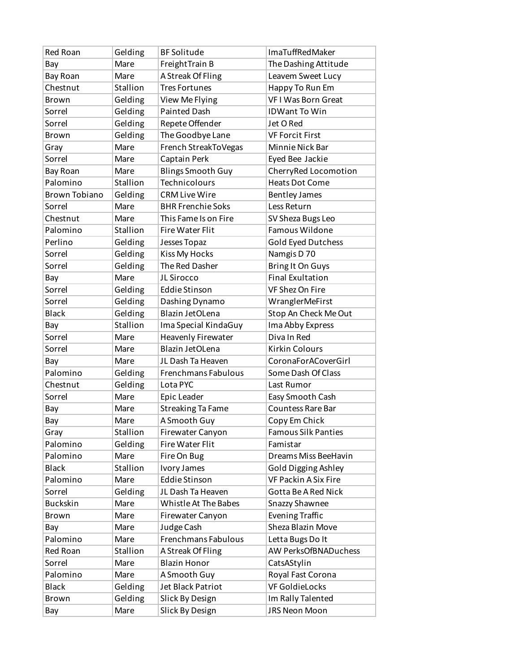| Mare<br>FreightTrain B<br>The Dashing Attitude<br>Bay<br>Bay Roan<br>Mare<br>A Streak Of Fling<br>Leavem Sweet Lucy<br>Stallion<br>Chestnut<br><b>Tres Fortunes</b><br>Happy To Run Em<br><b>VFI Was Born Great</b><br>Gelding<br>View Me Flying<br>Brown<br>Gelding<br><b>Painted Dash</b><br>Sorrel<br><b>IDWant To Win</b><br>Sorrel<br>Gelding<br>Repete Offender<br>Jet O Red<br>The Goodbye Lane<br>Gelding<br>Brown<br><b>VF Forcit First</b><br>French StreakToVegas<br>Mare<br>Minnie Nick Bar<br>Gray<br>Sorrel<br>Captain Perk<br>Eyed Bee Jackie<br>Mare<br><b>Blings Smooth Guy</b><br>CherryRed Locomotion<br>Mare<br>Bay Roan<br>Palomino<br>Technicolours<br>Stallion<br><b>Heats Dot Come</b><br><b>Brown Tobiano</b><br>Gelding<br><b>CRM Live Wire</b><br><b>Bentley James</b><br><b>BHR Frenchie Soks</b><br>Sorrel<br>Mare<br>Less Return<br>Chestnut<br>Mare<br>This Fame Is on Fire<br>SV Sheza Bugs Leo<br>Palomino<br>Stallion<br>Famous Wildone<br><b>Fire Water Flit</b><br>Perlino<br>Gelding<br>Gold Eyed Dutchess<br>Jesses Topaz<br><b>Kiss My Hocks</b><br>Gelding<br>Namgis D 70<br>Sorrel<br>The Red Dasher<br>Sorrel<br>Gelding<br><b>Bring It On Guys</b><br><b>Final Exultation</b><br>Mare<br>JL Sirocco<br>Bay<br>VF Shez On Fire<br>Sorrel<br>Gelding<br><b>Eddie Stinson</b><br>Gelding<br>Sorrel<br>Dashing Dynamo<br>WranglerMeFirst<br>Blazin JetOLena<br>Stop An Check Me Out<br><b>Black</b><br>Gelding<br>Stallion<br>Ima Abby Express<br>Ima Special KindaGuy<br>Bay<br>Diva In Red<br>Sorrel<br><b>Heavenly Firewater</b><br>Mare<br>Sorrel<br>Blazin JetOLena<br><b>Kirkin Colours</b><br>Mare<br>JL Dash Ta Heaven<br>CoronaForACoverGirl<br>Bay<br>Mare<br>Palomino<br>Frenchmans Fabulous<br>Gelding<br>Some Dash Of Class<br>Gelding<br>Chestnut<br>Lota PYC<br>Last Rumor<br>Sorrel<br>Mare<br>Epic Leader<br>Easy Smooth Cash<br><b>Streaking Ta Fame</b><br><b>Countess Rare Bar</b><br>Bay<br>Mare<br>A Smooth Guy<br>Mare<br>Copy Em Chick<br>Bay<br>Stallion<br><b>Famous Silk Panties</b><br>Gray<br>Firewater Canyon<br>Palomino<br>Gelding<br><b>Fire Water Flit</b><br>Famistar<br>Palomino<br>Dreams Miss BeeHavin<br>Mare<br>Fire On Bug<br><b>Black</b><br>Stallion<br>Ivory James<br><b>Gold Digging Ashley</b><br><b>Eddie Stinson</b><br>Palomino<br>VF Packin A Six Fire<br>Mare<br>Sorrel<br>JL Dash Ta Heaven<br>Gotta Be A Red Nick<br>Gelding<br><b>Buckskin</b><br>Mare<br>Whistle At The Babes<br>Snazzy Shawnee<br><b>Evening Traffic</b><br>Brown<br>Mare<br>Firewater Canyon<br>Sheza Blazin Move<br>Mare<br>Judge Cash<br>Bay<br>Palomino<br>Frenchmans Fabulous<br>Letta Bugs Do It<br>Mare<br>Stallion<br>Red Roan<br>A Streak Of Fling<br>AW PerksOfBNADuchess<br>Sorrel<br><b>Blazin Honor</b><br>CatsAStylin<br>Mare<br>Palomino<br>Mare<br>A Smooth Guy<br>Royal Fast Corona<br><b>VF GoldieLocks</b><br><b>Black</b><br>Gelding<br>Jet Black Patriot<br>Gelding<br>Im Rally Talented<br>Slick By Design<br>Brown<br>JRS Neon Moon<br>Mare<br>Slick By Design<br>Bay | Red Roan | Gelding | <b>BF Solitude</b> | <b>ImaTuffRedMaker</b> |
|-------------------------------------------------------------------------------------------------------------------------------------------------------------------------------------------------------------------------------------------------------------------------------------------------------------------------------------------------------------------------------------------------------------------------------------------------------------------------------------------------------------------------------------------------------------------------------------------------------------------------------------------------------------------------------------------------------------------------------------------------------------------------------------------------------------------------------------------------------------------------------------------------------------------------------------------------------------------------------------------------------------------------------------------------------------------------------------------------------------------------------------------------------------------------------------------------------------------------------------------------------------------------------------------------------------------------------------------------------------------------------------------------------------------------------------------------------------------------------------------------------------------------------------------------------------------------------------------------------------------------------------------------------------------------------------------------------------------------------------------------------------------------------------------------------------------------------------------------------------------------------------------------------------------------------------------------------------------------------------------------------------------------------------------------------------------------------------------------------------------------------------------------------------------------------------------------------------------------------------------------------------------------------------------------------------------------------------------------------------------------------------------------------------------------------------------------------------------------------------------------------------------------------------------------------------------------------------------------------------------------------------------------------------------------------------------------------------------------------------------------------------------------------------------------------------------------------------------------------------------------------------------------------------------------------------------------------------------------------------------------------------------------------------------------------------|----------|---------|--------------------|------------------------|
|                                                                                                                                                                                                                                                                                                                                                                                                                                                                                                                                                                                                                                                                                                                                                                                                                                                                                                                                                                                                                                                                                                                                                                                                                                                                                                                                                                                                                                                                                                                                                                                                                                                                                                                                                                                                                                                                                                                                                                                                                                                                                                                                                                                                                                                                                                                                                                                                                                                                                                                                                                                                                                                                                                                                                                                                                                                                                                                                                                                                                                                             |          |         |                    |                        |
|                                                                                                                                                                                                                                                                                                                                                                                                                                                                                                                                                                                                                                                                                                                                                                                                                                                                                                                                                                                                                                                                                                                                                                                                                                                                                                                                                                                                                                                                                                                                                                                                                                                                                                                                                                                                                                                                                                                                                                                                                                                                                                                                                                                                                                                                                                                                                                                                                                                                                                                                                                                                                                                                                                                                                                                                                                                                                                                                                                                                                                                             |          |         |                    |                        |
|                                                                                                                                                                                                                                                                                                                                                                                                                                                                                                                                                                                                                                                                                                                                                                                                                                                                                                                                                                                                                                                                                                                                                                                                                                                                                                                                                                                                                                                                                                                                                                                                                                                                                                                                                                                                                                                                                                                                                                                                                                                                                                                                                                                                                                                                                                                                                                                                                                                                                                                                                                                                                                                                                                                                                                                                                                                                                                                                                                                                                                                             |          |         |                    |                        |
|                                                                                                                                                                                                                                                                                                                                                                                                                                                                                                                                                                                                                                                                                                                                                                                                                                                                                                                                                                                                                                                                                                                                                                                                                                                                                                                                                                                                                                                                                                                                                                                                                                                                                                                                                                                                                                                                                                                                                                                                                                                                                                                                                                                                                                                                                                                                                                                                                                                                                                                                                                                                                                                                                                                                                                                                                                                                                                                                                                                                                                                             |          |         |                    |                        |
|                                                                                                                                                                                                                                                                                                                                                                                                                                                                                                                                                                                                                                                                                                                                                                                                                                                                                                                                                                                                                                                                                                                                                                                                                                                                                                                                                                                                                                                                                                                                                                                                                                                                                                                                                                                                                                                                                                                                                                                                                                                                                                                                                                                                                                                                                                                                                                                                                                                                                                                                                                                                                                                                                                                                                                                                                                                                                                                                                                                                                                                             |          |         |                    |                        |
|                                                                                                                                                                                                                                                                                                                                                                                                                                                                                                                                                                                                                                                                                                                                                                                                                                                                                                                                                                                                                                                                                                                                                                                                                                                                                                                                                                                                                                                                                                                                                                                                                                                                                                                                                                                                                                                                                                                                                                                                                                                                                                                                                                                                                                                                                                                                                                                                                                                                                                                                                                                                                                                                                                                                                                                                                                                                                                                                                                                                                                                             |          |         |                    |                        |
|                                                                                                                                                                                                                                                                                                                                                                                                                                                                                                                                                                                                                                                                                                                                                                                                                                                                                                                                                                                                                                                                                                                                                                                                                                                                                                                                                                                                                                                                                                                                                                                                                                                                                                                                                                                                                                                                                                                                                                                                                                                                                                                                                                                                                                                                                                                                                                                                                                                                                                                                                                                                                                                                                                                                                                                                                                                                                                                                                                                                                                                             |          |         |                    |                        |
|                                                                                                                                                                                                                                                                                                                                                                                                                                                                                                                                                                                                                                                                                                                                                                                                                                                                                                                                                                                                                                                                                                                                                                                                                                                                                                                                                                                                                                                                                                                                                                                                                                                                                                                                                                                                                                                                                                                                                                                                                                                                                                                                                                                                                                                                                                                                                                                                                                                                                                                                                                                                                                                                                                                                                                                                                                                                                                                                                                                                                                                             |          |         |                    |                        |
|                                                                                                                                                                                                                                                                                                                                                                                                                                                                                                                                                                                                                                                                                                                                                                                                                                                                                                                                                                                                                                                                                                                                                                                                                                                                                                                                                                                                                                                                                                                                                                                                                                                                                                                                                                                                                                                                                                                                                                                                                                                                                                                                                                                                                                                                                                                                                                                                                                                                                                                                                                                                                                                                                                                                                                                                                                                                                                                                                                                                                                                             |          |         |                    |                        |
|                                                                                                                                                                                                                                                                                                                                                                                                                                                                                                                                                                                                                                                                                                                                                                                                                                                                                                                                                                                                                                                                                                                                                                                                                                                                                                                                                                                                                                                                                                                                                                                                                                                                                                                                                                                                                                                                                                                                                                                                                                                                                                                                                                                                                                                                                                                                                                                                                                                                                                                                                                                                                                                                                                                                                                                                                                                                                                                                                                                                                                                             |          |         |                    |                        |
|                                                                                                                                                                                                                                                                                                                                                                                                                                                                                                                                                                                                                                                                                                                                                                                                                                                                                                                                                                                                                                                                                                                                                                                                                                                                                                                                                                                                                                                                                                                                                                                                                                                                                                                                                                                                                                                                                                                                                                                                                                                                                                                                                                                                                                                                                                                                                                                                                                                                                                                                                                                                                                                                                                                                                                                                                                                                                                                                                                                                                                                             |          |         |                    |                        |
|                                                                                                                                                                                                                                                                                                                                                                                                                                                                                                                                                                                                                                                                                                                                                                                                                                                                                                                                                                                                                                                                                                                                                                                                                                                                                                                                                                                                                                                                                                                                                                                                                                                                                                                                                                                                                                                                                                                                                                                                                                                                                                                                                                                                                                                                                                                                                                                                                                                                                                                                                                                                                                                                                                                                                                                                                                                                                                                                                                                                                                                             |          |         |                    |                        |
|                                                                                                                                                                                                                                                                                                                                                                                                                                                                                                                                                                                                                                                                                                                                                                                                                                                                                                                                                                                                                                                                                                                                                                                                                                                                                                                                                                                                                                                                                                                                                                                                                                                                                                                                                                                                                                                                                                                                                                                                                                                                                                                                                                                                                                                                                                                                                                                                                                                                                                                                                                                                                                                                                                                                                                                                                                                                                                                                                                                                                                                             |          |         |                    |                        |
|                                                                                                                                                                                                                                                                                                                                                                                                                                                                                                                                                                                                                                                                                                                                                                                                                                                                                                                                                                                                                                                                                                                                                                                                                                                                                                                                                                                                                                                                                                                                                                                                                                                                                                                                                                                                                                                                                                                                                                                                                                                                                                                                                                                                                                                                                                                                                                                                                                                                                                                                                                                                                                                                                                                                                                                                                                                                                                                                                                                                                                                             |          |         |                    |                        |
|                                                                                                                                                                                                                                                                                                                                                                                                                                                                                                                                                                                                                                                                                                                                                                                                                                                                                                                                                                                                                                                                                                                                                                                                                                                                                                                                                                                                                                                                                                                                                                                                                                                                                                                                                                                                                                                                                                                                                                                                                                                                                                                                                                                                                                                                                                                                                                                                                                                                                                                                                                                                                                                                                                                                                                                                                                                                                                                                                                                                                                                             |          |         |                    |                        |
|                                                                                                                                                                                                                                                                                                                                                                                                                                                                                                                                                                                                                                                                                                                                                                                                                                                                                                                                                                                                                                                                                                                                                                                                                                                                                                                                                                                                                                                                                                                                                                                                                                                                                                                                                                                                                                                                                                                                                                                                                                                                                                                                                                                                                                                                                                                                                                                                                                                                                                                                                                                                                                                                                                                                                                                                                                                                                                                                                                                                                                                             |          |         |                    |                        |
|                                                                                                                                                                                                                                                                                                                                                                                                                                                                                                                                                                                                                                                                                                                                                                                                                                                                                                                                                                                                                                                                                                                                                                                                                                                                                                                                                                                                                                                                                                                                                                                                                                                                                                                                                                                                                                                                                                                                                                                                                                                                                                                                                                                                                                                                                                                                                                                                                                                                                                                                                                                                                                                                                                                                                                                                                                                                                                                                                                                                                                                             |          |         |                    |                        |
|                                                                                                                                                                                                                                                                                                                                                                                                                                                                                                                                                                                                                                                                                                                                                                                                                                                                                                                                                                                                                                                                                                                                                                                                                                                                                                                                                                                                                                                                                                                                                                                                                                                                                                                                                                                                                                                                                                                                                                                                                                                                                                                                                                                                                                                                                                                                                                                                                                                                                                                                                                                                                                                                                                                                                                                                                                                                                                                                                                                                                                                             |          |         |                    |                        |
|                                                                                                                                                                                                                                                                                                                                                                                                                                                                                                                                                                                                                                                                                                                                                                                                                                                                                                                                                                                                                                                                                                                                                                                                                                                                                                                                                                                                                                                                                                                                                                                                                                                                                                                                                                                                                                                                                                                                                                                                                                                                                                                                                                                                                                                                                                                                                                                                                                                                                                                                                                                                                                                                                                                                                                                                                                                                                                                                                                                                                                                             |          |         |                    |                        |
|                                                                                                                                                                                                                                                                                                                                                                                                                                                                                                                                                                                                                                                                                                                                                                                                                                                                                                                                                                                                                                                                                                                                                                                                                                                                                                                                                                                                                                                                                                                                                                                                                                                                                                                                                                                                                                                                                                                                                                                                                                                                                                                                                                                                                                                                                                                                                                                                                                                                                                                                                                                                                                                                                                                                                                                                                                                                                                                                                                                                                                                             |          |         |                    |                        |
|                                                                                                                                                                                                                                                                                                                                                                                                                                                                                                                                                                                                                                                                                                                                                                                                                                                                                                                                                                                                                                                                                                                                                                                                                                                                                                                                                                                                                                                                                                                                                                                                                                                                                                                                                                                                                                                                                                                                                                                                                                                                                                                                                                                                                                                                                                                                                                                                                                                                                                                                                                                                                                                                                                                                                                                                                                                                                                                                                                                                                                                             |          |         |                    |                        |
|                                                                                                                                                                                                                                                                                                                                                                                                                                                                                                                                                                                                                                                                                                                                                                                                                                                                                                                                                                                                                                                                                                                                                                                                                                                                                                                                                                                                                                                                                                                                                                                                                                                                                                                                                                                                                                                                                                                                                                                                                                                                                                                                                                                                                                                                                                                                                                                                                                                                                                                                                                                                                                                                                                                                                                                                                                                                                                                                                                                                                                                             |          |         |                    |                        |
|                                                                                                                                                                                                                                                                                                                                                                                                                                                                                                                                                                                                                                                                                                                                                                                                                                                                                                                                                                                                                                                                                                                                                                                                                                                                                                                                                                                                                                                                                                                                                                                                                                                                                                                                                                                                                                                                                                                                                                                                                                                                                                                                                                                                                                                                                                                                                                                                                                                                                                                                                                                                                                                                                                                                                                                                                                                                                                                                                                                                                                                             |          |         |                    |                        |
|                                                                                                                                                                                                                                                                                                                                                                                                                                                                                                                                                                                                                                                                                                                                                                                                                                                                                                                                                                                                                                                                                                                                                                                                                                                                                                                                                                                                                                                                                                                                                                                                                                                                                                                                                                                                                                                                                                                                                                                                                                                                                                                                                                                                                                                                                                                                                                                                                                                                                                                                                                                                                                                                                                                                                                                                                                                                                                                                                                                                                                                             |          |         |                    |                        |
|                                                                                                                                                                                                                                                                                                                                                                                                                                                                                                                                                                                                                                                                                                                                                                                                                                                                                                                                                                                                                                                                                                                                                                                                                                                                                                                                                                                                                                                                                                                                                                                                                                                                                                                                                                                                                                                                                                                                                                                                                                                                                                                                                                                                                                                                                                                                                                                                                                                                                                                                                                                                                                                                                                                                                                                                                                                                                                                                                                                                                                                             |          |         |                    |                        |
|                                                                                                                                                                                                                                                                                                                                                                                                                                                                                                                                                                                                                                                                                                                                                                                                                                                                                                                                                                                                                                                                                                                                                                                                                                                                                                                                                                                                                                                                                                                                                                                                                                                                                                                                                                                                                                                                                                                                                                                                                                                                                                                                                                                                                                                                                                                                                                                                                                                                                                                                                                                                                                                                                                                                                                                                                                                                                                                                                                                                                                                             |          |         |                    |                        |
|                                                                                                                                                                                                                                                                                                                                                                                                                                                                                                                                                                                                                                                                                                                                                                                                                                                                                                                                                                                                                                                                                                                                                                                                                                                                                                                                                                                                                                                                                                                                                                                                                                                                                                                                                                                                                                                                                                                                                                                                                                                                                                                                                                                                                                                                                                                                                                                                                                                                                                                                                                                                                                                                                                                                                                                                                                                                                                                                                                                                                                                             |          |         |                    |                        |
|                                                                                                                                                                                                                                                                                                                                                                                                                                                                                                                                                                                                                                                                                                                                                                                                                                                                                                                                                                                                                                                                                                                                                                                                                                                                                                                                                                                                                                                                                                                                                                                                                                                                                                                                                                                                                                                                                                                                                                                                                                                                                                                                                                                                                                                                                                                                                                                                                                                                                                                                                                                                                                                                                                                                                                                                                                                                                                                                                                                                                                                             |          |         |                    |                        |
|                                                                                                                                                                                                                                                                                                                                                                                                                                                                                                                                                                                                                                                                                                                                                                                                                                                                                                                                                                                                                                                                                                                                                                                                                                                                                                                                                                                                                                                                                                                                                                                                                                                                                                                                                                                                                                                                                                                                                                                                                                                                                                                                                                                                                                                                                                                                                                                                                                                                                                                                                                                                                                                                                                                                                                                                                                                                                                                                                                                                                                                             |          |         |                    |                        |
|                                                                                                                                                                                                                                                                                                                                                                                                                                                                                                                                                                                                                                                                                                                                                                                                                                                                                                                                                                                                                                                                                                                                                                                                                                                                                                                                                                                                                                                                                                                                                                                                                                                                                                                                                                                                                                                                                                                                                                                                                                                                                                                                                                                                                                                                                                                                                                                                                                                                                                                                                                                                                                                                                                                                                                                                                                                                                                                                                                                                                                                             |          |         |                    |                        |
|                                                                                                                                                                                                                                                                                                                                                                                                                                                                                                                                                                                                                                                                                                                                                                                                                                                                                                                                                                                                                                                                                                                                                                                                                                                                                                                                                                                                                                                                                                                                                                                                                                                                                                                                                                                                                                                                                                                                                                                                                                                                                                                                                                                                                                                                                                                                                                                                                                                                                                                                                                                                                                                                                                                                                                                                                                                                                                                                                                                                                                                             |          |         |                    |                        |
|                                                                                                                                                                                                                                                                                                                                                                                                                                                                                                                                                                                                                                                                                                                                                                                                                                                                                                                                                                                                                                                                                                                                                                                                                                                                                                                                                                                                                                                                                                                                                                                                                                                                                                                                                                                                                                                                                                                                                                                                                                                                                                                                                                                                                                                                                                                                                                                                                                                                                                                                                                                                                                                                                                                                                                                                                                                                                                                                                                                                                                                             |          |         |                    |                        |
|                                                                                                                                                                                                                                                                                                                                                                                                                                                                                                                                                                                                                                                                                                                                                                                                                                                                                                                                                                                                                                                                                                                                                                                                                                                                                                                                                                                                                                                                                                                                                                                                                                                                                                                                                                                                                                                                                                                                                                                                                                                                                                                                                                                                                                                                                                                                                                                                                                                                                                                                                                                                                                                                                                                                                                                                                                                                                                                                                                                                                                                             |          |         |                    |                        |
|                                                                                                                                                                                                                                                                                                                                                                                                                                                                                                                                                                                                                                                                                                                                                                                                                                                                                                                                                                                                                                                                                                                                                                                                                                                                                                                                                                                                                                                                                                                                                                                                                                                                                                                                                                                                                                                                                                                                                                                                                                                                                                                                                                                                                                                                                                                                                                                                                                                                                                                                                                                                                                                                                                                                                                                                                                                                                                                                                                                                                                                             |          |         |                    |                        |
|                                                                                                                                                                                                                                                                                                                                                                                                                                                                                                                                                                                                                                                                                                                                                                                                                                                                                                                                                                                                                                                                                                                                                                                                                                                                                                                                                                                                                                                                                                                                                                                                                                                                                                                                                                                                                                                                                                                                                                                                                                                                                                                                                                                                                                                                                                                                                                                                                                                                                                                                                                                                                                                                                                                                                                                                                                                                                                                                                                                                                                                             |          |         |                    |                        |
|                                                                                                                                                                                                                                                                                                                                                                                                                                                                                                                                                                                                                                                                                                                                                                                                                                                                                                                                                                                                                                                                                                                                                                                                                                                                                                                                                                                                                                                                                                                                                                                                                                                                                                                                                                                                                                                                                                                                                                                                                                                                                                                                                                                                                                                                                                                                                                                                                                                                                                                                                                                                                                                                                                                                                                                                                                                                                                                                                                                                                                                             |          |         |                    |                        |
|                                                                                                                                                                                                                                                                                                                                                                                                                                                                                                                                                                                                                                                                                                                                                                                                                                                                                                                                                                                                                                                                                                                                                                                                                                                                                                                                                                                                                                                                                                                                                                                                                                                                                                                                                                                                                                                                                                                                                                                                                                                                                                                                                                                                                                                                                                                                                                                                                                                                                                                                                                                                                                                                                                                                                                                                                                                                                                                                                                                                                                                             |          |         |                    |                        |
|                                                                                                                                                                                                                                                                                                                                                                                                                                                                                                                                                                                                                                                                                                                                                                                                                                                                                                                                                                                                                                                                                                                                                                                                                                                                                                                                                                                                                                                                                                                                                                                                                                                                                                                                                                                                                                                                                                                                                                                                                                                                                                                                                                                                                                                                                                                                                                                                                                                                                                                                                                                                                                                                                                                                                                                                                                                                                                                                                                                                                                                             |          |         |                    |                        |
|                                                                                                                                                                                                                                                                                                                                                                                                                                                                                                                                                                                                                                                                                                                                                                                                                                                                                                                                                                                                                                                                                                                                                                                                                                                                                                                                                                                                                                                                                                                                                                                                                                                                                                                                                                                                                                                                                                                                                                                                                                                                                                                                                                                                                                                                                                                                                                                                                                                                                                                                                                                                                                                                                                                                                                                                                                                                                                                                                                                                                                                             |          |         |                    |                        |
|                                                                                                                                                                                                                                                                                                                                                                                                                                                                                                                                                                                                                                                                                                                                                                                                                                                                                                                                                                                                                                                                                                                                                                                                                                                                                                                                                                                                                                                                                                                                                                                                                                                                                                                                                                                                                                                                                                                                                                                                                                                                                                                                                                                                                                                                                                                                                                                                                                                                                                                                                                                                                                                                                                                                                                                                                                                                                                                                                                                                                                                             |          |         |                    |                        |
|                                                                                                                                                                                                                                                                                                                                                                                                                                                                                                                                                                                                                                                                                                                                                                                                                                                                                                                                                                                                                                                                                                                                                                                                                                                                                                                                                                                                                                                                                                                                                                                                                                                                                                                                                                                                                                                                                                                                                                                                                                                                                                                                                                                                                                                                                                                                                                                                                                                                                                                                                                                                                                                                                                                                                                                                                                                                                                                                                                                                                                                             |          |         |                    |                        |
|                                                                                                                                                                                                                                                                                                                                                                                                                                                                                                                                                                                                                                                                                                                                                                                                                                                                                                                                                                                                                                                                                                                                                                                                                                                                                                                                                                                                                                                                                                                                                                                                                                                                                                                                                                                                                                                                                                                                                                                                                                                                                                                                                                                                                                                                                                                                                                                                                                                                                                                                                                                                                                                                                                                                                                                                                                                                                                                                                                                                                                                             |          |         |                    |                        |
|                                                                                                                                                                                                                                                                                                                                                                                                                                                                                                                                                                                                                                                                                                                                                                                                                                                                                                                                                                                                                                                                                                                                                                                                                                                                                                                                                                                                                                                                                                                                                                                                                                                                                                                                                                                                                                                                                                                                                                                                                                                                                                                                                                                                                                                                                                                                                                                                                                                                                                                                                                                                                                                                                                                                                                                                                                                                                                                                                                                                                                                             |          |         |                    |                        |
|                                                                                                                                                                                                                                                                                                                                                                                                                                                                                                                                                                                                                                                                                                                                                                                                                                                                                                                                                                                                                                                                                                                                                                                                                                                                                                                                                                                                                                                                                                                                                                                                                                                                                                                                                                                                                                                                                                                                                                                                                                                                                                                                                                                                                                                                                                                                                                                                                                                                                                                                                                                                                                                                                                                                                                                                                                                                                                                                                                                                                                                             |          |         |                    |                        |
|                                                                                                                                                                                                                                                                                                                                                                                                                                                                                                                                                                                                                                                                                                                                                                                                                                                                                                                                                                                                                                                                                                                                                                                                                                                                                                                                                                                                                                                                                                                                                                                                                                                                                                                                                                                                                                                                                                                                                                                                                                                                                                                                                                                                                                                                                                                                                                                                                                                                                                                                                                                                                                                                                                                                                                                                                                                                                                                                                                                                                                                             |          |         |                    |                        |
|                                                                                                                                                                                                                                                                                                                                                                                                                                                                                                                                                                                                                                                                                                                                                                                                                                                                                                                                                                                                                                                                                                                                                                                                                                                                                                                                                                                                                                                                                                                                                                                                                                                                                                                                                                                                                                                                                                                                                                                                                                                                                                                                                                                                                                                                                                                                                                                                                                                                                                                                                                                                                                                                                                                                                                                                                                                                                                                                                                                                                                                             |          |         |                    |                        |
|                                                                                                                                                                                                                                                                                                                                                                                                                                                                                                                                                                                                                                                                                                                                                                                                                                                                                                                                                                                                                                                                                                                                                                                                                                                                                                                                                                                                                                                                                                                                                                                                                                                                                                                                                                                                                                                                                                                                                                                                                                                                                                                                                                                                                                                                                                                                                                                                                                                                                                                                                                                                                                                                                                                                                                                                                                                                                                                                                                                                                                                             |          |         |                    |                        |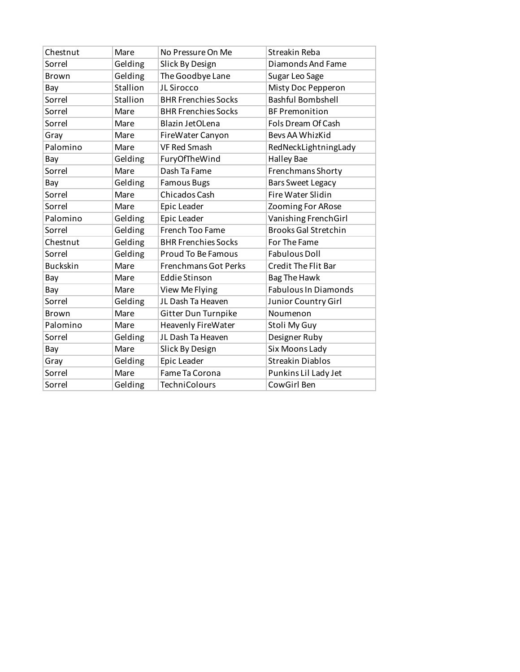| Chestnut        | Mare     | No Pressure On Me           | Streakin Reba               |
|-----------------|----------|-----------------------------|-----------------------------|
| Sorrel          | Gelding  | Slick By Design             | Diamonds And Fame           |
| <b>Brown</b>    | Gelding  | The Goodbye Lane            | Sugar Leo Sage              |
| Bay             | Stallion | JL Sirocco                  | Misty Doc Pepperon          |
| Sorrel          | Stallion | <b>BHR Frenchies Socks</b>  | <b>Bashful Bombshell</b>    |
| Sorrel          | Mare     | <b>BHR Frenchies Socks</b>  | <b>BF Premonition</b>       |
| Sorrel          | Mare     | Blazin JetOLena             | Fols Dream Of Cash          |
| Gray            | Mare     | FireWater Canyon            | Bevs AA WhizKid             |
| Palomino        | Mare     | <b>VF Red Smash</b>         | RedNeckLightningLady        |
| Bay             | Gelding  | FuryOfTheWind               | <b>Halley Bae</b>           |
| Sorrel          | Mare     | Dash Ta Fame                | Frenchmans Shorty           |
| Bay             | Gelding  | <b>Famous Bugs</b>          | <b>Bars Sweet Legacy</b>    |
| Sorrel          | Mare     | Chicados Cash               | <b>Fire Water Slidin</b>    |
| Sorrel          | Mare     | Epic Leader                 | Zooming For ARose           |
| Palomino        | Gelding  | Epic Leader                 | Vanishing FrenchGirl        |
| Sorrel          | Gelding  | French Too Fame             | <b>Brooks Gal Stretchin</b> |
| Chestnut        | Gelding  | <b>BHR Frenchies Socks</b>  | For The Fame                |
| Sorrel          | Gelding  | <b>Proud To Be Famous</b>   | <b>Fabulous Doll</b>        |
| <b>Buckskin</b> | Mare     | <b>Frenchmans Got Perks</b> | <b>Credit The Flit Bar</b>  |
| Bay             | Mare     | <b>Eddie Stinson</b>        | <b>Bag The Hawk</b>         |
| Bay             | Mare     | View Me Flying              | <b>Fabulous In Diamonds</b> |
| Sorrel          | Gelding  | JL Dash Ta Heaven           | Junior Country Girl         |
| Brown           | Mare     | Gitter Dun Turnpike         | Noumenon                    |
| Palomino        | Mare     | <b>Heavenly FireWater</b>   | Stoli My Guy                |
| Sorrel          | Gelding  | JL Dash Ta Heaven           | Designer Ruby               |
| Bay             | Mare     | Slick By Design             | Six Moons Lady              |
| Gray            | Gelding  | Epic Leader                 | <b>Streakin Diablos</b>     |
| Sorrel          | Mare     | Fame Ta Corona              | Punkins Lil Lady Jet        |
| Sorrel          | Gelding  | <b>TechniColours</b>        | CowGirl Ben                 |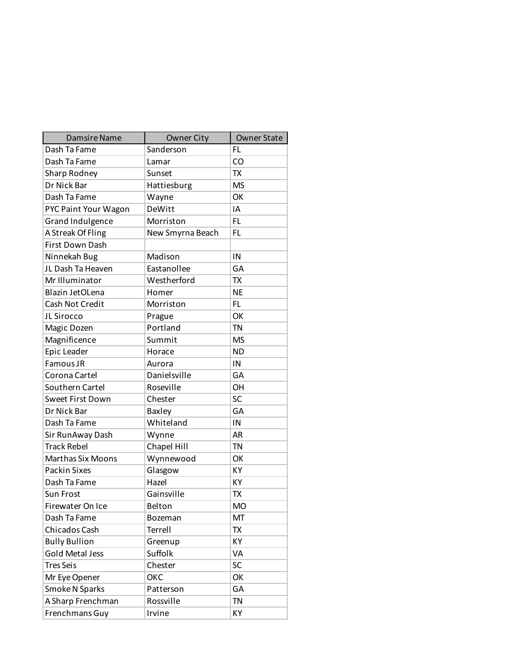| <b>Damsire Name</b>      | Owner City       | <b>Owner State</b> |
|--------------------------|------------------|--------------------|
| Dash Ta Fame             | Sanderson        | FL.                |
| Dash Ta Fame             | Lamar            | CO                 |
| Sharp Rodney             | Sunset           | <b>TX</b>          |
| Dr Nick Bar              | Hattiesburg      | <b>MS</b>          |
| Dash Ta Fame             | Wayne            | ОК                 |
| PYC Paint Your Wagon     | DeWitt           | ΙA                 |
| Grand Indulgence         | Morriston        | FL.                |
| A Streak Of Fling        | New Smyrna Beach | FL                 |
| <b>First Down Dash</b>   |                  |                    |
| Ninnekah Bug             | Madison          | IN                 |
| JL Dash Ta Heaven        | Eastanollee      | GA                 |
| Mr Illuminator           | Westherford      | <b>TX</b>          |
| Blazin JetOLena          | Homer            | <b>NE</b>          |
| Cash Not Credit          | Morriston        | FL                 |
| JL Sirocco               | Prague           | OK                 |
| Magic Dozen              | Portland         | <b>TN</b>          |
| Magnificence             | Summit           | <b>MS</b>          |
| Epic Leader              | Horace           | <b>ND</b>          |
| Famous JR                | Aurora           | IN                 |
| Corona Cartel            | Danielsville     | GA                 |
| Southern Cartel          | Roseville        | OH                 |
| Sweet First Down         | Chester          | SC                 |
| Dr Nick Bar              | Baxley           | GA                 |
| Dash Ta Fame             | Whiteland        | IN                 |
| Sir RunAway Dash         | Wynne            | <b>AR</b>          |
| <b>Track Rebel</b>       | Chapel Hill      | <b>TN</b>          |
| <b>Marthas Six Moons</b> | Wynnewood        | OK                 |
| <b>Packin Sixes</b>      | Glasgow          | KY                 |
| Dash Ta Fame             | Hazel            | KY                 |
| Sun Frost                | Gainsville       | <b>TX</b>          |
| Firewater On Ice         | Belton           | <b>MO</b>          |
| Dash Ta Fame             | Bozeman          | MT                 |
| Chicados Cash            | Terrell          | TX                 |
| <b>Bully Bullion</b>     | Greenup          | ΚY                 |
| <b>Gold Metal Jess</b>   | Suffolk          | VA                 |
| <b>Tres Seis</b>         | Chester          | SC                 |
| Mr Eye Opener            | ОКС              | OK                 |
| Smoke N Sparks           | Patterson        | GA                 |
| A Sharp Frenchman        | Rossville        | <b>TN</b>          |
| Frenchmans Guy           | Irvine           | KΥ                 |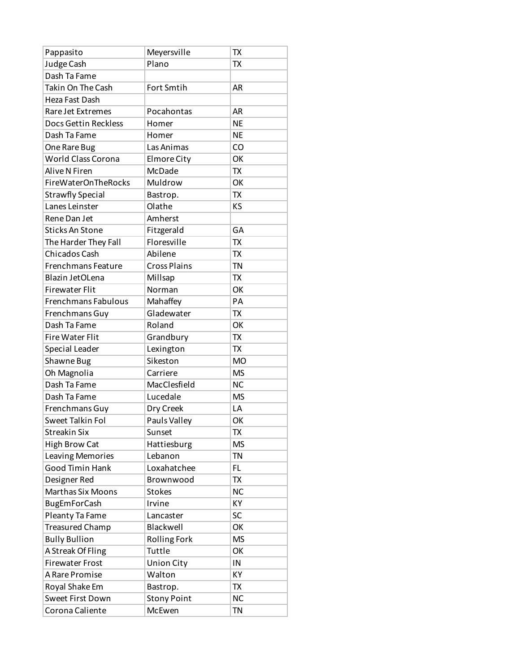| Pappasito                  | Meyersville         | <b>TX</b> |
|----------------------------|---------------------|-----------|
| Judge Cash                 | Plano               | <b>TX</b> |
| Dash Ta Fame               |                     |           |
| Takin On The Cash          | Fort Smtih          | <b>AR</b> |
| Heza Fast Dash             |                     |           |
| Rare Jet Extremes          | Pocahontas          | <b>AR</b> |
| Docs Gettin Reckless       | Homer               | <b>NE</b> |
| Dash Ta Fame               | Homer               | <b>NE</b> |
| One Rare Bug               | Las Animas          | CO        |
| <b>World Class Corona</b>  | Elmore City         | OK        |
| Alive N Firen              | McDade              | <b>TX</b> |
| <b>FireWaterOnTheRocks</b> | Muldrow             | OK        |
| <b>Strawfly Special</b>    | Bastrop.            | TX        |
| Lanes Leinster             | Olathe              | KS        |
| Rene Dan Jet               | Amherst             |           |
| <b>Sticks An Stone</b>     | Fitzgerald          | GA        |
| The Harder They Fall       | Floresville         | <b>TX</b> |
| Chicados Cash              | Abilene             | TX        |
| Frenchmans Feature         | <b>Cross Plains</b> | <b>TN</b> |
| Blazin JetOLena            | Millsap             | <b>TX</b> |
| <b>Firewater Flit</b>      | Norman              | OK        |
| Frenchmans Fabulous        | Mahaffey            | PA        |
| Frenchmans Guy             | Gladewater          | <b>TX</b> |
| Dash Ta Fame               | Roland              | OK        |
| <b>Fire Water Flit</b>     | Grandbury           | TX        |
| Special Leader             | Lexington           | <b>TX</b> |
| Shawne Bug                 | Sikeston            | <b>MO</b> |
| Oh Magnolia                | Carriere            | <b>MS</b> |
| Dash Ta Fame               | MacClesfield        | <b>NC</b> |
| Dash Ta Fame               | Lucedale            | <b>MS</b> |
| Frenchmans Guy             | Dry Creek           | LA        |
| Sweet Talkin Fol           | Pauls Valley        | OK        |
| <b>Streakin Six</b>        | Sunset              | TX        |
| <b>High Brow Cat</b>       | Hattiesburg         | <b>MS</b> |
| Leaving Memories           | Lebanon             | <b>TN</b> |
| Good Timin Hank            | Loxahatchee         | FL.       |
| Designer Red               | Brownwood           | <b>TX</b> |
| Marthas Six Moons          | <b>Stokes</b>       | <b>NC</b> |
| <b>BugEmForCash</b>        | Irvine              | KY        |
| Pleanty Ta Fame            | Lancaster           | SC        |
| <b>Treasured Champ</b>     | Blackwell           | OK        |
| <b>Bully Bullion</b>       | <b>Rolling Fork</b> | <b>MS</b> |
| A Streak Of Fling          | Tuttle              | OK        |
| <b>Firewater Frost</b>     | <b>Union City</b>   | IN        |
| A Rare Promise             | Walton              | KY        |
| Royal Shake Em             | Bastrop.            | TX        |
| Sweet First Down           | <b>Stony Point</b>  | <b>NC</b> |
| Corona Caliente            | McEwen              | <b>TN</b> |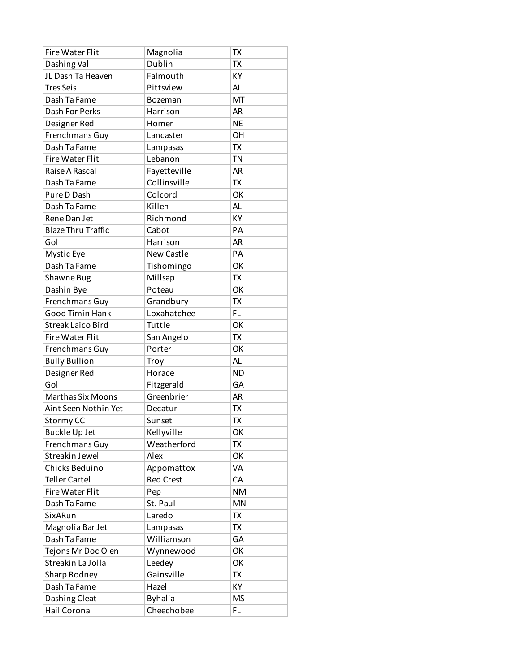| <b>Fire Water Flit</b>    | Magnolia         | TX        |
|---------------------------|------------------|-----------|
| Dashing Val               | Dublin           | <b>TX</b> |
| JL Dash Ta Heaven         | Falmouth         | KY        |
| <b>Tres Seis</b>          | Pittsview        | AL        |
| Dash Ta Fame              | Bozeman          | MT        |
| Dash For Perks            | Harrison         | <b>AR</b> |
| Designer Red              | Homer            | <b>NE</b> |
| Frenchmans Guy            | Lancaster        | OH        |
| Dash Ta Fame              | Lampasas         | <b>TX</b> |
| <b>Fire Water Flit</b>    | Lebanon          | TN        |
| Raise A Rascal            | Fayetteville     | <b>AR</b> |
| Dash Ta Fame              | Collinsville     | <b>TX</b> |
| Pure D Dash               | Colcord          | OK        |
| Dash Ta Fame              | Killen           | <b>AL</b> |
| Rene Dan Jet              | Richmond         | KY        |
| <b>Blaze Thru Traffic</b> | Cabot            | PA        |
| Gol                       | Harrison         | <b>AR</b> |
| Mystic Eye                | New Castle       | PA        |
| Dash Ta Fame              | Tishomingo       | OK        |
| Shawne Bug                | Millsap          | <b>TX</b> |
| Dashin Bye                | Poteau           | OK        |
| Frenchmans Guy            | Grandbury        | TX        |
| Good Timin Hank           | Loxahatchee      | FL        |
| <b>Streak Laico Bird</b>  | Tuttle           | OK        |
| <b>Fire Water Flit</b>    | San Angelo       | TX        |
| Frenchmans Guy            | Porter           | OK        |
| <b>Bully Bullion</b>      | Troy             | AL        |
| Designer Red              | Horace           | <b>ND</b> |
| Gol                       | Fitzgerald       | GA        |
| <b>Marthas Six Moons</b>  | Greenbrier       | <b>AR</b> |
| Aint Seen Nothin Yet      | Decatur          | TX        |
| Stormy CC                 | Sunset           | <b>TX</b> |
| <b>Buckle Up Jet</b>      | Kellyville       | ОК        |
| Frenchmans Guy            | Weatherford      | TX        |
| Streakin Jewel            | Alex             | OK        |
| Chicks Beduino            | Appomattox       | VA        |
| <b>Teller Cartel</b>      | <b>Red Crest</b> | CA        |
| <b>Fire Water Flit</b>    | Pep              | <b>NM</b> |
| Dash Ta Fame              | St. Paul         | <b>MN</b> |
| SixARun                   | Laredo           | TX        |
| Magnolia Bar Jet          | Lampasas         | TX        |
| Dash Ta Fame              | Williamson       | GA        |
| Tejons Mr Doc Olen        | Wynnewood        | OK        |
| Streakin La Jolla         | Leedey           | OK        |
| Sharp Rodney              | Gainsville       | TX        |
| Dash Ta Fame              | Hazel            | KY        |
| Dashing Cleat             | <b>Byhalia</b>   | <b>MS</b> |
| Hail Corona               | Cheechobee       | FL.       |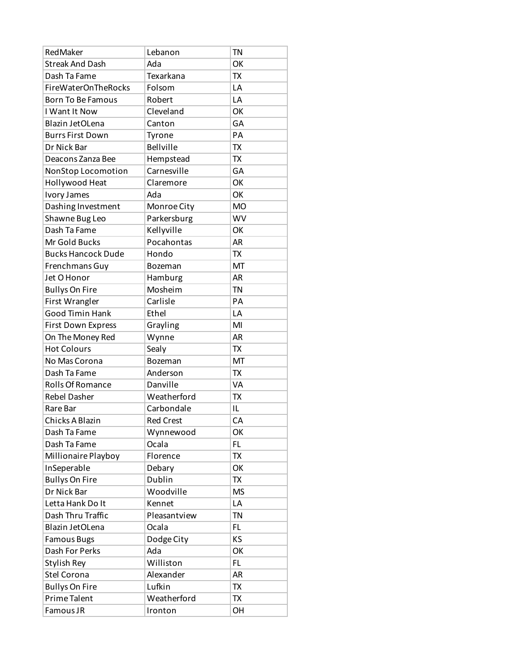| RedMaker                   | Lebanon          | <b>TN</b> |
|----------------------------|------------------|-----------|
| <b>Streak And Dash</b>     | Ada              | OK        |
| Dash Ta Fame               | Texarkana        | <b>TX</b> |
| <b>FireWaterOnTheRocks</b> | Folsom           | LA        |
| <b>Born To Be Famous</b>   | Robert           | LA        |
| I Want It Now              | Cleveland        | OK        |
| Blazin JetOLena            | Canton           | GA        |
| <b>Burrs First Down</b>    | Tyrone           | PA        |
| Dr Nick Bar                | <b>Bellville</b> | <b>TX</b> |
| Deacons Zanza Bee          | Hempstead        | <b>TX</b> |
| NonStop Locomotion         | Carnesville      | GA        |
| Hollywood Heat             | Claremore        | OK        |
| Ivory James                | Ada              | OK        |
| Dashing Investment         | Monroe City      | <b>MO</b> |
| Shawne Bug Leo             | Parkersburg      | WV        |
| Dash Ta Fame               | Kellyville       | OK        |
| Mr Gold Bucks              | Pocahontas       | <b>AR</b> |
| <b>Bucks Hancock Dude</b>  | Hondo            | TX        |
| Frenchmans Guy             | Bozeman          | MT        |
| Jet O Honor                | Hamburg          | <b>AR</b> |
| <b>Bullys On Fire</b>      | Mosheim          | <b>TN</b> |
| First Wrangler             | Carlisle         | PA        |
| <b>Good Timin Hank</b>     | Ethel            | LA        |
| First Down Express         | Grayling         | MI        |
| On The Money Red           | Wynne            | <b>AR</b> |
| <b>Hot Colours</b>         | Sealy            | <b>TX</b> |
| No Mas Corona              | Bozeman          | MT        |
| Dash Ta Fame               | Anderson         | TX        |
| Rolls Of Romance           | Danville         | VA        |
| <b>Rebel Dasher</b>        | Weatherford      | TX        |
| Rare Bar                   | Carbondale       | IL        |
| Chicks A Blazin            | <b>Red Crest</b> | CA        |
| Dash Ta Fame               | Wynnewood        | ОК        |
| Dash Ta Fame               | Ocala            | FL.       |
| Millionaire Playboy        | Florence         | TX        |
| InSeperable                | Debary           | OK        |
| <b>Bullys On Fire</b>      | Dublin           | TX        |
| Dr Nick Bar                | Woodville        | <b>MS</b> |
| Letta Hank Do It           | Kennet           | LA        |
| Dash Thru Traffic          | Pleasantview     | TN        |
| Blazin JetOLena            | Ocala            | FL.       |
| <b>Famous Bugs</b>         | Dodge City       | ΚS        |
| Dash For Perks             | Ada              | OK        |
| Stylish Rey                | Williston        | FL.       |
| Stel Corona                | Alexander        | AR        |
| <b>Bullys On Fire</b>      | Lufkin           | TX        |
| Prime Talent               | Weatherford      | TX        |
| Famous JR                  | Ironton          | OH        |